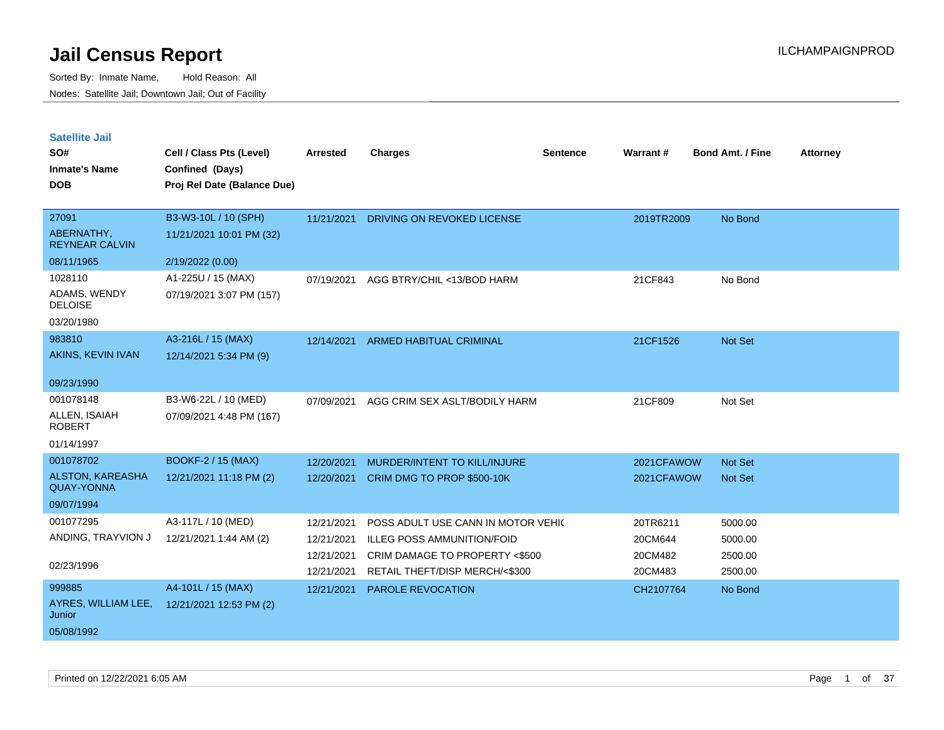| <b>Satellite Jail</b> |  |
|-----------------------|--|
|                       |  |

| SO#<br><b>Inmate's Name</b><br><b>DOB</b>    | Cell / Class Pts (Level)<br>Confined (Days)<br>Proj Rel Date (Balance Due) | Arrested   | <b>Charges</b>                     | Sentence | Warrant#   | <b>Bond Amt. / Fine</b> | <b>Attorney</b> |
|----------------------------------------------|----------------------------------------------------------------------------|------------|------------------------------------|----------|------------|-------------------------|-----------------|
| 27091                                        | B3-W3-10L / 10 (SPH)                                                       | 11/21/2021 | <b>DRIVING ON REVOKED LICENSE</b>  |          | 2019TR2009 | No Bond                 |                 |
| ABERNATHY,<br><b>REYNEAR CALVIN</b>          | 11/21/2021 10:01 PM (32)                                                   |            |                                    |          |            |                         |                 |
| 08/11/1965                                   | 2/19/2022 (0.00)                                                           |            |                                    |          |            |                         |                 |
| 1028110                                      | A1-225U / 15 (MAX)                                                         | 07/19/2021 | AGG BTRY/CHIL <13/BOD HARM         |          | 21CF843    | No Bond                 |                 |
| ADAMS, WENDY<br><b>DELOISE</b>               | 07/19/2021 3:07 PM (157)                                                   |            |                                    |          |            |                         |                 |
| 03/20/1980                                   |                                                                            |            |                                    |          |            |                         |                 |
| 983810                                       | A3-216L / 15 (MAX)                                                         |            | 12/14/2021 ARMED HABITUAL CRIMINAL |          | 21CF1526   | Not Set                 |                 |
| AKINS, KEVIN IVAN                            | 12/14/2021 5:34 PM (9)                                                     |            |                                    |          |            |                         |                 |
| 09/23/1990                                   |                                                                            |            |                                    |          |            |                         |                 |
| 001078148                                    | B3-W6-22L / 10 (MED)                                                       | 07/09/2021 | AGG CRIM SEX ASLT/BODILY HARM      |          | 21CF809    | Not Set                 |                 |
| ALLEN, ISAIAH<br><b>ROBERT</b>               | 07/09/2021 4:48 PM (167)                                                   |            |                                    |          |            |                         |                 |
| 01/14/1997                                   |                                                                            |            |                                    |          |            |                         |                 |
| 001078702                                    | <b>BOOKF-2 / 15 (MAX)</b>                                                  | 12/20/2021 | MURDER/INTENT TO KILL/INJURE       |          | 2021CFAWOW | Not Set                 |                 |
| <b>ALSTON, KAREASHA</b><br><b>QUAY-YONNA</b> | 12/21/2021 11:18 PM (2)                                                    | 12/20/2021 | CRIM DMG TO PROP \$500-10K         |          | 2021CFAWOW | <b>Not Set</b>          |                 |
| 09/07/1994                                   |                                                                            |            |                                    |          |            |                         |                 |
| 001077295                                    | A3-117L / 10 (MED)                                                         | 12/21/2021 | POSS ADULT USE CANN IN MOTOR VEHIC |          | 20TR6211   | 5000.00                 |                 |
| ANDING, TRAYVION J                           | 12/21/2021 1:44 AM (2)                                                     | 12/21/2021 | <b>ILLEG POSS AMMUNITION/FOID</b>  |          | 20CM644    | 5000.00                 |                 |
|                                              |                                                                            | 12/21/2021 | CRIM DAMAGE TO PROPERTY <\$500     |          | 20CM482    | 2500.00                 |                 |
| 02/23/1996                                   |                                                                            | 12/21/2021 | RETAIL THEFT/DISP MERCH/<\$300     |          | 20CM483    | 2500.00                 |                 |
| 999885                                       | A4-101L / 15 (MAX)                                                         | 12/21/2021 | PAROLE REVOCATION                  |          | CH2107764  | No Bond                 |                 |
| AYRES, WILLIAM LEE,<br>Junior                | 12/21/2021 12:53 PM (2)                                                    |            |                                    |          |            |                         |                 |
| 05/08/1992                                   |                                                                            |            |                                    |          |            |                         |                 |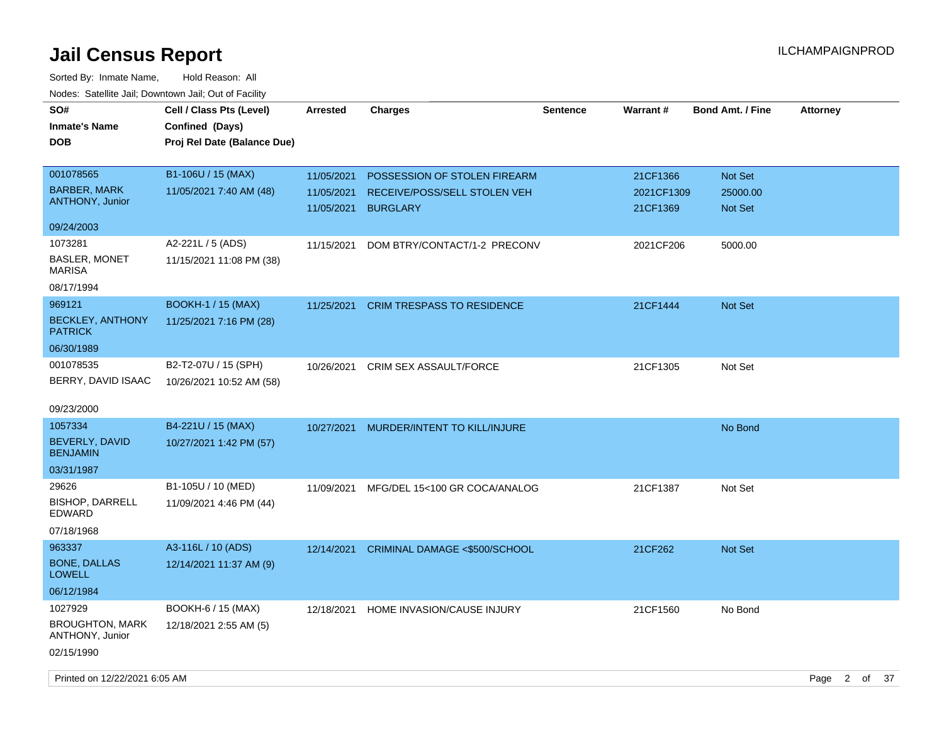| SO#<br><b>Inmate's Name</b><br><b>DOB</b>                         | Cell / Class Pts (Level)<br>Confined (Days)<br>Proj Rel Date (Balance Due) | <b>Arrested</b>                        | <b>Charges</b>                                                                  | <b>Sentence</b> | <b>Warrant#</b>                    | <b>Bond Amt. / Fine</b>        | <b>Attorney</b> |         |
|-------------------------------------------------------------------|----------------------------------------------------------------------------|----------------------------------------|---------------------------------------------------------------------------------|-----------------|------------------------------------|--------------------------------|-----------------|---------|
| 001078565<br><b>BARBER, MARK</b><br><b>ANTHONY, Junior</b>        | B1-106U / 15 (MAX)<br>11/05/2021 7:40 AM (48)                              | 11/05/2021<br>11/05/2021<br>11/05/2021 | POSSESSION OF STOLEN FIREARM<br>RECEIVE/POSS/SELL STOLEN VEH<br><b>BURGLARY</b> |                 | 21CF1366<br>2021CF1309<br>21CF1369 | Not Set<br>25000.00<br>Not Set |                 |         |
| 09/24/2003                                                        |                                                                            |                                        |                                                                                 |                 |                                    |                                |                 |         |
| 1073281<br><b>BASLER, MONET</b><br><b>MARISA</b>                  | A2-221L / 5 (ADS)<br>11/15/2021 11:08 PM (38)                              | 11/15/2021                             | DOM BTRY/CONTACT/1-2 PRECONV                                                    |                 | 2021CF206                          | 5000.00                        |                 |         |
| 08/17/1994<br>969121<br><b>BECKLEY, ANTHONY</b><br><b>PATRICK</b> | <b>BOOKH-1 / 15 (MAX)</b><br>11/25/2021 7:16 PM (28)                       | 11/25/2021                             | <b>CRIM TRESPASS TO RESIDENCE</b>                                               |                 | 21CF1444                           | <b>Not Set</b>                 |                 |         |
| 06/30/1989                                                        |                                                                            |                                        |                                                                                 |                 |                                    |                                |                 |         |
| 001078535<br>BERRY, DAVID ISAAC                                   | B2-T2-07U / 15 (SPH)<br>10/26/2021 10:52 AM (58)                           | 10/26/2021                             | CRIM SEX ASSAULT/FORCE                                                          |                 | 21CF1305                           | Not Set                        |                 |         |
| 09/23/2000                                                        |                                                                            |                                        |                                                                                 |                 |                                    |                                |                 |         |
| 1057334<br><b>BEVERLY, DAVID</b><br><b>BENJAMIN</b><br>03/31/1987 | B4-221U / 15 (MAX)<br>10/27/2021 1:42 PM (57)                              | 10/27/2021                             | MURDER/INTENT TO KILL/INJURE                                                    |                 |                                    | No Bond                        |                 |         |
| 29626<br><b>BISHOP, DARRELL</b><br>EDWARD<br>07/18/1968           | B1-105U / 10 (MED)<br>11/09/2021 4:46 PM (44)                              | 11/09/2021                             | MFG/DEL 15<100 GR COCA/ANALOG                                                   |                 | 21CF1387                           | Not Set                        |                 |         |
| 963337<br><b>BONE, DALLAS</b><br>LOWELL                           | A3-116L / 10 (ADS)<br>12/14/2021 11:37 AM (9)                              | 12/14/2021                             | CRIMINAL DAMAGE <\$500/SCHOOL                                                   |                 | 21CF262                            | <b>Not Set</b>                 |                 |         |
| 06/12/1984                                                        |                                                                            |                                        |                                                                                 |                 |                                    |                                |                 |         |
| 1027929<br><b>BROUGHTON, MARK</b><br>ANTHONY, Junior              | BOOKH-6 / 15 (MAX)<br>12/18/2021 2:55 AM (5)                               | 12/18/2021                             | HOME INVASION/CAUSE INJURY                                                      |                 | 21CF1560                           | No Bond                        |                 |         |
| 02/15/1990<br>Printed on 12/22/2021 6:05 AM                       |                                                                            |                                        |                                                                                 |                 |                                    |                                | Page            | 2 of 37 |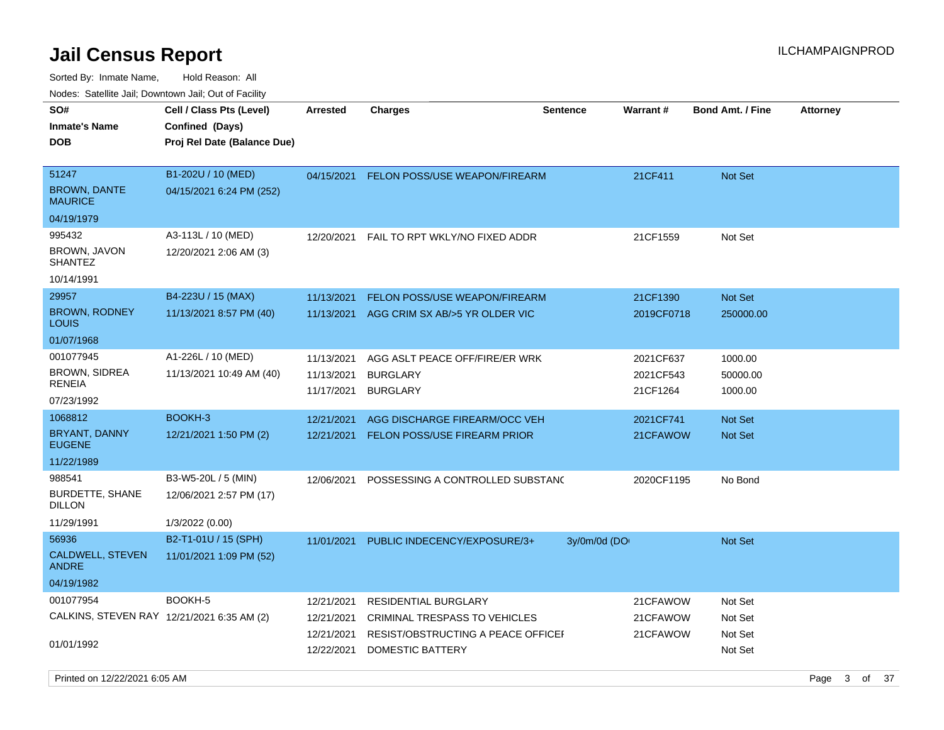| SO#<br><b>Inmate's Name</b><br><b>DOB</b>                 | Cell / Class Pts (Level)<br>Confined (Days)<br>Proj Rel Date (Balance Due) | Arrested                               | <b>Charges</b>                                                       | <b>Sentence</b> | <b>Warrant#</b>                    | <b>Bond Amt. / Fine</b>        | <b>Attorney</b> |         |  |
|-----------------------------------------------------------|----------------------------------------------------------------------------|----------------------------------------|----------------------------------------------------------------------|-----------------|------------------------------------|--------------------------------|-----------------|---------|--|
| 51247<br><b>BROWN, DANTE</b><br><b>MAURICE</b>            | B1-202U / 10 (MED)<br>04/15/2021 6:24 PM (252)                             | 04/15/2021                             | <b>FELON POSS/USE WEAPON/FIREARM</b>                                 |                 | 21CF411                            | <b>Not Set</b>                 |                 |         |  |
| 04/19/1979                                                |                                                                            |                                        |                                                                      |                 |                                    |                                |                 |         |  |
| 995432<br>BROWN, JAVON<br><b>SHANTEZ</b>                  | A3-113L / 10 (MED)<br>12/20/2021 2:06 AM (3)                               | 12/20/2021                             | FAIL TO RPT WKLY/NO FIXED ADDR                                       |                 | 21CF1559                           | Not Set                        |                 |         |  |
| 10/14/1991                                                |                                                                            |                                        |                                                                      |                 |                                    |                                |                 |         |  |
| 29957<br><b>BROWN, RODNEY</b><br><b>LOUIS</b>             | B4-223U / 15 (MAX)<br>11/13/2021 8:57 PM (40)                              | 11/13/2021<br>11/13/2021               | FELON POSS/USE WEAPON/FIREARM<br>AGG CRIM SX AB/>5 YR OLDER VIC      |                 | 21CF1390<br>2019CF0718             | Not Set<br>250000.00           |                 |         |  |
| 01/07/1968                                                |                                                                            |                                        |                                                                      |                 |                                    |                                |                 |         |  |
| 001077945<br><b>BROWN, SIDREA</b><br>RENEIA<br>07/23/1992 | A1-226L / 10 (MED)<br>11/13/2021 10:49 AM (40)                             | 11/13/2021<br>11/13/2021<br>11/17/2021 | AGG ASLT PEACE OFF/FIRE/ER WRK<br><b>BURGLARY</b><br><b>BURGLARY</b> |                 | 2021CF637<br>2021CF543<br>21CF1264 | 1000.00<br>50000.00<br>1000.00 |                 |         |  |
| 1068812                                                   | BOOKH-3                                                                    | 12/21/2021                             | AGG DISCHARGE FIREARM/OCC VEH                                        |                 | 2021CF741                          | <b>Not Set</b>                 |                 |         |  |
| BRYANT, DANNY<br><b>EUGENE</b>                            | 12/21/2021 1:50 PM (2)                                                     | 12/21/2021                             | FELON POSS/USE FIREARM PRIOR                                         |                 | 21CFAWOW                           | <b>Not Set</b>                 |                 |         |  |
| 11/22/1989                                                |                                                                            |                                        |                                                                      |                 |                                    |                                |                 |         |  |
| 988541<br>BURDETTE, SHANE<br><b>DILLON</b>                | B3-W5-20L / 5 (MIN)<br>12/06/2021 2:57 PM (17)                             | 12/06/2021                             | POSSESSING A CONTROLLED SUBSTAND                                     |                 | 2020CF1195                         | No Bond                        |                 |         |  |
| 11/29/1991                                                | 1/3/2022 (0.00)                                                            |                                        |                                                                      |                 |                                    |                                |                 |         |  |
| 56936<br>CALDWELL, STEVEN<br><b>ANDRE</b><br>04/19/1982   | B2-T1-01U / 15 (SPH)<br>11/01/2021 1:09 PM (52)                            | 11/01/2021                             | PUBLIC INDECENCY/EXPOSURE/3+                                         | 3y/0m/0d (DO    |                                    | <b>Not Set</b>                 |                 |         |  |
| 001077954                                                 | BOOKH-5                                                                    | 12/21/2021                             | RESIDENTIAL BURGLARY                                                 |                 | 21CFAWOW                           | Not Set                        |                 |         |  |
| CALKINS, STEVEN RAY 12/21/2021 6:35 AM (2)                |                                                                            | 12/21/2021<br>12/21/2021               | CRIMINAL TRESPASS TO VEHICLES<br>RESIST/OBSTRUCTING A PEACE OFFICEF  |                 | 21CFAWOW<br>21CFAWOW               | Not Set<br>Not Set             |                 |         |  |
| 01/01/1992                                                |                                                                            | 12/22/2021                             | DOMESTIC BATTERY                                                     |                 |                                    | Not Set                        |                 |         |  |
| Printed on 12/22/2021 6:05 AM                             |                                                                            |                                        |                                                                      |                 |                                    |                                | Page            | 3 of 37 |  |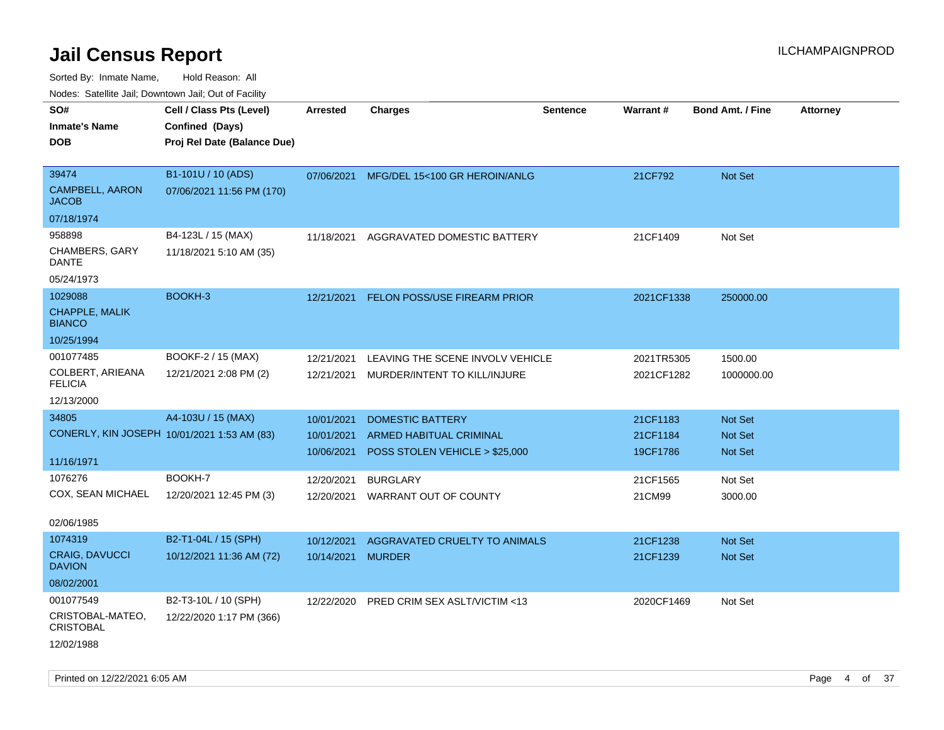| rouce. Calcinic Jan, Downtown Jan, Out or Facility |                                       |                |                                                                                                                                                                                                                                                                                                                                             |                                                                   |                      |                                    |
|----------------------------------------------------|---------------------------------------|----------------|---------------------------------------------------------------------------------------------------------------------------------------------------------------------------------------------------------------------------------------------------------------------------------------------------------------------------------------------|-------------------------------------------------------------------|----------------------|------------------------------------|
| Cell / Class Pts (Level)                           | <b>Arrested</b>                       | <b>Charges</b> | <b>Sentence</b>                                                                                                                                                                                                                                                                                                                             |                                                                   |                      | <b>Attorney</b>                    |
|                                                    |                                       |                |                                                                                                                                                                                                                                                                                                                                             |                                                                   |                      |                                    |
| Proj Rel Date (Balance Due)                        |                                       |                |                                                                                                                                                                                                                                                                                                                                             |                                                                   |                      |                                    |
|                                                    |                                       |                |                                                                                                                                                                                                                                                                                                                                             |                                                                   |                      |                                    |
|                                                    |                                       |                |                                                                                                                                                                                                                                                                                                                                             | 21CF792                                                           | Not Set              |                                    |
| 07/06/2021 11:56 PM (170)                          |                                       |                |                                                                                                                                                                                                                                                                                                                                             |                                                                   |                      |                                    |
|                                                    |                                       |                |                                                                                                                                                                                                                                                                                                                                             |                                                                   |                      |                                    |
| B4-123L / 15 (MAX)                                 | 11/18/2021                            |                |                                                                                                                                                                                                                                                                                                                                             | 21CF1409                                                          | Not Set              |                                    |
| 11/18/2021 5:10 AM (35)                            |                                       |                |                                                                                                                                                                                                                                                                                                                                             |                                                                   |                      |                                    |
|                                                    |                                       |                |                                                                                                                                                                                                                                                                                                                                             |                                                                   |                      |                                    |
| BOOKH-3                                            | 12/21/2021                            |                |                                                                                                                                                                                                                                                                                                                                             | 2021CF1338                                                        | 250000.00            |                                    |
|                                                    |                                       |                |                                                                                                                                                                                                                                                                                                                                             |                                                                   |                      |                                    |
|                                                    |                                       |                |                                                                                                                                                                                                                                                                                                                                             |                                                                   |                      |                                    |
| BOOKF-2 / 15 (MAX)                                 | 12/21/2021                            |                |                                                                                                                                                                                                                                                                                                                                             | 2021TR5305                                                        | 1500.00              |                                    |
| 12/21/2021 2:08 PM (2)                             | 12/21/2021                            |                |                                                                                                                                                                                                                                                                                                                                             | 2021CF1282                                                        | 1000000.00           |                                    |
|                                                    |                                       |                |                                                                                                                                                                                                                                                                                                                                             |                                                                   |                      |                                    |
| A4-103U / 15 (MAX)                                 | 10/01/2021                            |                |                                                                                                                                                                                                                                                                                                                                             |                                                                   |                      |                                    |
| CONERLY, KIN JOSEPH 10/01/2021 1:53 AM (83)        | 10/01/2021                            |                |                                                                                                                                                                                                                                                                                                                                             | 21CF1184                                                          | <b>Not Set</b>       |                                    |
|                                                    | 10/06/2021                            |                |                                                                                                                                                                                                                                                                                                                                             | 19CF1786                                                          | Not Set              |                                    |
|                                                    |                                       |                |                                                                                                                                                                                                                                                                                                                                             |                                                                   |                      |                                    |
| BOOKH-7                                            | 12/20/2021                            |                |                                                                                                                                                                                                                                                                                                                                             | 21CF1565                                                          | Not Set              |                                    |
| 12/20/2021 12:45 PM (3)                            | 12/20/2021                            |                |                                                                                                                                                                                                                                                                                                                                             | 21CM99                                                            | 3000.00              |                                    |
|                                                    |                                       |                |                                                                                                                                                                                                                                                                                                                                             |                                                                   |                      |                                    |
| B2-T1-04L / 15 (SPH)                               | 10/12/2021                            |                |                                                                                                                                                                                                                                                                                                                                             | 21CF1238                                                          | <b>Not Set</b>       |                                    |
| 10/12/2021 11:36 AM (72)                           | 10/14/2021                            |                |                                                                                                                                                                                                                                                                                                                                             | 21CF1239                                                          | <b>Not Set</b>       |                                    |
|                                                    |                                       |                |                                                                                                                                                                                                                                                                                                                                             |                                                                   |                      |                                    |
| B2-T3-10L / 10 (SPH)                               | 12/22/2020                            |                |                                                                                                                                                                                                                                                                                                                                             | 2020CF1469                                                        | Not Set              |                                    |
| 12/22/2020 1:17 PM (366)                           |                                       |                |                                                                                                                                                                                                                                                                                                                                             |                                                                   |                      |                                    |
|                                                    |                                       |                |                                                                                                                                                                                                                                                                                                                                             |                                                                   |                      |                                    |
|                                                    | Confined (Days)<br>B1-101U / 10 (ADS) |                | 07/06/2021 MFG/DEL 15<100 GR HEROIN/ANLG<br>AGGRAVATED DOMESTIC BATTERY<br><b>FELON POSS/USE FIREARM PRIOR</b><br>MURDER/INTENT TO KILL/INJURE<br><b>DOMESTIC BATTERY</b><br><b>ARMED HABITUAL CRIMINAL</b><br>POSS STOLEN VEHICLE > \$25,000<br><b>BURGLARY</b><br>WARRANT OUT OF COUNTY<br><b>MURDER</b><br>PRED CRIM SEX ASLT/VICTIM <13 | LEAVING THE SCENE INVOLV VEHICLE<br>AGGRAVATED CRUELTY TO ANIMALS | Warrant#<br>21CF1183 | <b>Bond Amt. / Fine</b><br>Not Set |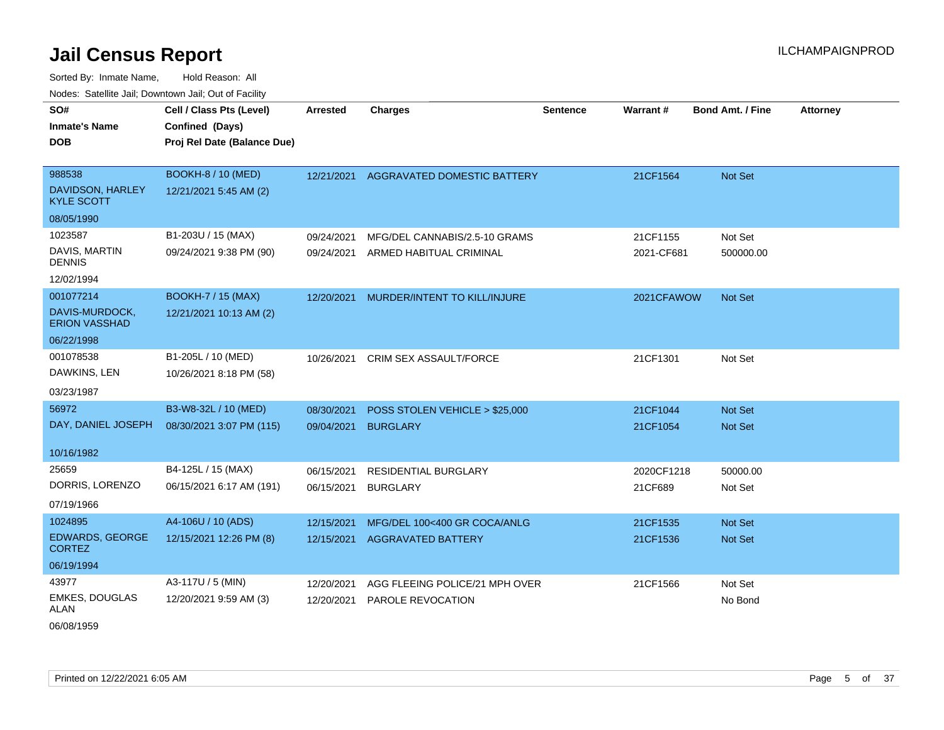Sorted By: Inmate Name, Hold Reason: All Nodes: Satellite Jail; Downtown Jail; Out of Facility

| SO#<br><b>Inmate's Name</b><br><b>DOB</b>       | Cell / Class Pts (Level)<br>Confined (Days)<br>Proj Rel Date (Balance Due) | <b>Arrested</b> | <b>Charges</b>                         | <b>Sentence</b> | Warrant#   | <b>Bond Amt. / Fine</b> | <b>Attorney</b> |
|-------------------------------------------------|----------------------------------------------------------------------------|-----------------|----------------------------------------|-----------------|------------|-------------------------|-----------------|
| 988538<br>DAVIDSON, HARLEY<br><b>KYLE SCOTT</b> | <b>BOOKH-8 / 10 (MED)</b><br>12/21/2021 5:45 AM (2)                        |                 | 12/21/2021 AGGRAVATED DOMESTIC BATTERY |                 | 21CF1564   | Not Set                 |                 |
| 08/05/1990                                      |                                                                            |                 |                                        |                 |            |                         |                 |
| 1023587                                         | B1-203U / 15 (MAX)                                                         | 09/24/2021      | MFG/DEL CANNABIS/2.5-10 GRAMS          |                 | 21CF1155   | Not Set                 |                 |
| DAVIS, MARTIN<br><b>DENNIS</b>                  | 09/24/2021 9:38 PM (90)                                                    | 09/24/2021      | ARMED HABITUAL CRIMINAL                |                 | 2021-CF681 | 500000.00               |                 |
| 12/02/1994                                      |                                                                            |                 |                                        |                 |            |                         |                 |
| 001077214                                       | <b>BOOKH-7 / 15 (MAX)</b>                                                  | 12/20/2021      | MURDER/INTENT TO KILL/INJURE           |                 | 2021CFAWOW | <b>Not Set</b>          |                 |
| DAVIS-MURDOCK,<br><b>ERION VASSHAD</b>          | 12/21/2021 10:13 AM (2)                                                    |                 |                                        |                 |            |                         |                 |
| 06/22/1998                                      |                                                                            |                 |                                        |                 |            |                         |                 |
| 001078538                                       | B1-205L / 10 (MED)                                                         | 10/26/2021      | CRIM SEX ASSAULT/FORCE                 |                 | 21CF1301   | Not Set                 |                 |
| DAWKINS, LEN                                    | 10/26/2021 8:18 PM (58)                                                    |                 |                                        |                 |            |                         |                 |
| 03/23/1987                                      |                                                                            |                 |                                        |                 |            |                         |                 |
| 56972                                           | B3-W8-32L / 10 (MED)                                                       | 08/30/2021      | POSS STOLEN VEHICLE > \$25,000         |                 | 21CF1044   | Not Set                 |                 |
| DAY, DANIEL JOSEPH                              | 08/30/2021 3:07 PM (115)                                                   | 09/04/2021      | <b>BURGLARY</b>                        |                 | 21CF1054   | Not Set                 |                 |
| 10/16/1982                                      |                                                                            |                 |                                        |                 |            |                         |                 |
| 25659                                           | B4-125L / 15 (MAX)                                                         | 06/15/2021      | RESIDENTIAL BURGLARY                   |                 | 2020CF1218 | 50000.00                |                 |
| DORRIS, LORENZO                                 | 06/15/2021 6:17 AM (191)                                                   | 06/15/2021      | <b>BURGLARY</b>                        |                 | 21CF689    | Not Set                 |                 |
| 07/19/1966                                      |                                                                            |                 |                                        |                 |            |                         |                 |
| 1024895                                         | A4-106U / 10 (ADS)                                                         | 12/15/2021      | MFG/DEL 100<400 GR COCA/ANLG           |                 | 21CF1535   | <b>Not Set</b>          |                 |
| <b>EDWARDS, GEORGE</b><br><b>CORTEZ</b>         | 12/15/2021 12:26 PM (8)                                                    | 12/15/2021      | <b>AGGRAVATED BATTERY</b>              |                 | 21CF1536   | <b>Not Set</b>          |                 |
| 06/19/1994                                      |                                                                            |                 |                                        |                 |            |                         |                 |
| 43977                                           | A3-117U / 5 (MIN)                                                          | 12/20/2021      | AGG FLEEING POLICE/21 MPH OVER         |                 | 21CF1566   | Not Set                 |                 |
| EMKES, DOUGLAS<br><b>ALAN</b>                   | 12/20/2021 9:59 AM (3)                                                     | 12/20/2021      | PAROLE REVOCATION                      |                 |            | No Bond                 |                 |

06/08/1959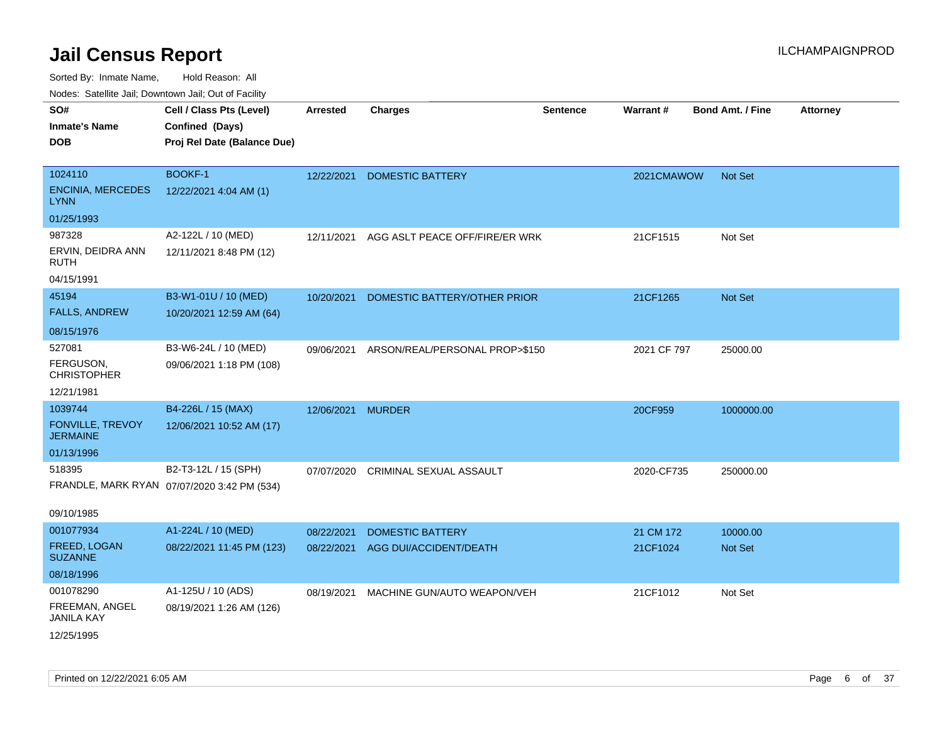| roaco. Catolino dall, Downtown dall, Out of Fability |                                             |                 |                                |                 |             |                         |                 |
|------------------------------------------------------|---------------------------------------------|-----------------|--------------------------------|-----------------|-------------|-------------------------|-----------------|
| SO#                                                  | Cell / Class Pts (Level)                    | <b>Arrested</b> | <b>Charges</b>                 | <b>Sentence</b> | Warrant#    | <b>Bond Amt. / Fine</b> | <b>Attorney</b> |
| <b>Inmate's Name</b>                                 | Confined (Days)                             |                 |                                |                 |             |                         |                 |
| <b>DOB</b>                                           | Proj Rel Date (Balance Due)                 |                 |                                |                 |             |                         |                 |
|                                                      |                                             |                 |                                |                 |             |                         |                 |
| 1024110                                              | <b>BOOKF-1</b>                              | 12/22/2021      | <b>DOMESTIC BATTERY</b>        |                 | 2021CMAWOW  | Not Set                 |                 |
| <b>ENCINIA, MERCEDES</b><br><b>LYNN</b>              | 12/22/2021 4:04 AM (1)                      |                 |                                |                 |             |                         |                 |
| 01/25/1993                                           |                                             |                 |                                |                 |             |                         |                 |
| 987328                                               | A2-122L / 10 (MED)                          | 12/11/2021      | AGG ASLT PEACE OFF/FIRE/ER WRK |                 | 21CF1515    | Not Set                 |                 |
| ERVIN, DEIDRA ANN<br>RUTH                            | 12/11/2021 8:48 PM (12)                     |                 |                                |                 |             |                         |                 |
| 04/15/1991                                           |                                             |                 |                                |                 |             |                         |                 |
| 45194                                                | B3-W1-01U / 10 (MED)                        | 10/20/2021      | DOMESTIC BATTERY/OTHER PRIOR   |                 | 21CF1265    | Not Set                 |                 |
| <b>FALLS, ANDREW</b>                                 | 10/20/2021 12:59 AM (64)                    |                 |                                |                 |             |                         |                 |
| 08/15/1976                                           |                                             |                 |                                |                 |             |                         |                 |
| 527081                                               | B3-W6-24L / 10 (MED)                        | 09/06/2021      | ARSON/REAL/PERSONAL PROP>\$150 |                 | 2021 CF 797 | 25000.00                |                 |
| FERGUSON,<br><b>CHRISTOPHER</b>                      | 09/06/2021 1:18 PM (108)                    |                 |                                |                 |             |                         |                 |
| 12/21/1981                                           |                                             |                 |                                |                 |             |                         |                 |
| 1039744                                              | B4-226L / 15 (MAX)                          | 12/06/2021      | <b>MURDER</b>                  |                 | 20CF959     | 1000000.00              |                 |
| FONVILLE, TREVOY<br><b>JERMAINE</b>                  | 12/06/2021 10:52 AM (17)                    |                 |                                |                 |             |                         |                 |
| 01/13/1996                                           |                                             |                 |                                |                 |             |                         |                 |
| 518395                                               | B2-T3-12L / 15 (SPH)                        | 07/07/2020      | <b>CRIMINAL SEXUAL ASSAULT</b> |                 | 2020-CF735  | 250000.00               |                 |
|                                                      | FRANDLE, MARK RYAN 07/07/2020 3:42 PM (534) |                 |                                |                 |             |                         |                 |
| 09/10/1985                                           |                                             |                 |                                |                 |             |                         |                 |
| 001077934                                            | A1-224L / 10 (MED)                          | 08/22/2021      | <b>DOMESTIC BATTERY</b>        |                 | 21 CM 172   | 10000.00                |                 |
| FREED, LOGAN<br><b>SUZANNE</b>                       | 08/22/2021 11:45 PM (123)                   | 08/22/2021      | AGG DUI/ACCIDENT/DEATH         |                 | 21CF1024    | Not Set                 |                 |
| 08/18/1996                                           |                                             |                 |                                |                 |             |                         |                 |
| 001078290                                            | A1-125U / 10 (ADS)                          | 08/19/2021      | MACHINE GUN/AUTO WEAPON/VEH    |                 | 21CF1012    | Not Set                 |                 |
| FREEMAN, ANGEL<br><b>JANILA KAY</b>                  | 08/19/2021 1:26 AM (126)                    |                 |                                |                 |             |                         |                 |
| 12/25/1995                                           |                                             |                 |                                |                 |             |                         |                 |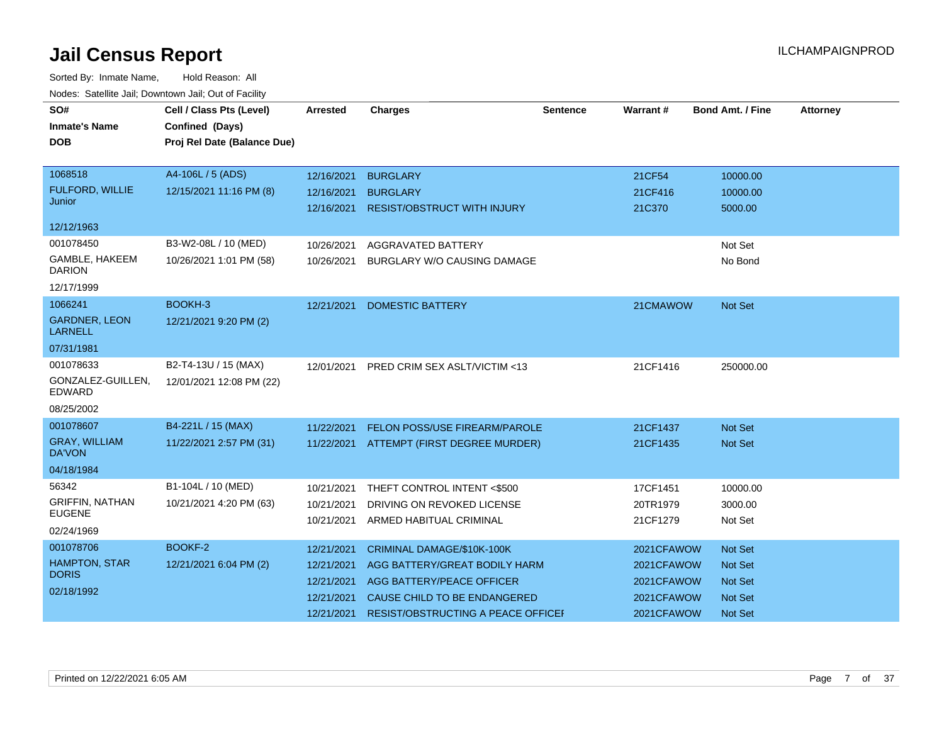| SO#                                    | Cell / Class Pts (Level)    | Arrested   | <b>Charges</b>                           | <b>Sentence</b> | Warrant#   | <b>Bond Amt. / Fine</b> | <b>Attorney</b> |
|----------------------------------------|-----------------------------|------------|------------------------------------------|-----------------|------------|-------------------------|-----------------|
| <b>Inmate's Name</b>                   | Confined (Days)             |            |                                          |                 |            |                         |                 |
| <b>DOB</b>                             | Proj Rel Date (Balance Due) |            |                                          |                 |            |                         |                 |
|                                        |                             |            |                                          |                 |            |                         |                 |
| 1068518                                | A4-106L / 5 (ADS)           | 12/16/2021 | <b>BURGLARY</b>                          |                 | 21CF54     | 10000.00                |                 |
| FULFORD, WILLIE                        | 12/15/2021 11:16 PM (8)     | 12/16/2021 | <b>BURGLARY</b>                          |                 | 21CF416    | 10000.00                |                 |
| Junior                                 |                             |            | 12/16/2021 RESIST/OBSTRUCT WITH INJURY   |                 | 21C370     | 5000.00                 |                 |
| 12/12/1963                             |                             |            |                                          |                 |            |                         |                 |
| 001078450                              | B3-W2-08L / 10 (MED)        | 10/26/2021 | AGGRAVATED BATTERY                       |                 |            | Not Set                 |                 |
| GAMBLE, HAKEEM<br><b>DARION</b>        | 10/26/2021 1:01 PM (58)     | 10/26/2021 | BURGLARY W/O CAUSING DAMAGE              |                 |            | No Bond                 |                 |
| 12/17/1999                             |                             |            |                                          |                 |            |                         |                 |
| 1066241                                | BOOKH-3                     | 12/21/2021 | <b>DOMESTIC BATTERY</b>                  |                 | 21CMAWOW   | <b>Not Set</b>          |                 |
| <b>GARDNER, LEON</b><br><b>LARNELL</b> | 12/21/2021 9:20 PM (2)      |            |                                          |                 |            |                         |                 |
| 07/31/1981                             |                             |            |                                          |                 |            |                         |                 |
| 001078633                              | B2-T4-13U / 15 (MAX)        | 12/01/2021 | PRED CRIM SEX ASLT/VICTIM <13            |                 | 21CF1416   | 250000.00               |                 |
| GONZALEZ-GUILLEN,<br><b>EDWARD</b>     | 12/01/2021 12:08 PM (22)    |            |                                          |                 |            |                         |                 |
| 08/25/2002                             |                             |            |                                          |                 |            |                         |                 |
| 001078607                              | B4-221L / 15 (MAX)          | 11/22/2021 | FELON POSS/USE FIREARM/PAROLE            |                 | 21CF1437   | <b>Not Set</b>          |                 |
| <b>GRAY, WILLIAM</b><br>DA'VON         | 11/22/2021 2:57 PM (31)     |            | 11/22/2021 ATTEMPT (FIRST DEGREE MURDER) |                 | 21CF1435   | <b>Not Set</b>          |                 |
| 04/18/1984                             |                             |            |                                          |                 |            |                         |                 |
| 56342                                  | B1-104L / 10 (MED)          | 10/21/2021 | THEFT CONTROL INTENT <\$500              |                 | 17CF1451   | 10000.00                |                 |
| <b>GRIFFIN, NATHAN</b>                 | 10/21/2021 4:20 PM (63)     | 10/21/2021 | DRIVING ON REVOKED LICENSE               |                 | 20TR1979   | 3000.00                 |                 |
| <b>EUGENE</b>                          |                             | 10/21/2021 | ARMED HABITUAL CRIMINAL                  |                 | 21CF1279   | Not Set                 |                 |
| 02/24/1969                             |                             |            |                                          |                 |            |                         |                 |
| 001078706                              | BOOKF-2                     | 12/21/2021 | CRIMINAL DAMAGE/\$10K-100K               |                 | 2021CFAWOW | <b>Not Set</b>          |                 |
| HAMPTON, STAR<br><b>DORIS</b>          | 12/21/2021 6:04 PM (2)      | 12/21/2021 | AGG BATTERY/GREAT BODILY HARM            |                 | 2021CFAWOW | <b>Not Set</b>          |                 |
| 02/18/1992                             |                             | 12/21/2021 | AGG BATTERY/PEACE OFFICER                |                 | 2021CFAWOW | <b>Not Set</b>          |                 |
|                                        |                             | 12/21/2021 | CAUSE CHILD TO BE ENDANGERED             |                 | 2021CFAWOW | <b>Not Set</b>          |                 |
|                                        |                             | 12/21/2021 | RESIST/OBSTRUCTING A PEACE OFFICEF       |                 | 2021CFAWOW | <b>Not Set</b>          |                 |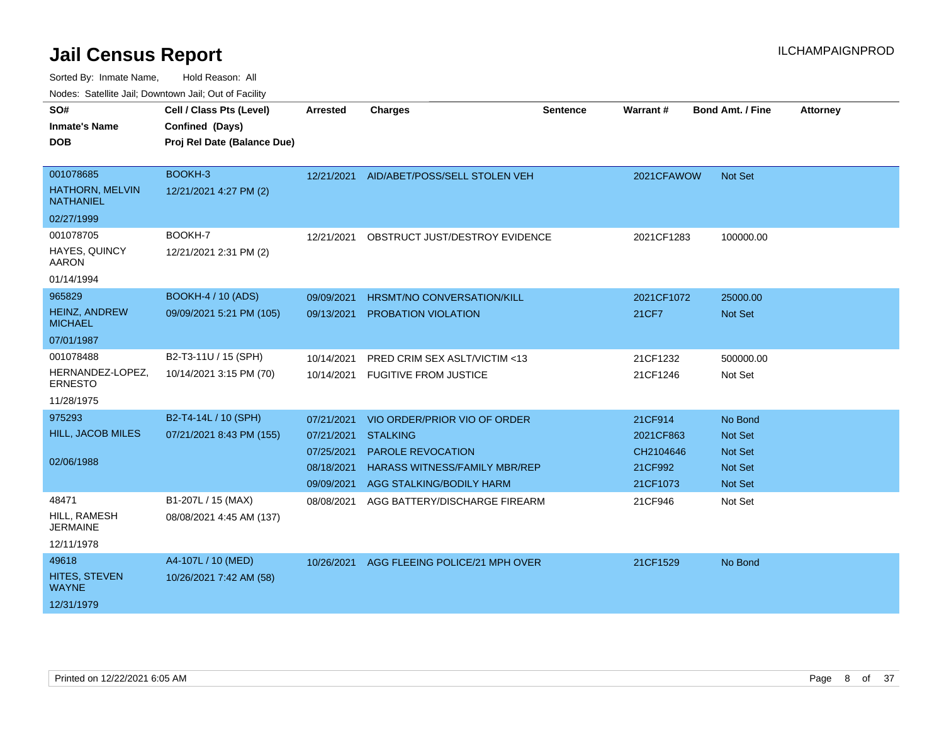| <b>Houce.</b> Catellite ball, Downtown ball, Out of Fability |                             |            |                                      |          |                 |                         |                 |
|--------------------------------------------------------------|-----------------------------|------------|--------------------------------------|----------|-----------------|-------------------------|-----------------|
| SO#                                                          | Cell / Class Pts (Level)    | Arrested   | <b>Charges</b>                       | Sentence | <b>Warrant#</b> | <b>Bond Amt. / Fine</b> | <b>Attorney</b> |
| <b>Inmate's Name</b>                                         | Confined (Days)             |            |                                      |          |                 |                         |                 |
| <b>DOB</b>                                                   | Proj Rel Date (Balance Due) |            |                                      |          |                 |                         |                 |
|                                                              |                             |            |                                      |          |                 |                         |                 |
| 001078685                                                    | BOOKH-3                     | 12/21/2021 | AID/ABET/POSS/SELL STOLEN VEH        |          | 2021CFAWOW      | Not Set                 |                 |
| <b>HATHORN, MELVIN</b><br><b>NATHANIEL</b>                   | 12/21/2021 4:27 PM (2)      |            |                                      |          |                 |                         |                 |
| 02/27/1999                                                   |                             |            |                                      |          |                 |                         |                 |
| 001078705                                                    | BOOKH-7                     | 12/21/2021 | OBSTRUCT JUST/DESTROY EVIDENCE       |          | 2021CF1283      | 100000.00               |                 |
| HAYES, QUINCY<br>AARON                                       | 12/21/2021 2:31 PM (2)      |            |                                      |          |                 |                         |                 |
| 01/14/1994                                                   |                             |            |                                      |          |                 |                         |                 |
| 965829                                                       | <b>BOOKH-4 / 10 (ADS)</b>   | 09/09/2021 | HRSMT/NO CONVERSATION/KILL           |          | 2021CF1072      | 25000.00                |                 |
| HEINZ, ANDREW<br><b>MICHAEL</b>                              | 09/09/2021 5:21 PM (105)    | 09/13/2021 | PROBATION VIOLATION                  |          | 21CF7           | Not Set                 |                 |
| 07/01/1987                                                   |                             |            |                                      |          |                 |                         |                 |
| 001078488                                                    | B2-T3-11U / 15 (SPH)        | 10/14/2021 | PRED CRIM SEX ASLT/VICTIM <13        |          | 21CF1232        | 500000.00               |                 |
| HERNANDEZ-LOPEZ,<br><b>ERNESTO</b>                           | 10/14/2021 3:15 PM (70)     | 10/14/2021 | <b>FUGITIVE FROM JUSTICE</b>         |          | 21CF1246        | Not Set                 |                 |
| 11/28/1975                                                   |                             |            |                                      |          |                 |                         |                 |
| 975293                                                       | B2-T4-14L / 10 (SPH)        | 07/21/2021 | VIO ORDER/PRIOR VIO OF ORDER         |          | 21CF914         | No Bond                 |                 |
| <b>HILL, JACOB MILES</b>                                     | 07/21/2021 8:43 PM (155)    | 07/21/2021 | <b>STALKING</b>                      |          | 2021CF863       | Not Set                 |                 |
|                                                              |                             | 07/25/2021 | <b>PAROLE REVOCATION</b>             |          | CH2104646       | Not Set                 |                 |
| 02/06/1988                                                   |                             | 08/18/2021 | <b>HARASS WITNESS/FAMILY MBR/REP</b> |          | 21CF992         | <b>Not Set</b>          |                 |
|                                                              |                             | 09/09/2021 | AGG STALKING/BODILY HARM             |          | 21CF1073        | <b>Not Set</b>          |                 |
| 48471                                                        | B1-207L / 15 (MAX)          | 08/08/2021 | AGG BATTERY/DISCHARGE FIREARM        |          | 21CF946         | Not Set                 |                 |
| HILL, RAMESH<br><b>JERMAINE</b>                              | 08/08/2021 4:45 AM (137)    |            |                                      |          |                 |                         |                 |
| 12/11/1978                                                   |                             |            |                                      |          |                 |                         |                 |
| 49618                                                        | A4-107L / 10 (MED)          | 10/26/2021 | AGG FLEEING POLICE/21 MPH OVER       |          | 21CF1529        | No Bond                 |                 |
| HITES, STEVEN<br><b>WAYNE</b>                                | 10/26/2021 7:42 AM (58)     |            |                                      |          |                 |                         |                 |
| 12/31/1979                                                   |                             |            |                                      |          |                 |                         |                 |
|                                                              |                             |            |                                      |          |                 |                         |                 |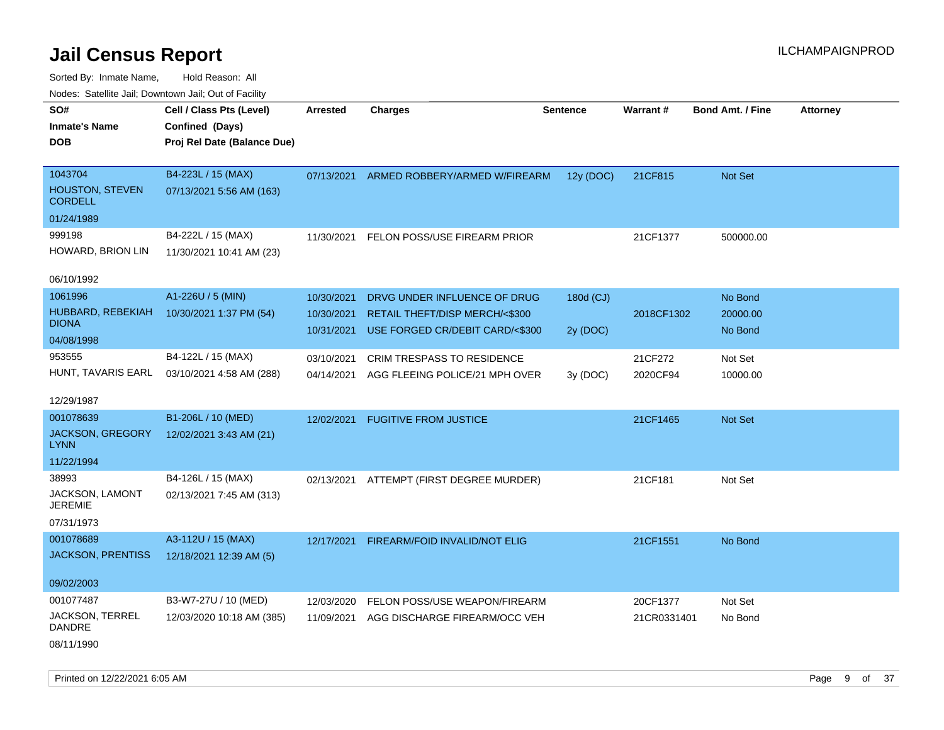| Noues. Sateme Jan, Downtown Jan, Out or Facility |                             |            |                                          |           |             |                         |          |
|--------------------------------------------------|-----------------------------|------------|------------------------------------------|-----------|-------------|-------------------------|----------|
| SO#                                              | Cell / Class Pts (Level)    | Arrested   | <b>Charges</b>                           | Sentence  | Warrant#    | <b>Bond Amt. / Fine</b> | Attorney |
| <b>Inmate's Name</b>                             | Confined (Days)             |            |                                          |           |             |                         |          |
| <b>DOB</b>                                       | Proj Rel Date (Balance Due) |            |                                          |           |             |                         |          |
|                                                  |                             |            |                                          |           |             |                         |          |
| 1043704                                          | B4-223L / 15 (MAX)          | 07/13/2021 | ARMED ROBBERY/ARMED W/FIREARM            | 12y (DOC) | 21CF815     | Not Set                 |          |
| <b>HOUSTON, STEVEN</b><br><b>CORDELL</b>         | 07/13/2021 5:56 AM (163)    |            |                                          |           |             |                         |          |
| 01/24/1989                                       |                             |            |                                          |           |             |                         |          |
| 999198                                           | B4-222L / 15 (MAX)          | 11/30/2021 | FELON POSS/USE FIREARM PRIOR             |           | 21CF1377    | 500000.00               |          |
| HOWARD, BRION LIN                                | 11/30/2021 10:41 AM (23)    |            |                                          |           |             |                         |          |
| 06/10/1992                                       |                             |            |                                          |           |             |                         |          |
|                                                  |                             |            |                                          |           |             |                         |          |
| 1061996                                          | A1-226U / 5 (MIN)           | 10/30/2021 | DRVG UNDER INFLUENCE OF DRUG             | 180d (CJ) |             | No Bond                 |          |
| HUBBARD, REBEKIAH<br><b>DIONA</b>                | 10/30/2021 1:37 PM (54)     | 10/30/2021 | <b>RETAIL THEFT/DISP MERCH/&lt;\$300</b> |           | 2018CF1302  | 20000.00                |          |
| 04/08/1998                                       |                             | 10/31/2021 | USE FORGED CR/DEBIT CARD/<\$300          | 2y (DOC)  |             | No Bond                 |          |
| 953555                                           | B4-122L / 15 (MAX)          | 03/10/2021 | CRIM TRESPASS TO RESIDENCE               |           | 21CF272     | Not Set                 |          |
| HUNT, TAVARIS EARL                               | 03/10/2021 4:58 AM (288)    | 04/14/2021 | AGG FLEEING POLICE/21 MPH OVER           | 3y (DOC)  | 2020CF94    | 10000.00                |          |
|                                                  |                             |            |                                          |           |             |                         |          |
| 12/29/1987                                       |                             |            |                                          |           |             |                         |          |
| 001078639                                        | B1-206L / 10 (MED)          | 12/02/2021 | <b>FUGITIVE FROM JUSTICE</b>             |           | 21CF1465    | Not Set                 |          |
| JACKSON, GREGORY<br><b>LYNN</b>                  | 12/02/2021 3:43 AM (21)     |            |                                          |           |             |                         |          |
| 11/22/1994                                       |                             |            |                                          |           |             |                         |          |
| 38993                                            | B4-126L / 15 (MAX)          | 02/13/2021 | ATTEMPT (FIRST DEGREE MURDER)            |           | 21CF181     | Not Set                 |          |
| <b>JACKSON, LAMONT</b>                           | 02/13/2021 7:45 AM (313)    |            |                                          |           |             |                         |          |
| <b>JEREMIE</b>                                   |                             |            |                                          |           |             |                         |          |
| 07/31/1973                                       |                             |            |                                          |           |             |                         |          |
| 001078689                                        | A3-112U / 15 (MAX)          | 12/17/2021 | FIREARM/FOID INVALID/NOT ELIG            |           | 21CF1551    | No Bond                 |          |
| <b>JACKSON, PRENTISS</b>                         | 12/18/2021 12:39 AM (5)     |            |                                          |           |             |                         |          |
|                                                  |                             |            |                                          |           |             |                         |          |
| 09/02/2003                                       |                             |            |                                          |           |             |                         |          |
| 001077487                                        | B3-W7-27U / 10 (MED)        | 12/03/2020 | FELON POSS/USE WEAPON/FIREARM            |           | 20CF1377    | Not Set                 |          |
| JACKSON, TERREL<br><b>DANDRE</b>                 | 12/03/2020 10:18 AM (385)   | 11/09/2021 | AGG DISCHARGE FIREARM/OCC VEH            |           | 21CR0331401 | No Bond                 |          |
| 08/11/1990                                       |                             |            |                                          |           |             |                         |          |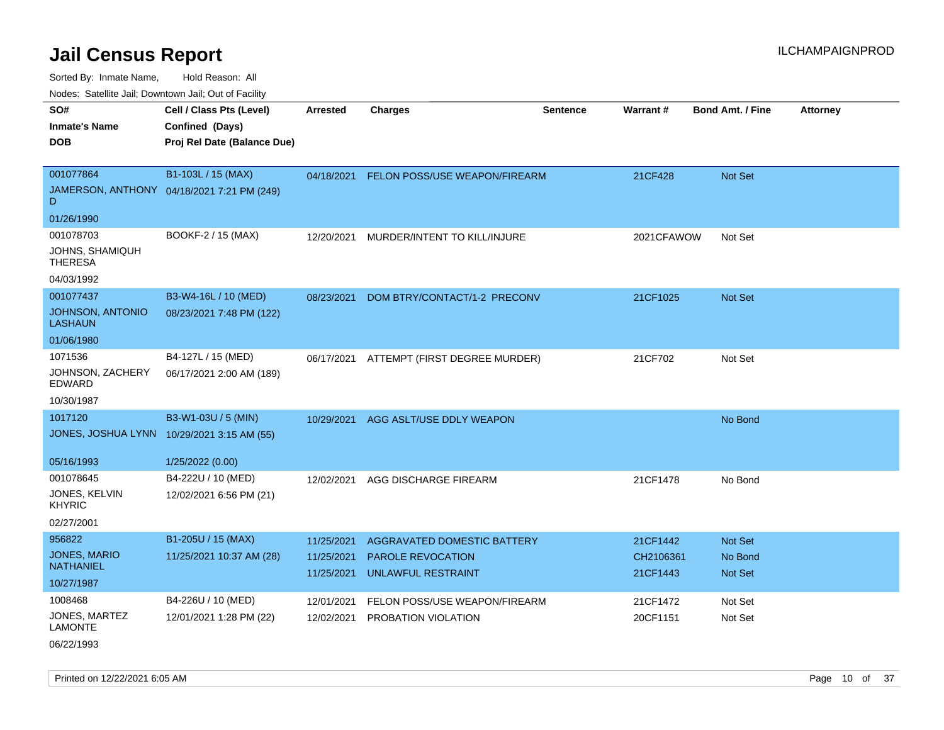Sorted By: Inmate Name, Hold Reason: All

Nodes: Satellite Jail; Downtown Jail; Out of Facility

| SO#<br><b>Inmate's Name</b>              | Cell / Class Pts (Level)<br>Confined (Days) | <b>Arrested</b>          | <b>Charges</b>                       | <b>Sentence</b> | Warrant#             | Bond Amt. / Fine | <b>Attorney</b> |
|------------------------------------------|---------------------------------------------|--------------------------|--------------------------------------|-----------------|----------------------|------------------|-----------------|
| <b>DOB</b>                               | Proj Rel Date (Balance Due)                 |                          |                                      |                 |                      |                  |                 |
|                                          |                                             |                          |                                      |                 |                      |                  |                 |
| 001077864                                | B1-103L / 15 (MAX)                          | 04/18/2021               | <b>FELON POSS/USE WEAPON/FIREARM</b> |                 | 21CF428              | Not Set          |                 |
| D                                        | JAMERSON, ANTHONY 04/18/2021 7:21 PM (249)  |                          |                                      |                 |                      |                  |                 |
| 01/26/1990                               |                                             |                          |                                      |                 |                      |                  |                 |
| 001078703                                | BOOKF-2 / 15 (MAX)                          | 12/20/2021               | MURDER/INTENT TO KILL/INJURE         |                 | 2021CFAWOW           | Not Set          |                 |
| <b>JOHNS, SHAMIQUH</b><br><b>THERESA</b> |                                             |                          |                                      |                 |                      |                  |                 |
| 04/03/1992                               |                                             |                          |                                      |                 |                      |                  |                 |
| 001077437                                | B3-W4-16L / 10 (MED)                        | 08/23/2021               | DOM BTRY/CONTACT/1-2 PRECONV         |                 | 21CF1025             | Not Set          |                 |
| JOHNSON, ANTONIO<br><b>LASHAUN</b>       | 08/23/2021 7:48 PM (122)                    |                          |                                      |                 |                      |                  |                 |
| 01/06/1980                               |                                             |                          |                                      |                 |                      |                  |                 |
| 1071536                                  | B4-127L / 15 (MED)                          | 06/17/2021               | ATTEMPT (FIRST DEGREE MURDER)        |                 | 21CF702              | Not Set          |                 |
| JOHNSON, ZACHERY<br><b>EDWARD</b>        | 06/17/2021 2:00 AM (189)                    |                          |                                      |                 |                      |                  |                 |
| 10/30/1987                               |                                             |                          |                                      |                 |                      |                  |                 |
| 1017120                                  | B3-W1-03U / 5 (MIN)                         | 10/29/2021               | AGG ASLT/USE DDLY WEAPON             |                 |                      | No Bond          |                 |
|                                          | JONES, JOSHUA LYNN 10/29/2021 3:15 AM (55)  |                          |                                      |                 |                      |                  |                 |
| 05/16/1993                               | 1/25/2022 (0.00)                            |                          |                                      |                 |                      |                  |                 |
| 001078645                                | B4-222U / 10 (MED)                          | 12/02/2021               | AGG DISCHARGE FIREARM                |                 | 21CF1478             | No Bond          |                 |
| JONES, KELVIN<br><b>KHYRIC</b>           | 12/02/2021 6:56 PM (21)                     |                          |                                      |                 |                      |                  |                 |
| 02/27/2001                               |                                             |                          |                                      |                 |                      |                  |                 |
| 956822                                   | B1-205U / 15 (MAX)                          | 11/25/2021               | AGGRAVATED DOMESTIC BATTERY          |                 | 21CF1442             | Not Set          |                 |
| JONES, MARIO<br><b>NATHANIEL</b>         | 11/25/2021 10:37 AM (28)                    | 11/25/2021               | PAROLE REVOCATION                    |                 | CH2106361            | No Bond          |                 |
| 10/27/1987                               |                                             | 11/25/2021               | <b>UNLAWFUL RESTRAINT</b>            |                 | 21CF1443             | Not Set          |                 |
| 1008468                                  | B4-226U / 10 (MED)                          |                          | FELON POSS/USE WEAPON/FIREARM        |                 |                      | Not Set          |                 |
| JONES, MARTEZ                            | 12/01/2021 1:28 PM (22)                     | 12/01/2021<br>12/02/2021 | PROBATION VIOLATION                  |                 | 21CF1472<br>20CF1151 | Not Set          |                 |
| <b>LAMONTE</b>                           |                                             |                          |                                      |                 |                      |                  |                 |
| 06/22/1993                               |                                             |                          |                                      |                 |                      |                  |                 |

Printed on 12/22/2021 6:05 AM Page 10 of 37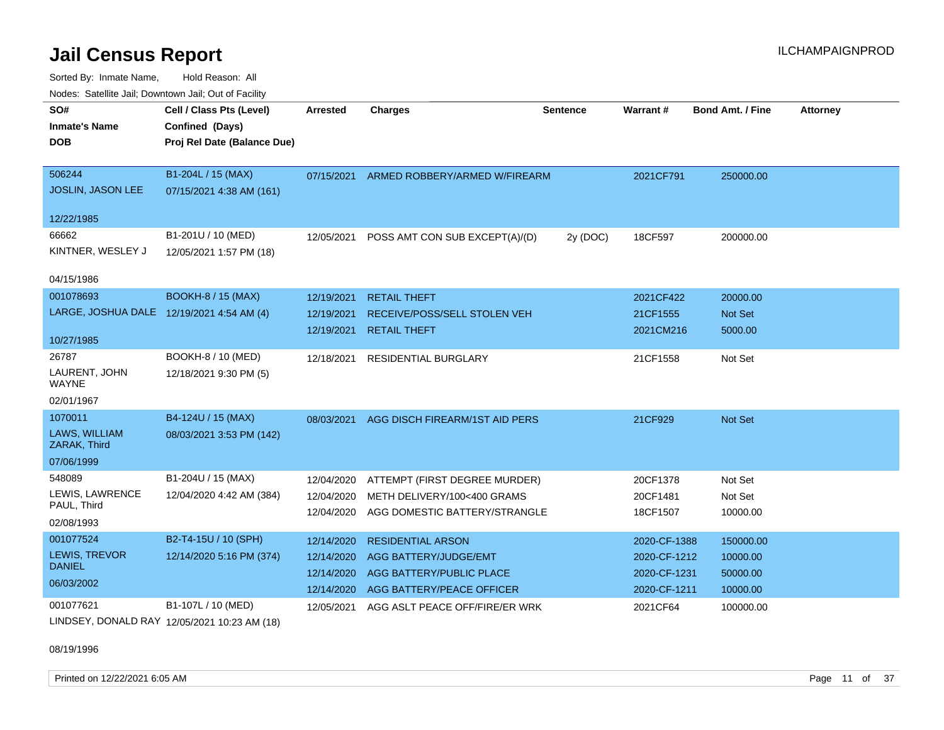Sorted By: Inmate Name, Hold Reason: All Nodes: Satellite Jail; Downtown Jail; Out of Facility

| SO#<br><b>Inmate's Name</b><br><b>DOB</b> | Cell / Class Pts (Level)<br>Confined (Days)<br>Proj Rel Date (Balance Due) | <b>Arrested</b> | <b>Charges</b>                 | <b>Sentence</b> | <b>Warrant#</b> | <b>Bond Amt. / Fine</b> | <b>Attorney</b> |
|-------------------------------------------|----------------------------------------------------------------------------|-----------------|--------------------------------|-----------------|-----------------|-------------------------|-----------------|
| 506244<br>JOSLIN, JASON LEE               | B1-204L / 15 (MAX)<br>07/15/2021 4:38 AM (161)                             | 07/15/2021      | ARMED ROBBERY/ARMED W/FIREARM  |                 | 2021CF791       | 250000.00               |                 |
| 12/22/1985                                |                                                                            |                 |                                |                 |                 |                         |                 |
| 66662<br>KINTNER, WESLEY J                | B1-201U / 10 (MED)<br>12/05/2021 1:57 PM (18)                              | 12/05/2021      | POSS AMT CON SUB EXCEPT(A)/(D) | 2y (DOC)        | 18CF597         | 200000.00               |                 |
| 04/15/1986                                |                                                                            |                 |                                |                 |                 |                         |                 |
| 001078693                                 | <b>BOOKH-8 / 15 (MAX)</b>                                                  | 12/19/2021      | <b>RETAIL THEFT</b>            |                 | 2021CF422       | 20000.00                |                 |
| LARGE, JOSHUA DALE 12/19/2021 4:54 AM (4) |                                                                            | 12/19/2021      | RECEIVE/POSS/SELL STOLEN VEH   |                 | 21CF1555        | <b>Not Set</b>          |                 |
| 10/27/1985                                |                                                                            | 12/19/2021      | <b>RETAIL THEFT</b>            |                 | 2021CM216       | 5000.00                 |                 |
| 26787                                     | BOOKH-8 / 10 (MED)                                                         | 12/18/2021      | <b>RESIDENTIAL BURGLARY</b>    |                 | 21CF1558        | Not Set                 |                 |
| LAURENT, JOHN<br><b>WAYNE</b>             | 12/18/2021 9:30 PM (5)                                                     |                 |                                |                 |                 |                         |                 |
| 02/01/1967                                |                                                                            |                 |                                |                 |                 |                         |                 |
| 1070011                                   | B4-124U / 15 (MAX)                                                         | 08/03/2021      | AGG DISCH FIREARM/1ST AID PERS |                 | 21CF929         | Not Set                 |                 |
| LAWS, WILLIAM<br>ZARAK, Third             | 08/03/2021 3:53 PM (142)                                                   |                 |                                |                 |                 |                         |                 |
| 07/06/1999                                |                                                                            |                 |                                |                 |                 |                         |                 |
| 548089                                    | B1-204U / 15 (MAX)                                                         | 12/04/2020      | ATTEMPT (FIRST DEGREE MURDER)  |                 | 20CF1378        | Not Set                 |                 |
| LEWIS, LAWRENCE                           | 12/04/2020 4:42 AM (384)                                                   | 12/04/2020      | METH DELIVERY/100<400 GRAMS    |                 | 20CF1481        | Not Set                 |                 |
| PAUL, Third                               |                                                                            | 12/04/2020      | AGG DOMESTIC BATTERY/STRANGLE  |                 | 18CF1507        | 10000.00                |                 |
| 02/08/1993                                |                                                                            |                 |                                |                 |                 |                         |                 |
| 001077524                                 | B2-T4-15U / 10 (SPH)                                                       | 12/14/2020      | <b>RESIDENTIAL ARSON</b>       |                 | 2020-CF-1388    | 150000.00               |                 |
| LEWIS, TREVOR<br><b>DANIEL</b>            | 12/14/2020 5:16 PM (374)                                                   | 12/14/2020      | AGG BATTERY/JUDGE/EMT          |                 | 2020-CF-1212    | 10000.00                |                 |
| 06/03/2002                                |                                                                            | 12/14/2020      | AGG BATTERY/PUBLIC PLACE       |                 | 2020-CF-1231    | 50000.00                |                 |
|                                           |                                                                            | 12/14/2020      | AGG BATTERY/PEACE OFFICER      |                 | 2020-CF-1211    | 10000.00                |                 |
| 001077621<br>$\overline{a}$               | B1-107L / 10 (MED)                                                         | 12/05/2021      | AGG ASLT PEACE OFF/FIRE/ER WRK |                 | 2021CF64        | 100000.00               |                 |

LINDSEY, DONALD RAY 12/05/2021 10:23 AM (18)

### 08/19/1996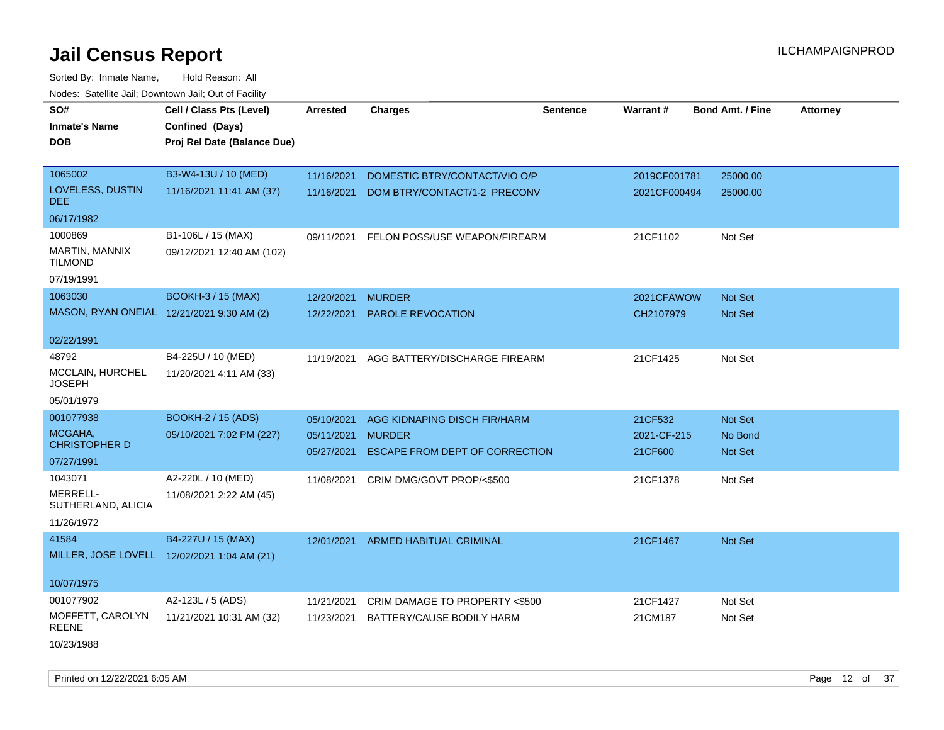Sorted By: Inmate Name, Hold Reason: All Nodes: Satellite Jail; Downtown Jail; Out of Facility

| <u>Rodoo:</u> Odtomto dan, Downtown dan, Out or Fabilit |                             |            |                                    |                 |              |                         |                 |
|---------------------------------------------------------|-----------------------------|------------|------------------------------------|-----------------|--------------|-------------------------|-----------------|
| SO#                                                     | Cell / Class Pts (Level)    | Arrested   | <b>Charges</b>                     | <b>Sentence</b> | Warrant#     | <b>Bond Amt. / Fine</b> | <b>Attorney</b> |
| <b>Inmate's Name</b>                                    | Confined (Days)             |            |                                    |                 |              |                         |                 |
| <b>DOB</b>                                              | Proj Rel Date (Balance Due) |            |                                    |                 |              |                         |                 |
|                                                         |                             |            |                                    |                 |              |                         |                 |
| 1065002                                                 | B3-W4-13U / 10 (MED)        | 11/16/2021 | DOMESTIC BTRY/CONTACT/VIO O/P      |                 | 2019CF001781 | 25000.00                |                 |
| LOVELESS, DUSTIN<br>DEE                                 | 11/16/2021 11:41 AM (37)    | 11/16/2021 | DOM BTRY/CONTACT/1-2 PRECONV       |                 | 2021CF000494 | 25000.00                |                 |
| 06/17/1982                                              |                             |            |                                    |                 |              |                         |                 |
| 1000869                                                 | B1-106L / 15 (MAX)          | 09/11/2021 | FELON POSS/USE WEAPON/FIREARM      |                 | 21CF1102     | Not Set                 |                 |
| MARTIN, MANNIX<br><b>TILMOND</b>                        | 09/12/2021 12:40 AM (102)   |            |                                    |                 |              |                         |                 |
| 07/19/1991                                              |                             |            |                                    |                 |              |                         |                 |
| 1063030                                                 | <b>BOOKH-3 / 15 (MAX)</b>   | 12/20/2021 | <b>MURDER</b>                      |                 | 2021CFAWOW   | <b>Not Set</b>          |                 |
| MASON, RYAN ONEIAL 12/21/2021 9:30 AM (2)               |                             | 12/22/2021 | <b>PAROLE REVOCATION</b>           |                 | CH2107979    | Not Set                 |                 |
| 02/22/1991                                              |                             |            |                                    |                 |              |                         |                 |
| 48792                                                   | B4-225U / 10 (MED)          | 11/19/2021 | AGG BATTERY/DISCHARGE FIREARM      |                 | 21CF1425     | Not Set                 |                 |
| MCCLAIN, HURCHEL<br>JOSEPH                              | 11/20/2021 4:11 AM (33)     |            |                                    |                 |              |                         |                 |
| 05/01/1979                                              |                             |            |                                    |                 |              |                         |                 |
| 001077938                                               | <b>BOOKH-2 / 15 (ADS)</b>   | 05/10/2021 | AGG KIDNAPING DISCH FIR/HARM       |                 | 21CF532      | <b>Not Set</b>          |                 |
| MCGAHA,<br><b>CHRISTOPHER D</b>                         | 05/10/2021 7:02 PM (227)    | 05/11/2021 | <b>MURDER</b>                      |                 | 2021-CF-215  | No Bond                 |                 |
| 07/27/1991                                              |                             | 05/27/2021 | ESCAPE FROM DEPT OF CORRECTION     |                 | 21CF600      | <b>Not Set</b>          |                 |
| 1043071                                                 | A2-220L / 10 (MED)          | 11/08/2021 | CRIM DMG/GOVT PROP/<\$500          |                 | 21CF1378     | Not Set                 |                 |
| MERRELL-<br>SUTHERLAND, ALICIA                          | 11/08/2021 2:22 AM (45)     |            |                                    |                 |              |                         |                 |
| 11/26/1972                                              |                             |            |                                    |                 |              |                         |                 |
| 41584                                                   | B4-227U / 15 (MAX)          |            | 12/01/2021 ARMED HABITUAL CRIMINAL |                 | 21CF1467     | <b>Not Set</b>          |                 |
| MILLER, JOSE LOVELL 12/02/2021 1:04 AM (21)             |                             |            |                                    |                 |              |                         |                 |
| 10/07/1975                                              |                             |            |                                    |                 |              |                         |                 |
| 001077902                                               | A2-123L / 5 (ADS)           | 11/21/2021 | CRIM DAMAGE TO PROPERTY <\$500     |                 | 21CF1427     | Not Set                 |                 |
| MOFFETT, CAROLYN<br><b>REENE</b>                        | 11/21/2021 10:31 AM (32)    | 11/23/2021 | BATTERY/CAUSE BODILY HARM          |                 | 21CM187      | Not Set                 |                 |
| 10/23/1988                                              |                             |            |                                    |                 |              |                         |                 |

Printed on 12/22/2021 6:05 AM Page 12 of 37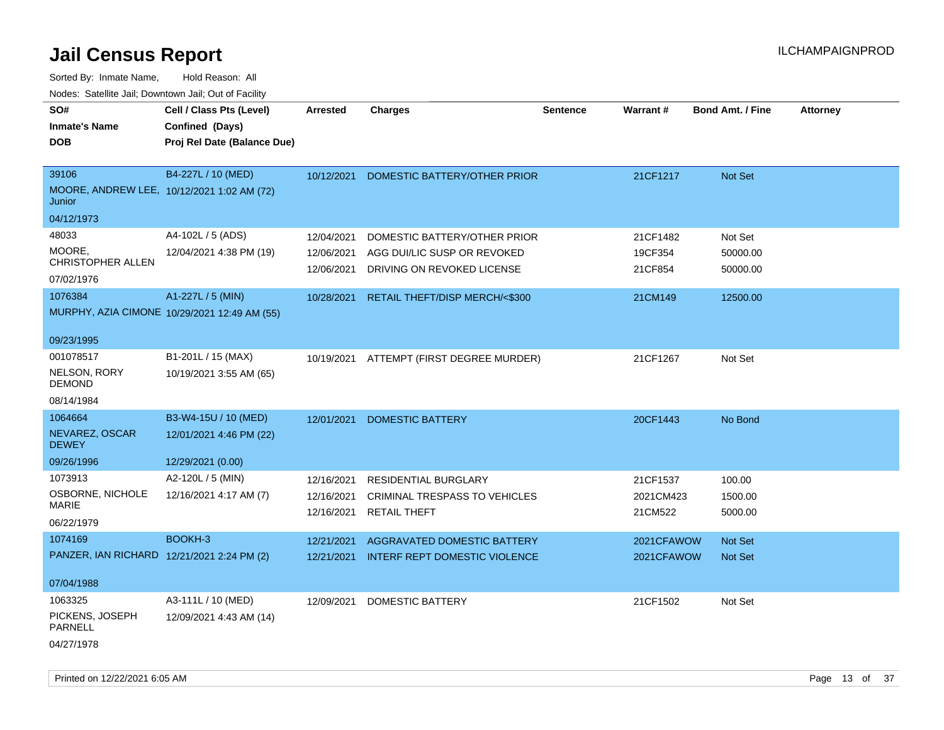| SO#<br><b>Inmate's Name</b><br><b>DOB</b>                  | Cell / Class Pts (Level)<br>Confined (Days)<br>Proj Rel Date (Balance Due) | <b>Arrested</b>                        | <b>Charges</b>                                                                             | <b>Sentence</b> | Warrant#                         | <b>Bond Amt. / Fine</b>         | <b>Attorney</b> |
|------------------------------------------------------------|----------------------------------------------------------------------------|----------------------------------------|--------------------------------------------------------------------------------------------|-----------------|----------------------------------|---------------------------------|-----------------|
| 39106<br>Junior<br>04/12/1973                              | B4-227L / 10 (MED)<br>MOORE, ANDREW LEE, 10/12/2021 1:02 AM (72)           | 10/12/2021                             | DOMESTIC BATTERY/OTHER PRIOR                                                               |                 | 21CF1217                         | Not Set                         |                 |
| 48033<br>MOORE.<br>CHRISTOPHER ALLEN<br>07/02/1976         | A4-102L / 5 (ADS)<br>12/04/2021 4:38 PM (19)                               | 12/04/2021<br>12/06/2021<br>12/06/2021 | DOMESTIC BATTERY/OTHER PRIOR<br>AGG DUI/LIC SUSP OR REVOKED<br>DRIVING ON REVOKED LICENSE  |                 | 21CF1482<br>19CF354<br>21CF854   | Not Set<br>50000.00<br>50000.00 |                 |
| 1076384<br>09/23/1995                                      | A1-227L / 5 (MIN)<br>MURPHY, AZIA CIMONE 10/29/2021 12:49 AM (55)          | 10/28/2021                             | RETAIL THEFT/DISP MERCH/<\$300                                                             |                 | 21CM149                          | 12500.00                        |                 |
| 001078517<br>NELSON, RORY<br><b>DEMOND</b><br>08/14/1984   | B1-201L / 15 (MAX)<br>10/19/2021 3:55 AM (65)                              |                                        | 10/19/2021 ATTEMPT (FIRST DEGREE MURDER)                                                   |                 | 21CF1267                         | Not Set                         |                 |
| 1064664<br>NEVAREZ, OSCAR<br><b>DEWEY</b><br>09/26/1996    | B3-W4-15U / 10 (MED)<br>12/01/2021 4:46 PM (22)<br>12/29/2021 (0.00)       | 12/01/2021                             | <b>DOMESTIC BATTERY</b>                                                                    |                 | 20CF1443                         | No Bond                         |                 |
| 1073913<br>OSBORNE, NICHOLE<br><b>MARIE</b><br>06/22/1979  | A2-120L / 5 (MIN)<br>12/16/2021 4:17 AM (7)                                | 12/16/2021<br>12/16/2021<br>12/16/2021 | <b>RESIDENTIAL BURGLARY</b><br><b>CRIMINAL TRESPASS TO VEHICLES</b><br><b>RETAIL THEFT</b> |                 | 21CF1537<br>2021CM423<br>21CM522 | 100.00<br>1500.00<br>5000.00    |                 |
| 1074169<br>07/04/1988                                      | BOOKH-3<br>PANZER, IAN RICHARD 12/21/2021 2:24 PM (2)                      | 12/21/2021                             | AGGRAVATED DOMESTIC BATTERY<br>12/21/2021 INTERF REPT DOMESTIC VIOLENCE                    |                 | 2021CFAWOW<br>2021CFAWOW         | Not Set<br><b>Not Set</b>       |                 |
| 1063325<br>PICKENS, JOSEPH<br><b>PARNELL</b><br>04/27/1978 | A3-111L / 10 (MED)<br>12/09/2021 4:43 AM (14)                              | 12/09/2021                             | <b>DOMESTIC BATTERY</b>                                                                    |                 | 21CF1502                         | Not Set                         |                 |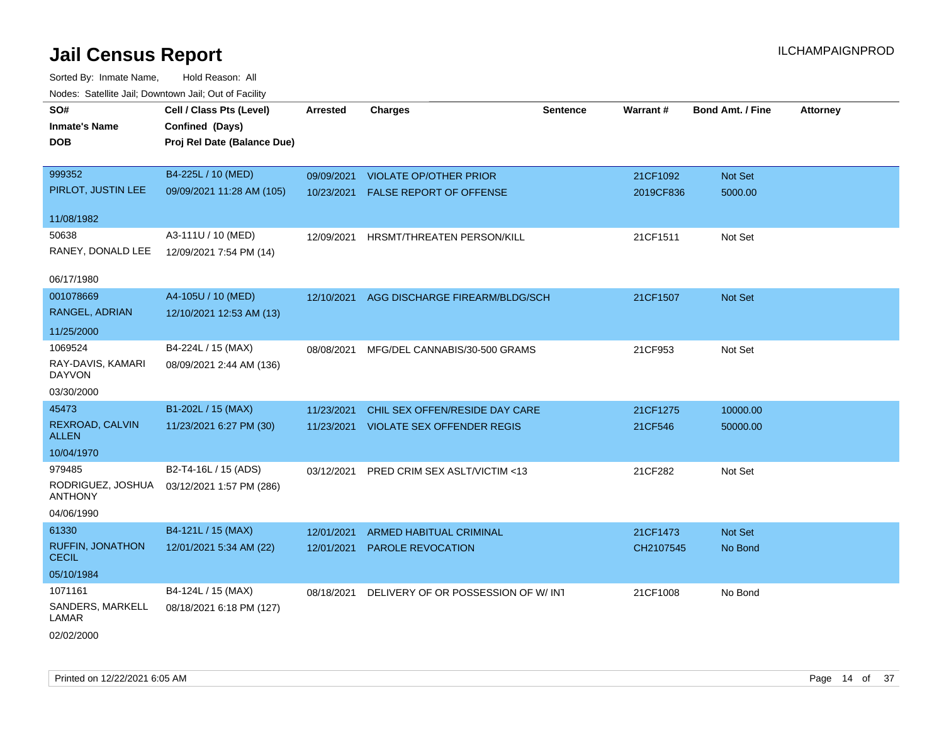| <b>Nouted:</b> Catomic Can, Downtown Can, Out of Fability |                             |                 |                                    |                 |                 |                         |                 |
|-----------------------------------------------------------|-----------------------------|-----------------|------------------------------------|-----------------|-----------------|-------------------------|-----------------|
| SO#                                                       | Cell / Class Pts (Level)    | <b>Arrested</b> | <b>Charges</b>                     | <b>Sentence</b> | <b>Warrant#</b> | <b>Bond Amt. / Fine</b> | <b>Attorney</b> |
| <b>Inmate's Name</b>                                      | Confined (Days)             |                 |                                    |                 |                 |                         |                 |
| <b>DOB</b>                                                | Proj Rel Date (Balance Due) |                 |                                    |                 |                 |                         |                 |
|                                                           |                             |                 |                                    |                 |                 |                         |                 |
| 999352                                                    | B4-225L / 10 (MED)          | 09/09/2021      | <b>VIOLATE OP/OTHER PRIOR</b>      |                 | 21CF1092        | Not Set                 |                 |
| PIRLOT, JUSTIN LEE                                        | 09/09/2021 11:28 AM (105)   | 10/23/2021      | FALSE REPORT OF OFFENSE            |                 | 2019CF836       | 5000.00                 |                 |
| 11/08/1982                                                |                             |                 |                                    |                 |                 |                         |                 |
| 50638                                                     | A3-111U / 10 (MED)          | 12/09/2021      | HRSMT/THREATEN PERSON/KILL         |                 | 21CF1511        | Not Set                 |                 |
| RANEY, DONALD LEE                                         | 12/09/2021 7:54 PM (14)     |                 |                                    |                 |                 |                         |                 |
|                                                           |                             |                 |                                    |                 |                 |                         |                 |
| 06/17/1980                                                |                             |                 |                                    |                 |                 |                         |                 |
| 001078669                                                 | A4-105U / 10 (MED)          | 12/10/2021      | AGG DISCHARGE FIREARM/BLDG/SCH     |                 | 21CF1507        | Not Set                 |                 |
| RANGEL, ADRIAN                                            | 12/10/2021 12:53 AM (13)    |                 |                                    |                 |                 |                         |                 |
| 11/25/2000                                                |                             |                 |                                    |                 |                 |                         |                 |
| 1069524                                                   | B4-224L / 15 (MAX)          | 08/08/2021      | MFG/DEL CANNABIS/30-500 GRAMS      |                 | 21CF953         | Not Set                 |                 |
| RAY-DAVIS, KAMARI<br><b>DAYVON</b>                        | 08/09/2021 2:44 AM (136)    |                 |                                    |                 |                 |                         |                 |
| 03/30/2000                                                |                             |                 |                                    |                 |                 |                         |                 |
| 45473                                                     | B1-202L / 15 (MAX)          | 11/23/2021      | CHIL SEX OFFEN/RESIDE DAY CARE     |                 | 21CF1275        | 10000.00                |                 |
| REXROAD, CALVIN                                           | 11/23/2021 6:27 PM (30)     | 11/23/2021      | <b>VIOLATE SEX OFFENDER REGIS</b>  |                 | 21CF546         |                         |                 |
| <b>ALLEN</b>                                              |                             |                 |                                    |                 |                 | 50000.00                |                 |
| 10/04/1970                                                |                             |                 |                                    |                 |                 |                         |                 |
| 979485                                                    | B2-T4-16L / 15 (ADS)        | 03/12/2021      | PRED CRIM SEX ASLT/VICTIM <13      |                 | 21CF282         | Not Set                 |                 |
| RODRIGUEZ, JOSHUA<br><b>ANTHONY</b>                       | 03/12/2021 1:57 PM (286)    |                 |                                    |                 |                 |                         |                 |
| 04/06/1990                                                |                             |                 |                                    |                 |                 |                         |                 |
| 61330                                                     | B4-121L / 15 (MAX)          | 12/01/2021      | ARMED HABITUAL CRIMINAL            |                 | 21CF1473        | Not Set                 |                 |
| <b>RUFFIN, JONATHON</b>                                   | 12/01/2021 5:34 AM (22)     | 12/01/2021      | PAROLE REVOCATION                  |                 | CH2107545       | No Bond                 |                 |
| <b>CECIL</b>                                              |                             |                 |                                    |                 |                 |                         |                 |
| 05/10/1984                                                |                             |                 |                                    |                 |                 |                         |                 |
| 1071161                                                   | B4-124L / 15 (MAX)          | 08/18/2021      | DELIVERY OF OR POSSESSION OF W/INT |                 | 21CF1008        | No Bond                 |                 |
| SANDERS, MARKELL<br>LAMAR                                 | 08/18/2021 6:18 PM (127)    |                 |                                    |                 |                 |                         |                 |
| 02/02/2000                                                |                             |                 |                                    |                 |                 |                         |                 |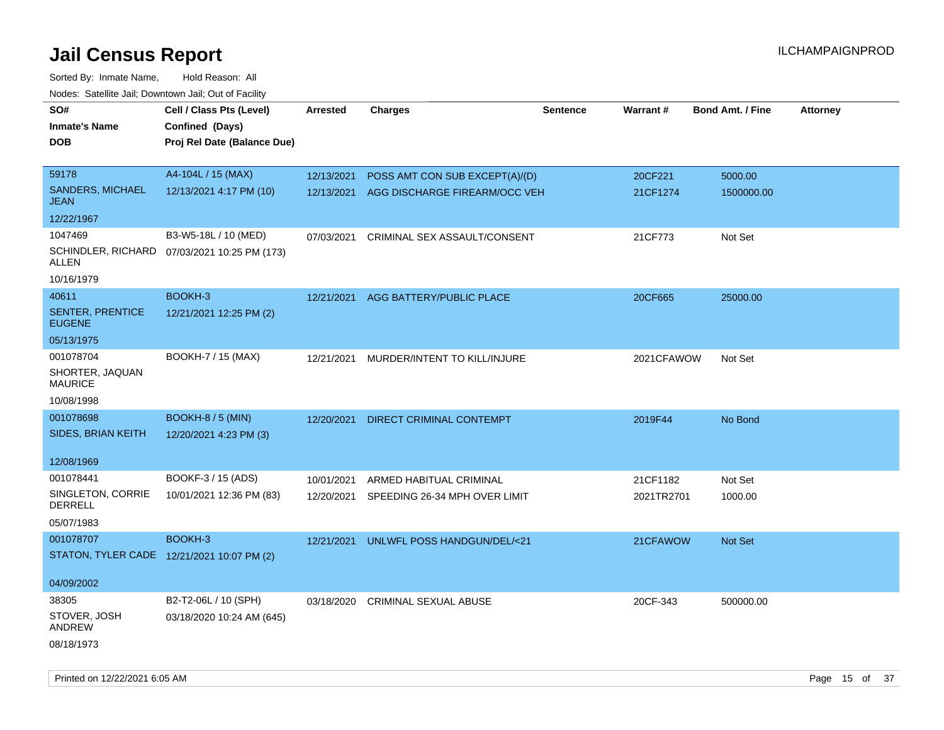| SO#<br><b>Inmate's Name</b><br>DOB         | Cell / Class Pts (Level)<br>Confined (Days)<br>Proj Rel Date (Balance Due) | Arrested   | <b>Charges</b>                  | <b>Sentence</b> | <b>Warrant#</b> | <b>Bond Amt. / Fine</b> | <b>Attorney</b> |
|--------------------------------------------|----------------------------------------------------------------------------|------------|---------------------------------|-----------------|-----------------|-------------------------|-----------------|
| 59178                                      | A4-104L / 15 (MAX)                                                         | 12/13/2021 | POSS AMT CON SUB EXCEPT(A)/(D)  |                 | 20CF221         | 5000.00                 |                 |
| <b>SANDERS, MICHAEL</b><br><b>JEAN</b>     | 12/13/2021 4:17 PM (10)                                                    | 12/13/2021 | AGG DISCHARGE FIREARM/OCC VEH   |                 | 21CF1274        | 1500000.00              |                 |
| 12/22/1967                                 |                                                                            |            |                                 |                 |                 |                         |                 |
| 1047469                                    | B3-W5-18L / 10 (MED)                                                       | 07/03/2021 | CRIMINAL SEX ASSAULT/CONSENT    |                 | 21CF773         | Not Set                 |                 |
| ALLEN                                      | SCHINDLER, RICHARD 07/03/2021 10:25 PM (173)                               |            |                                 |                 |                 |                         |                 |
| 10/16/1979                                 |                                                                            |            |                                 |                 |                 |                         |                 |
| 40611                                      | BOOKH-3                                                                    | 12/21/2021 | AGG BATTERY/PUBLIC PLACE        |                 | 20CF665         | 25000.00                |                 |
| <b>SENTER, PRENTICE</b><br><b>EUGENE</b>   | 12/21/2021 12:25 PM (2)                                                    |            |                                 |                 |                 |                         |                 |
| 05/13/1975                                 |                                                                            |            |                                 |                 |                 |                         |                 |
| 001078704                                  | BOOKH-7 / 15 (MAX)                                                         | 12/21/2021 | MURDER/INTENT TO KILL/INJURE    |                 | 2021CFAWOW      | Not Set                 |                 |
| SHORTER, JAQUAN<br><b>MAURICE</b>          |                                                                            |            |                                 |                 |                 |                         |                 |
| 10/08/1998                                 |                                                                            |            |                                 |                 |                 |                         |                 |
| 001078698                                  | BOOKH-8 / 5 (MIN)                                                          | 12/20/2021 | <b>DIRECT CRIMINAL CONTEMPT</b> |                 | 2019F44         | No Bond                 |                 |
| SIDES, BRIAN KEITH                         | 12/20/2021 4:23 PM (3)                                                     |            |                                 |                 |                 |                         |                 |
| 12/08/1969                                 |                                                                            |            |                                 |                 |                 |                         |                 |
| 001078441                                  | BOOKF-3 / 15 (ADS)                                                         | 10/01/2021 | ARMED HABITUAL CRIMINAL         |                 | 21CF1182        | Not Set                 |                 |
| SINGLETON, CORRIE<br><b>DERRELL</b>        | 10/01/2021 12:36 PM (83)                                                   | 12/20/2021 | SPEEDING 26-34 MPH OVER LIMIT   |                 | 2021TR2701      | 1000.00                 |                 |
| 05/07/1983                                 |                                                                            |            |                                 |                 |                 |                         |                 |
| 001078707                                  | BOOKH-3                                                                    | 12/21/2021 | UNLWFL POSS HANDGUN/DEL/<21     |                 | 21CFAWOW        | Not Set                 |                 |
| STATON, TYLER CADE 12/21/2021 10:07 PM (2) |                                                                            |            |                                 |                 |                 |                         |                 |
| 04/09/2002                                 |                                                                            |            |                                 |                 |                 |                         |                 |
| 38305                                      | B2-T2-06L / 10 (SPH)                                                       | 03/18/2020 | <b>CRIMINAL SEXUAL ABUSE</b>    |                 | 20CF-343        | 500000.00               |                 |
| STOVER, JOSH<br>ANDREW                     | 03/18/2020 10:24 AM (645)                                                  |            |                                 |                 |                 |                         |                 |
| 08/18/1973                                 |                                                                            |            |                                 |                 |                 |                         |                 |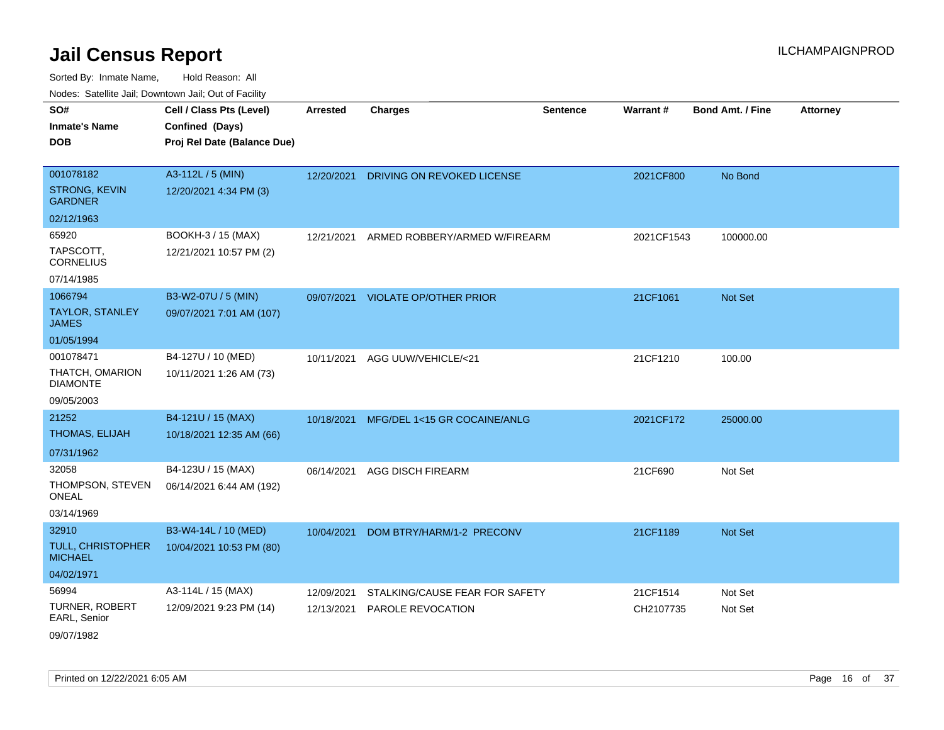| rouco. Calcillo Jali, Downtown Jali, Out of Facility |                                                                            |                 |                                          |                 |                 |                         |                 |
|------------------------------------------------------|----------------------------------------------------------------------------|-----------------|------------------------------------------|-----------------|-----------------|-------------------------|-----------------|
| SO#<br>Inmate's Name<br><b>DOB</b>                   | Cell / Class Pts (Level)<br>Confined (Days)<br>Proj Rel Date (Balance Due) | <b>Arrested</b> | <b>Charges</b>                           | <b>Sentence</b> | <b>Warrant#</b> | <b>Bond Amt. / Fine</b> | <b>Attorney</b> |
|                                                      |                                                                            |                 |                                          |                 |                 |                         |                 |
| 001078182                                            | A3-112L / 5 (MIN)                                                          |                 | 12/20/2021 DRIVING ON REVOKED LICENSE    |                 | 2021CF800       | No Bond                 |                 |
| STRONG, KEVIN<br>GARDNER                             | 12/20/2021 4:34 PM (3)                                                     |                 |                                          |                 |                 |                         |                 |
| 02/12/1963                                           |                                                                            |                 |                                          |                 |                 |                         |                 |
| 65920                                                | BOOKH-3 / 15 (MAX)                                                         |                 | 12/21/2021 ARMED ROBBERY/ARMED W/FIREARM |                 | 2021CF1543      | 100000.00               |                 |
| TAPSCOTT,<br>CORNELIUS                               | 12/21/2021 10:57 PM (2)                                                    |                 |                                          |                 |                 |                         |                 |
| 07/14/1985                                           |                                                                            |                 |                                          |                 |                 |                         |                 |
| 1066794                                              | B3-W2-07U / 5 (MIN)                                                        |                 | 09/07/2021 VIOLATE OP/OTHER PRIOR        |                 | 21CF1061        | <b>Not Set</b>          |                 |
| TAYLOR, STANLEY<br>JAMES                             | 09/07/2021 7:01 AM (107)                                                   |                 |                                          |                 |                 |                         |                 |
| 01/05/1994                                           |                                                                            |                 |                                          |                 |                 |                         |                 |
| 001078471                                            | B4-127U / 10 (MED)                                                         | 10/11/2021      | AGG UUW/VEHICLE/<21                      |                 | 21CF1210        | 100.00                  |                 |
| THATCH, OMARION<br>DIAMONTE                          | 10/11/2021 1:26 AM (73)                                                    |                 |                                          |                 |                 |                         |                 |
| 09/05/2003                                           |                                                                            |                 |                                          |                 |                 |                         |                 |
| 21252                                                | B4-121U / 15 (MAX)                                                         | 10/18/2021      | MFG/DEL 1<15 GR COCAINE/ANLG             |                 | 2021CF172       | 25000.00                |                 |
| <b>THOMAS, ELIJAH</b>                                | 10/18/2021 12:35 AM (66)                                                   |                 |                                          |                 |                 |                         |                 |
| 07/31/1962                                           |                                                                            |                 |                                          |                 |                 |                         |                 |
| 32058                                                | B4-123U / 15 (MAX)                                                         |                 | 06/14/2021 AGG DISCH FIREARM             |                 | 21CF690         | Not Set                 |                 |
| THOMPSON, STEVEN<br>ONEAL                            | 06/14/2021 6:44 AM (192)                                                   |                 |                                          |                 |                 |                         |                 |
| 03/14/1969                                           |                                                                            |                 |                                          |                 |                 |                         |                 |
| 32910                                                | B3-W4-14L / 10 (MED)                                                       |                 | 10/04/2021 DOM BTRY/HARM/1-2 PRECONV     |                 | 21CF1189        | <b>Not Set</b>          |                 |
| TULL, CHRISTOPHER<br><b>MICHAEL</b>                  | 10/04/2021 10:53 PM (80)                                                   |                 |                                          |                 |                 |                         |                 |
| 04/02/1971                                           |                                                                            |                 |                                          |                 |                 |                         |                 |
| 56994                                                | A3-114L / 15 (MAX)                                                         | 12/09/2021      | STALKING/CAUSE FEAR FOR SAFETY           |                 | 21CF1514        | Not Set                 |                 |
| <b>TURNER, ROBERT</b><br>EARL, Senior                | 12/09/2021 9:23 PM (14)                                                    | 12/13/2021      | <b>PAROLE REVOCATION</b>                 |                 | CH2107735       | Not Set                 |                 |
| 09/07/1982                                           |                                                                            |                 |                                          |                 |                 |                         |                 |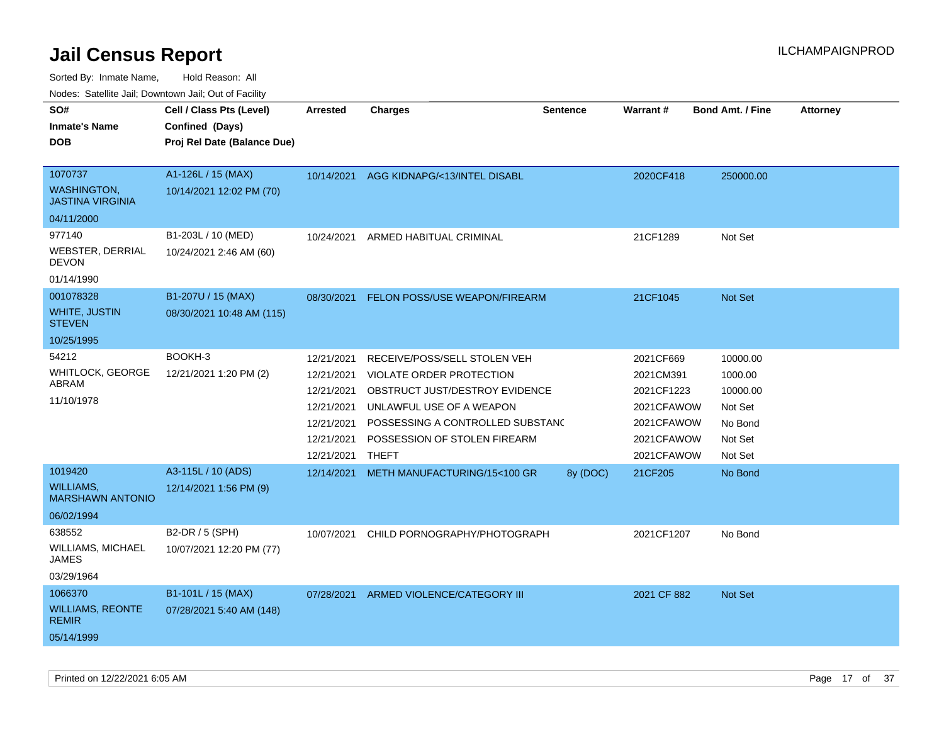Sorted By: Inmate Name, Hold Reason: All

Nodes: Satellite Jail; Downtown Jail; Out of Facility

| SO#<br><b>Inmate's Name</b><br><b>DOB</b><br>1070737<br><b>WASHINGTON,</b><br><b>JASTINA VIRGINIA</b> | Cell / Class Pts (Level)<br>Confined (Days)<br>Proj Rel Date (Balance Due)<br>A1-126L / 15 (MAX)<br>10/14/2021 12:02 PM (70) | <b>Arrested</b><br>10/14/2021                                                                  | <b>Charges</b><br>AGG KIDNAPG/<13/INTEL DISABL                                                                                                                                                             | <b>Sentence</b> | <b>Warrant#</b><br>2020CF418                                                                 | <b>Bond Amt. / Fine</b><br>250000.00                                        | <b>Attorney</b> |
|-------------------------------------------------------------------------------------------------------|------------------------------------------------------------------------------------------------------------------------------|------------------------------------------------------------------------------------------------|------------------------------------------------------------------------------------------------------------------------------------------------------------------------------------------------------------|-----------------|----------------------------------------------------------------------------------------------|-----------------------------------------------------------------------------|-----------------|
| 04/11/2000<br>977140<br><b>WEBSTER, DERRIAL</b><br><b>DEVON</b><br>01/14/1990                         | B1-203L / 10 (MED)<br>10/24/2021 2:46 AM (60)                                                                                | 10/24/2021                                                                                     | ARMED HABITUAL CRIMINAL                                                                                                                                                                                    |                 | 21CF1289                                                                                     | Not Set                                                                     |                 |
| 001078328<br><b>WHITE, JUSTIN</b><br><b>STEVEN</b><br>10/25/1995                                      | B1-207U / 15 (MAX)<br>08/30/2021 10:48 AM (115)                                                                              | 08/30/2021                                                                                     | <b>FELON POSS/USE WEAPON/FIREARM</b>                                                                                                                                                                       |                 | 21CF1045                                                                                     | Not Set                                                                     |                 |
| 54212<br>WHITLOCK, GEORGE<br>ABRAM<br>11/10/1978                                                      | BOOKH-3<br>12/21/2021 1:20 PM (2)                                                                                            | 12/21/2021<br>12/21/2021<br>12/21/2021<br>12/21/2021<br>12/21/2021<br>12/21/2021<br>12/21/2021 | RECEIVE/POSS/SELL STOLEN VEH<br>VIOLATE ORDER PROTECTION<br>OBSTRUCT JUST/DESTROY EVIDENCE<br>UNLAWFUL USE OF A WEAPON<br>POSSESSING A CONTROLLED SUBSTAND<br>POSSESSION OF STOLEN FIREARM<br><b>THEFT</b> |                 | 2021CF669<br>2021CM391<br>2021CF1223<br>2021CFAWOW<br>2021CFAWOW<br>2021CFAWOW<br>2021CFAWOW | 10000.00<br>1000.00<br>10000.00<br>Not Set<br>No Bond<br>Not Set<br>Not Set |                 |
| 1019420<br><b>WILLIAMS,</b><br><b>MARSHAWN ANTONIO</b><br>06/02/1994                                  | A3-115L / 10 (ADS)<br>12/14/2021 1:56 PM (9)                                                                                 | 12/14/2021                                                                                     | METH MANUFACTURING/15<100 GR                                                                                                                                                                               | 8y (DOC)        | 21CF205                                                                                      | No Bond                                                                     |                 |
| 638552<br>WILLIAMS, MICHAEL<br>JAMES<br>03/29/1964                                                    | B2-DR / 5 (SPH)<br>10/07/2021 12:20 PM (77)                                                                                  | 10/07/2021                                                                                     | CHILD PORNOGRAPHY/PHOTOGRAPH                                                                                                                                                                               |                 | 2021CF1207                                                                                   | No Bond                                                                     |                 |
| 1066370<br><b>WILLIAMS, REONTE</b><br><b>REMIR</b><br>05/14/1999                                      | B1-101L / 15 (MAX)<br>07/28/2021 5:40 AM (148)                                                                               | 07/28/2021                                                                                     | ARMED VIOLENCE/CATEGORY III                                                                                                                                                                                |                 | 2021 CF 882                                                                                  | Not Set                                                                     |                 |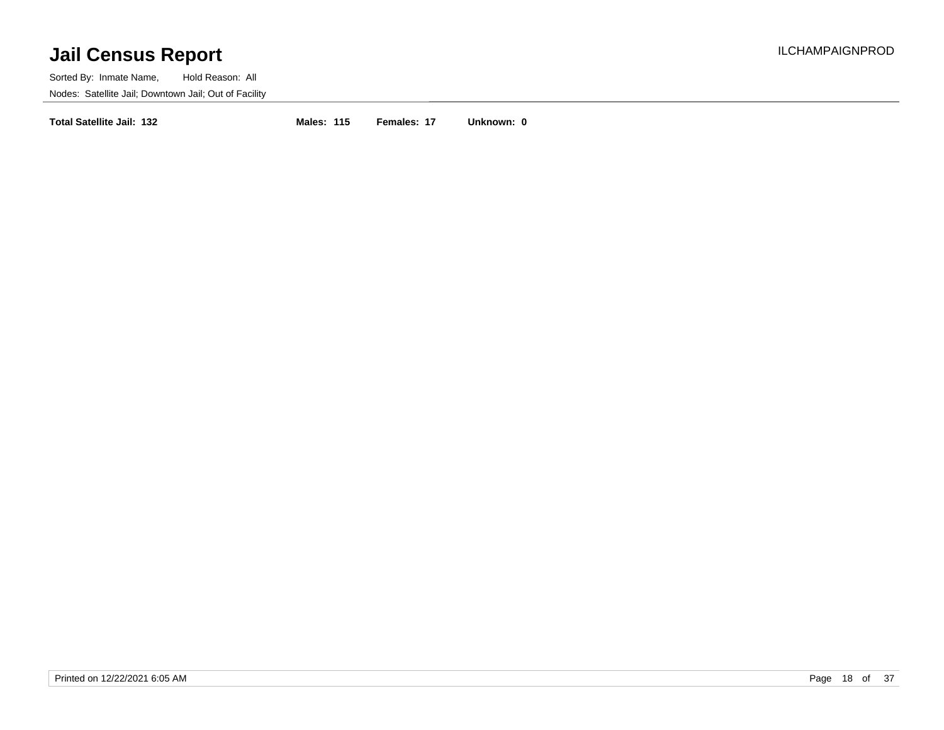Sorted By: Inmate Name, Hold Reason: All Nodes: Satellite Jail; Downtown Jail; Out of Facility

**Total Satellite Jail: 132 Males: 115 Females: 17 Unknown: 0**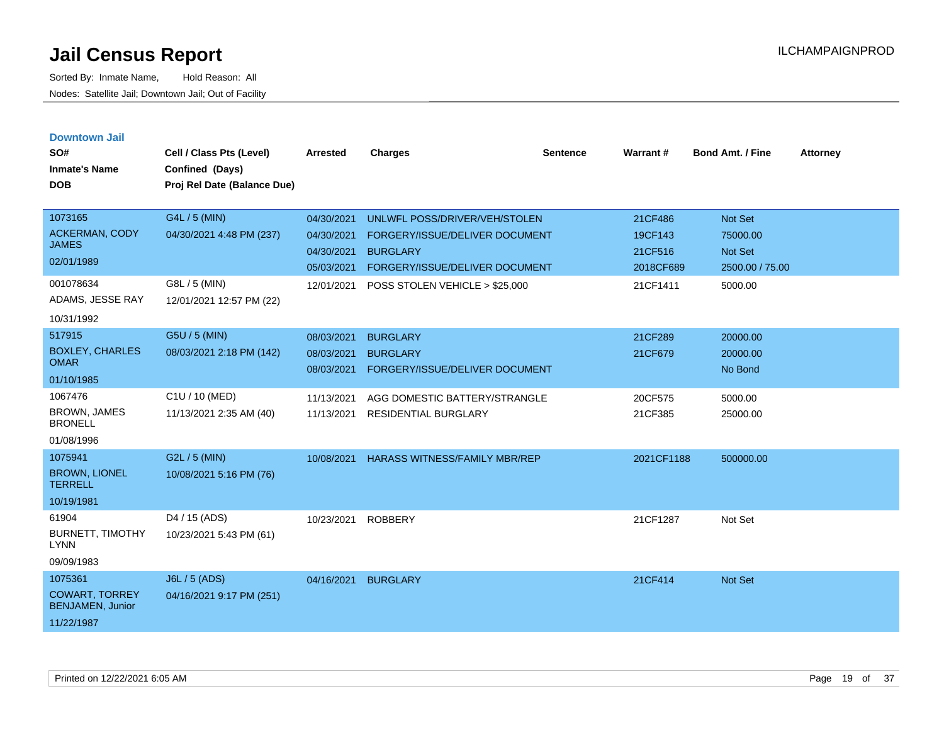| <b>Downtown Jail</b><br>SO#<br><b>Inmate's Name</b><br><b>DOB</b>                               | Cell / Class Pts (Level)<br>Confined (Days)<br>Proj Rel Date (Balance Due)             | <b>Arrested</b>                                                    | <b>Charges</b>                                                                                                                                         | <b>Sentence</b> | Warrant#                                               | <b>Bond Amt. / Fine</b>                                             | <b>Attorney</b> |
|-------------------------------------------------------------------------------------------------|----------------------------------------------------------------------------------------|--------------------------------------------------------------------|--------------------------------------------------------------------------------------------------------------------------------------------------------|-----------------|--------------------------------------------------------|---------------------------------------------------------------------|-----------------|
| 1073165<br><b>ACKERMAN, CODY</b><br><b>JAMES</b><br>02/01/1989<br>001078634<br>ADAMS, JESSE RAY | G4L / 5 (MIN)<br>04/30/2021 4:48 PM (237)<br>G8L / 5 (MIN)<br>12/01/2021 12:57 PM (22) | 04/30/2021<br>04/30/2021<br>04/30/2021<br>05/03/2021<br>12/01/2021 | UNLWFL POSS/DRIVER/VEH/STOLEN<br>FORGERY/ISSUE/DELIVER DOCUMENT<br><b>BURGLARY</b><br>FORGERY/ISSUE/DELIVER DOCUMENT<br>POSS STOLEN VEHICLE > \$25,000 |                 | 21CF486<br>19CF143<br>21CF516<br>2018CF689<br>21CF1411 | Not Set<br>75000.00<br><b>Not Set</b><br>2500.00 / 75.00<br>5000.00 |                 |
| 10/31/1992<br>517915<br><b>BOXLEY, CHARLES</b><br><b>OMAR</b><br>01/10/1985                     | G5U / 5 (MIN)<br>08/03/2021 2:18 PM (142)                                              | 08/03/2021<br>08/03/2021<br>08/03/2021                             | <b>BURGLARY</b><br><b>BURGLARY</b><br><b>FORGERY/ISSUE/DELIVER DOCUMENT</b>                                                                            |                 | 21CF289<br>21CF679                                     | 20000.00<br>20000.00<br>No Bond                                     |                 |
| 1067476<br><b>BROWN, JAMES</b><br><b>BRONELL</b><br>01/08/1996                                  | C1U / 10 (MED)<br>11/13/2021 2:35 AM (40)                                              | 11/13/2021<br>11/13/2021                                           | AGG DOMESTIC BATTERY/STRANGLE<br><b>RESIDENTIAL BURGLARY</b>                                                                                           |                 | 20CF575<br>21CF385                                     | 5000.00<br>25000.00                                                 |                 |
| 1075941<br><b>BROWN, LIONEL</b><br><b>TERRELL</b><br>10/19/1981                                 | G2L / 5 (MIN)<br>10/08/2021 5:16 PM (76)                                               | 10/08/2021                                                         | <b>HARASS WITNESS/FAMILY MBR/REP</b>                                                                                                                   |                 | 2021CF1188                                             | 500000.00                                                           |                 |
| 61904<br><b>BURNETT, TIMOTHY</b><br><b>LYNN</b><br>09/09/1983                                   | D <sub>4</sub> / 15 (ADS)<br>10/23/2021 5:43 PM (61)                                   | 10/23/2021                                                         | <b>ROBBERY</b>                                                                                                                                         |                 | 21CF1287                                               | Not Set                                                             |                 |
| 1075361<br><b>COWART, TORREY</b><br><b>BENJAMEN, Junior</b><br>11/22/1987                       | <b>J6L / 5 (ADS)</b><br>04/16/2021 9:17 PM (251)                                       | 04/16/2021                                                         | <b>BURGLARY</b>                                                                                                                                        |                 | 21CF414                                                | Not Set                                                             |                 |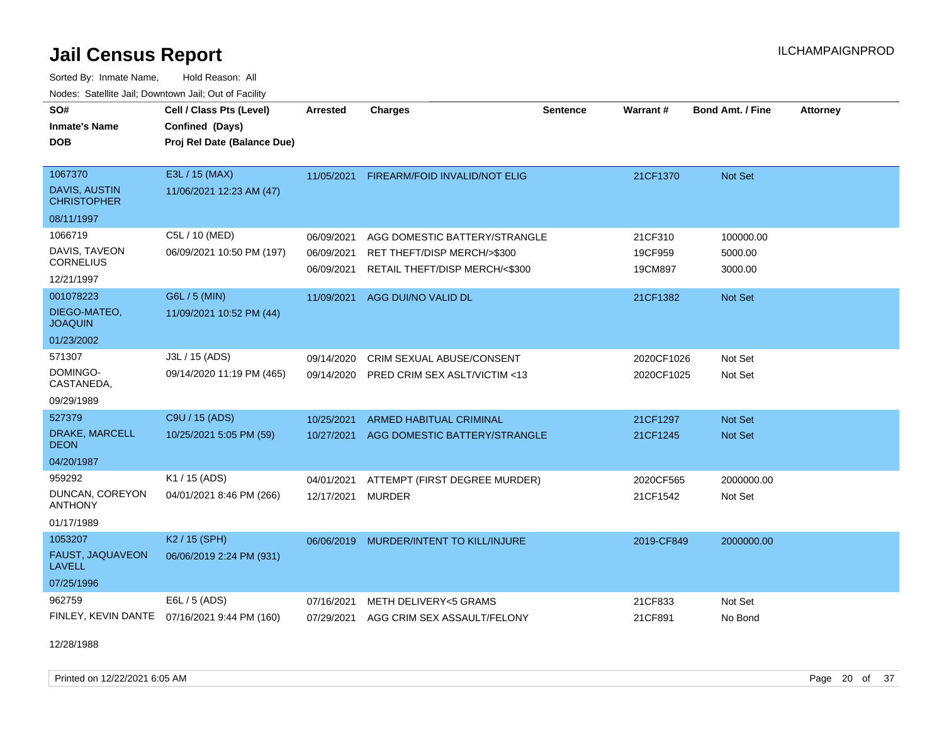Sorted By: Inmate Name, Hold Reason: All Nodes: Satellite Jail; Downtown Jail; Out of Facility

| SO#<br><b>Inmate's Name</b><br><b>DOB</b>             | Cell / Class Pts (Level)<br>Confined (Days)<br>Proj Rel Date (Balance Due) | <b>Arrested</b>          | <b>Charges</b>                                                | <b>Sentence</b> | Warrant#           | <b>Bond Amt. / Fine</b> | Attorney |
|-------------------------------------------------------|----------------------------------------------------------------------------|--------------------------|---------------------------------------------------------------|-----------------|--------------------|-------------------------|----------|
| 1067370<br><b>DAVIS, AUSTIN</b><br><b>CHRISTOPHER</b> | E3L / 15 (MAX)<br>11/06/2021 12:23 AM (47)                                 | 11/05/2021               | FIREARM/FOID INVALID/NOT ELIG                                 |                 | 21CF1370           | Not Set                 |          |
| 08/11/1997                                            |                                                                            |                          |                                                               |                 |                    |                         |          |
| 1066719                                               | C5L / 10 (MED)                                                             | 06/09/2021               | AGG DOMESTIC BATTERY/STRANGLE                                 |                 | 21CF310            | 100000.00               |          |
| DAVIS, TAVEON<br>CORNELIUS                            | 06/09/2021 10:50 PM (197)                                                  | 06/09/2021<br>06/09/2021 | RET THEFT/DISP MERCH/>\$300<br>RETAIL THEFT/DISP MERCH/<\$300 |                 | 19CF959<br>19CM897 | 5000.00<br>3000.00      |          |
| 12/21/1997                                            |                                                                            |                          |                                                               |                 |                    |                         |          |
| 001078223<br>DIEGO-MATEO,                             | G6L / 5 (MIN)<br>11/09/2021 10:52 PM (44)                                  | 11/09/2021               | AGG DUI/NO VALID DL                                           |                 | 21CF1382           | Not Set                 |          |
| <b>JOAQUIN</b><br>01/23/2002                          |                                                                            |                          |                                                               |                 |                    |                         |          |
| 571307                                                | J3L / 15 (ADS)                                                             | 09/14/2020               | CRIM SEXUAL ABUSE/CONSENT                                     |                 | 2020CF1026         | Not Set                 |          |
| DOMINGO-<br>CASTANEDA,                                | 09/14/2020 11:19 PM (465)                                                  | 09/14/2020               | <b>PRED CRIM SEX ASLT/VICTIM &lt;13</b>                       |                 | 2020CF1025         | Not Set                 |          |
| 09/29/1989                                            |                                                                            |                          |                                                               |                 |                    |                         |          |
| 527379                                                | C9U / 15 (ADS)                                                             | 10/25/2021               | <b>ARMED HABITUAL CRIMINAL</b>                                |                 | 21CF1297           | <b>Not Set</b>          |          |
| DRAKE, MARCELL<br>DEON                                | 10/25/2021 5:05 PM (59)                                                    | 10/27/2021               | AGG DOMESTIC BATTERY/STRANGLE                                 |                 | 21CF1245           | Not Set                 |          |
| 04/20/1987                                            |                                                                            |                          |                                                               |                 |                    |                         |          |
| 959292                                                | K1 / 15 (ADS)                                                              | 04/01/2021               | ATTEMPT (FIRST DEGREE MURDER)                                 |                 | 2020CF565          | 2000000.00              |          |
| DUNCAN, COREYON<br><b>ANTHONY</b>                     | 04/01/2021 8:46 PM (266)                                                   | 12/17/2021               | <b>MURDER</b>                                                 |                 | 21CF1542           | Not Set                 |          |
| 01/17/1989                                            |                                                                            |                          |                                                               |                 |                    |                         |          |
| 1053207<br>FAUST, JAQUAVEON<br><b>LAVELL</b>          | K <sub>2</sub> / 15 (SPH)<br>06/06/2019 2:24 PM (931)                      | 06/06/2019               | MURDER/INTENT TO KILL/INJURE                                  |                 | 2019-CF849         | 2000000.00              |          |
| 07/25/1996                                            |                                                                            |                          |                                                               |                 |                    |                         |          |
| 962759                                                | E6L / 5 (ADS)<br>FINLEY, KEVIN DANTE 07/16/2021 9:44 PM (160)              | 07/16/2021<br>07/29/2021 | METH DELIVERY<5 GRAMS<br>AGG CRIM SEX ASSAULT/FELONY          |                 | 21CF833<br>21CF891 | Not Set<br>No Bond      |          |

12/28/1988

Printed on 12/22/2021 6:05 AM Page 20 of 37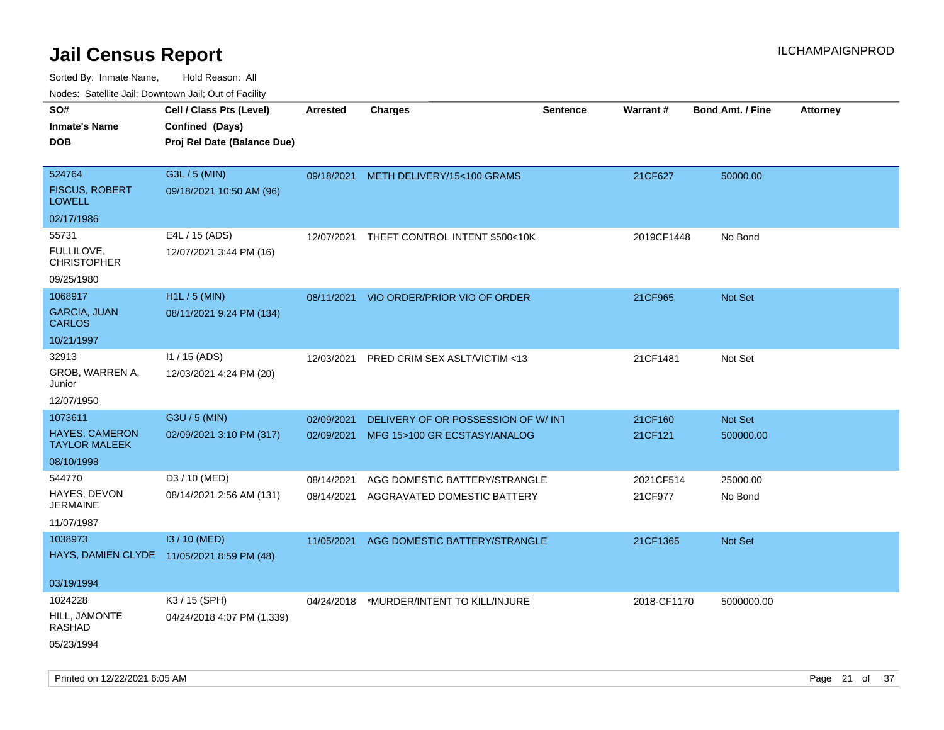| Nudes. Satellite Jali, Downtown Jali, Out of Facility |                                            |                 |                                          |                 |                 |                         |                 |
|-------------------------------------------------------|--------------------------------------------|-----------------|------------------------------------------|-----------------|-----------------|-------------------------|-----------------|
| SO#                                                   | Cell / Class Pts (Level)                   | <b>Arrested</b> | <b>Charges</b>                           | <b>Sentence</b> | <b>Warrant#</b> | <b>Bond Amt. / Fine</b> | <b>Attorney</b> |
| Inmate's Name                                         | Confined (Days)                            |                 |                                          |                 |                 |                         |                 |
| <b>DOB</b>                                            | Proj Rel Date (Balance Due)                |                 |                                          |                 |                 |                         |                 |
|                                                       |                                            |                 |                                          |                 |                 |                         |                 |
| 524764                                                | G3L / 5 (MIN)                              | 09/18/2021      | METH DELIVERY/15<100 GRAMS               |                 | 21CF627         | 50000.00                |                 |
| <b>FISCUS, ROBERT</b><br><b>LOWELL</b>                | 09/18/2021 10:50 AM (96)                   |                 |                                          |                 |                 |                         |                 |
| 02/17/1986                                            |                                            |                 |                                          |                 |                 |                         |                 |
| 55731                                                 | E4L / 15 (ADS)                             | 12/07/2021      | THEFT CONTROL INTENT \$500<10K           |                 | 2019CF1448      | No Bond                 |                 |
| FULLILOVE,<br><b>CHRISTOPHER</b>                      | 12/07/2021 3:44 PM (16)                    |                 |                                          |                 |                 |                         |                 |
| 09/25/1980                                            |                                            |                 |                                          |                 |                 |                         |                 |
| 1068917                                               | $H1L / 5$ (MIN)                            | 08/11/2021      | VIO ORDER/PRIOR VIO OF ORDER             |                 | 21CF965         | <b>Not Set</b>          |                 |
| GARCIA, JUAN<br>CARLOS                                | 08/11/2021 9:24 PM (134)                   |                 |                                          |                 |                 |                         |                 |
| 10/21/1997                                            |                                            |                 |                                          |                 |                 |                         |                 |
| 32913                                                 | $11 / 15$ (ADS)                            | 12/03/2021      | PRED CRIM SEX ASLT/VICTIM <13            |                 | 21CF1481        | Not Set                 |                 |
| GROB, WARREN A,<br>Junior                             | 12/03/2021 4:24 PM (20)                    |                 |                                          |                 |                 |                         |                 |
| 12/07/1950                                            |                                            |                 |                                          |                 |                 |                         |                 |
| 1073611                                               | G3U / 5 (MIN)                              | 02/09/2021      | DELIVERY OF OR POSSESSION OF W/INT       |                 | 21CF160         | Not Set                 |                 |
| HAYES, CAMERON<br>TAYLOR MALEEK                       | 02/09/2021 3:10 PM (317)                   | 02/09/2021      | MFG 15>100 GR ECSTASY/ANALOG             |                 | 21CF121         | 500000.00               |                 |
| 08/10/1998                                            |                                            |                 |                                          |                 |                 |                         |                 |
| 544770                                                | D3 / 10 (MED)                              | 08/14/2021      | AGG DOMESTIC BATTERY/STRANGLE            |                 | 2021CF514       | 25000.00                |                 |
| HAYES, DEVON<br>JERMAINE                              | 08/14/2021 2:56 AM (131)                   | 08/14/2021      | AGGRAVATED DOMESTIC BATTERY              |                 | 21CF977         | No Bond                 |                 |
| 11/07/1987                                            |                                            |                 |                                          |                 |                 |                         |                 |
| 1038973                                               | I3 / 10 (MED)                              | 11/05/2021      | AGG DOMESTIC BATTERY/STRANGLE            |                 | 21CF1365        | <b>Not Set</b>          |                 |
|                                                       | HAYS, DAMIEN CLYDE 11/05/2021 8:59 PM (48) |                 |                                          |                 |                 |                         |                 |
| 03/19/1994                                            |                                            |                 |                                          |                 |                 |                         |                 |
| 1024228                                               | K3 / 15 (SPH)                              |                 | 04/24/2018 *MURDER/INTENT TO KILL/INJURE |                 | 2018-CF1170     | 5000000.00              |                 |
| HILL, JAMONTE<br>RASHAD                               | 04/24/2018 4:07 PM (1,339)                 |                 |                                          |                 |                 |                         |                 |
| 05/23/1994                                            |                                            |                 |                                          |                 |                 |                         |                 |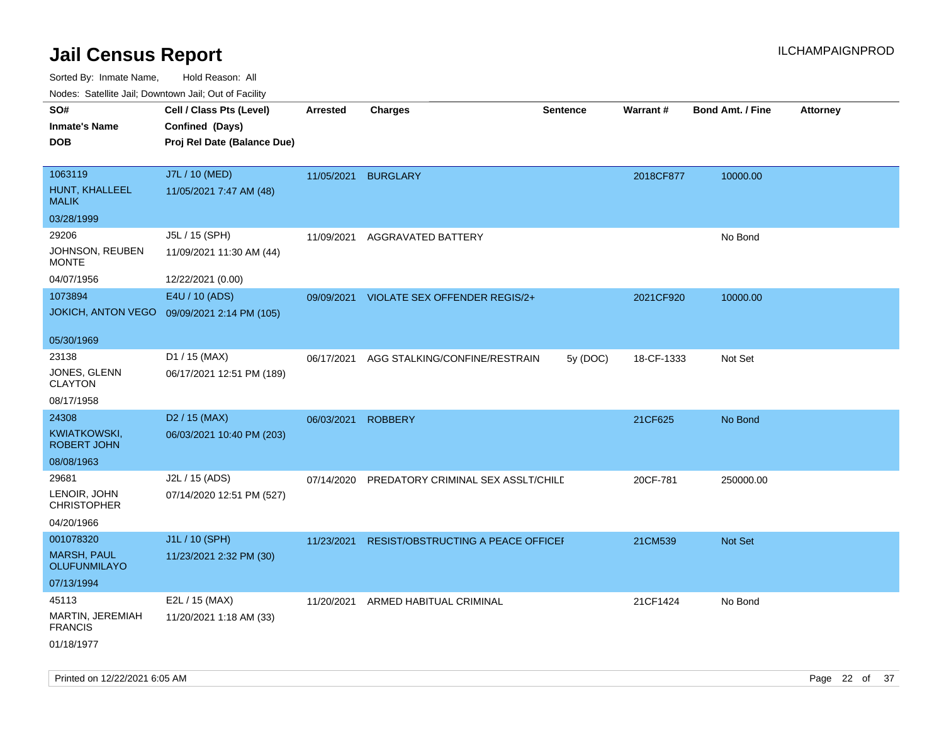| <b>Nouro:</b> Catoline Jan, Downtown Jan, Out of Fability |                                                                            |                 |                                    |                 |            |                         |                 |
|-----------------------------------------------------------|----------------------------------------------------------------------------|-----------------|------------------------------------|-----------------|------------|-------------------------|-----------------|
| SO#<br><b>Inmate's Name</b><br><b>DOB</b>                 | Cell / Class Pts (Level)<br>Confined (Days)<br>Proj Rel Date (Balance Due) | <b>Arrested</b> | <b>Charges</b>                     | <b>Sentence</b> | Warrant#   | <b>Bond Amt. / Fine</b> | <b>Attorney</b> |
| 1063119<br>HUNT, KHALLEEL<br><b>MALIK</b>                 | J7L / 10 (MED)<br>11/05/2021 7:47 AM (48)                                  | 11/05/2021      | <b>BURGLARY</b>                    |                 | 2018CF877  | 10000.00                |                 |
| 03/28/1999                                                |                                                                            |                 |                                    |                 |            |                         |                 |
| 29206<br>JOHNSON, REUBEN<br><b>MONTE</b>                  | J5L / 15 (SPH)<br>11/09/2021 11:30 AM (44)                                 | 11/09/2021      | AGGRAVATED BATTERY                 |                 |            | No Bond                 |                 |
| 04/07/1956                                                | 12/22/2021 (0.00)                                                          |                 |                                    |                 |            |                         |                 |
| 1073894<br><b>JOKICH, ANTON VEGO</b>                      | E4U / 10 (ADS)<br>09/09/2021 2:14 PM (105)                                 | 09/09/2021      | VIOLATE SEX OFFENDER REGIS/2+      |                 | 2021CF920  | 10000.00                |                 |
| 05/30/1969                                                |                                                                            |                 |                                    |                 |            |                         |                 |
| 23138<br>JONES, GLENN<br><b>CLAYTON</b>                   | D1 / 15 (MAX)<br>06/17/2021 12:51 PM (189)                                 | 06/17/2021      | AGG STALKING/CONFINE/RESTRAIN      | 5y (DOC)        | 18-CF-1333 | Not Set                 |                 |
| 08/17/1958                                                |                                                                            |                 |                                    |                 |            |                         |                 |
| 24308                                                     | D <sub>2</sub> / 15 (MAX)                                                  | 06/03/2021      | <b>ROBBERY</b>                     |                 | 21CF625    | No Bond                 |                 |
| KWIATKOWSKI,<br>ROBERT JOHN                               | 06/03/2021 10:40 PM (203)                                                  |                 |                                    |                 |            |                         |                 |
| 08/08/1963                                                |                                                                            |                 |                                    |                 |            |                         |                 |
| 29681<br>LENOIR, JOHN<br><b>CHRISTOPHER</b>               | J2L / 15 (ADS)<br>07/14/2020 12:51 PM (527)                                | 07/14/2020      | PREDATORY CRIMINAL SEX ASSLT/CHILD |                 | 20CF-781   | 250000.00               |                 |
| 04/20/1966                                                |                                                                            |                 |                                    |                 |            |                         |                 |
| 001078320<br><b>MARSH, PAUL</b><br><b>OLUFUNMILAYO</b>    | J1L / 10 (SPH)<br>11/23/2021 2:32 PM (30)                                  | 11/23/2021      | RESIST/OBSTRUCTING A PEACE OFFICEF |                 | 21CM539    | Not Set                 |                 |
| 07/13/1994                                                |                                                                            |                 |                                    |                 |            |                         |                 |
| 45113<br>MARTIN, JEREMIAH<br><b>FRANCIS</b>               | E2L / 15 (MAX)<br>11/20/2021 1:18 AM (33)                                  |                 | 11/20/2021 ARMED HABITUAL CRIMINAL |                 | 21CF1424   | No Bond                 |                 |
| 01/18/1977                                                |                                                                            |                 |                                    |                 |            |                         |                 |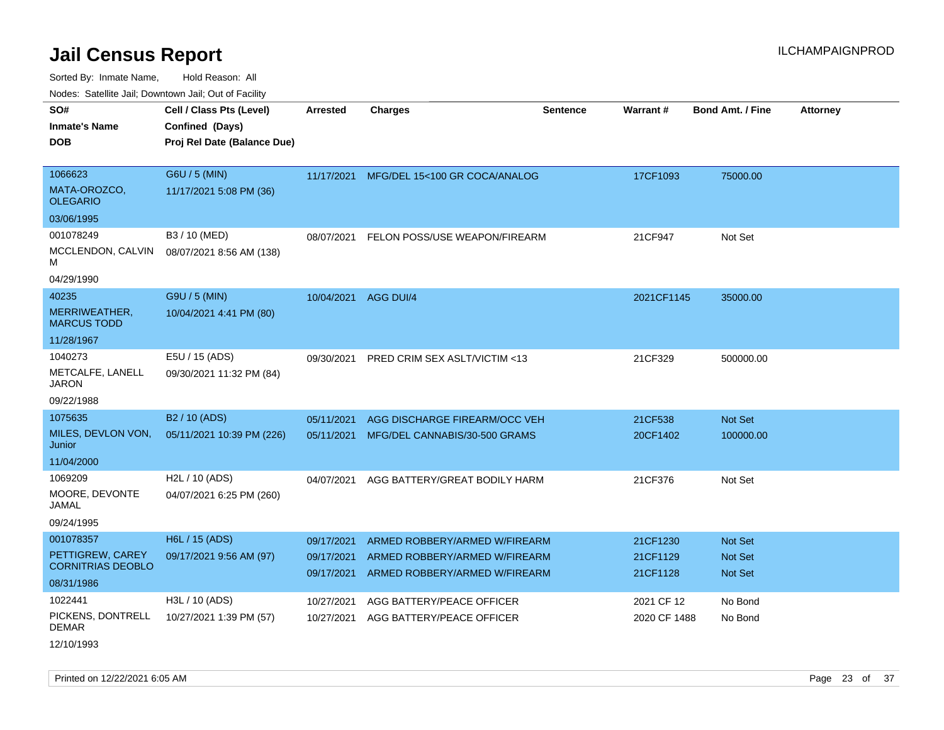Sorted By: Inmate Name, Hold Reason: All

| Nodes: Satellite Jail; Downtown Jail; Out of Facility |  |
|-------------------------------------------------------|--|
|-------------------------------------------------------|--|

| SO#<br><b>Inmate's Name</b><br><b>DOB</b>                               | Cell / Class Pts (Level)<br>Confined (Days)<br>Proj Rel Date (Balance Due) | Arrested                               | <b>Charges</b>                                                                                  | <b>Sentence</b> | <b>Warrant#</b>                  | Bond Amt. / Fine                     | <b>Attorney</b> |
|-------------------------------------------------------------------------|----------------------------------------------------------------------------|----------------------------------------|-------------------------------------------------------------------------------------------------|-----------------|----------------------------------|--------------------------------------|-----------------|
| 1066623<br>MATA-OROZCO,<br><b>OLEGARIO</b><br>03/06/1995                | G6U / 5 (MIN)<br>11/17/2021 5:08 PM (36)                                   | 11/17/2021                             | MFG/DEL 15<100 GR COCA/ANALOG                                                                   |                 | 17CF1093                         | 75000.00                             |                 |
| 001078249<br>MCCLENDON, CALVIN<br>м<br>04/29/1990                       | B3 / 10 (MED)<br>08/07/2021 8:56 AM (138)                                  | 08/07/2021                             | FELON POSS/USE WEAPON/FIREARM                                                                   |                 | 21CF947                          | Not Set                              |                 |
| 40235<br>MERRIWEATHER,<br><b>MARCUS TODD</b><br>11/28/1967              | G9U / 5 (MIN)<br>10/04/2021 4:41 PM (80)                                   | 10/04/2021                             | AGG DUI/4                                                                                       |                 | 2021CF1145                       | 35000.00                             |                 |
| 1040273<br>METCALFE, LANELL<br><b>JARON</b><br>09/22/1988               | E5U / 15 (ADS)<br>09/30/2021 11:32 PM (84)                                 | 09/30/2021                             | PRED CRIM SEX ASLT/VICTIM <13                                                                   |                 | 21CF329                          | 500000.00                            |                 |
| 1075635<br>MILES, DEVLON VON,<br>Junior<br>11/04/2000                   | B <sub>2</sub> / 10 (ADS)<br>05/11/2021 10:39 PM (226)                     | 05/11/2021<br>05/11/2021               | AGG DISCHARGE FIREARM/OCC VEH<br>MFG/DEL CANNABIS/30-500 GRAMS                                  |                 | 21CF538<br>20CF1402              | Not Set<br>100000.00                 |                 |
| 1069209<br>MOORE, DEVONTE<br><b>JAMAL</b><br>09/24/1995                 | H2L / 10 (ADS)<br>04/07/2021 6:25 PM (260)                                 | 04/07/2021                             | AGG BATTERY/GREAT BODILY HARM                                                                   |                 | 21CF376                          | Not Set                              |                 |
| 001078357<br>PETTIGREW, CAREY<br><b>CORNITRIAS DEOBLO</b><br>08/31/1986 | H6L / 15 (ADS)<br>09/17/2021 9:56 AM (97)                                  | 09/17/2021<br>09/17/2021<br>09/17/2021 | ARMED ROBBERY/ARMED W/FIREARM<br>ARMED ROBBERY/ARMED W/FIREARM<br>ARMED ROBBERY/ARMED W/FIREARM |                 | 21CF1230<br>21CF1129<br>21CF1128 | <b>Not Set</b><br>Not Set<br>Not Set |                 |
| 1022441<br>PICKENS, DONTRELL<br><b>DEMAR</b>                            | H3L / 10 (ADS)<br>10/27/2021 1:39 PM (57)                                  | 10/27/2021<br>10/27/2021               | AGG BATTERY/PEACE OFFICER<br>AGG BATTERY/PEACE OFFICER                                          |                 | 2021 CF 12<br>2020 CF 1488       | No Bond<br>No Bond                   |                 |

12/10/1993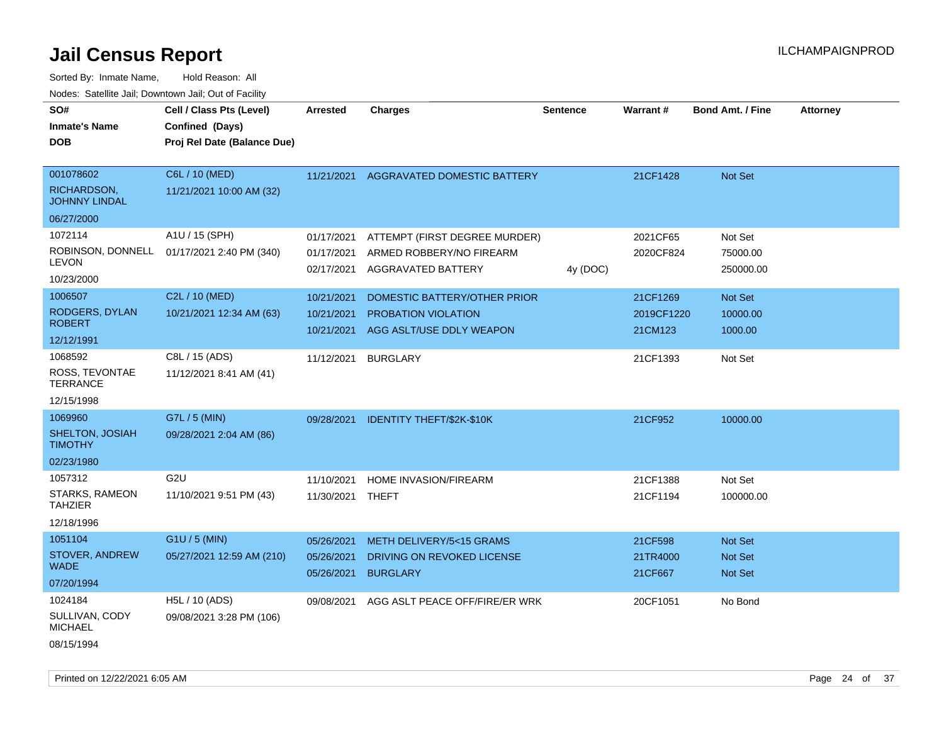| roaco. Odichile Jan, Downtown Jan, Out of Facility         |                                                                            |                                        |                                                                                        |                 |                                   |                                                    |                 |
|------------------------------------------------------------|----------------------------------------------------------------------------|----------------------------------------|----------------------------------------------------------------------------------------|-----------------|-----------------------------------|----------------------------------------------------|-----------------|
| SO#<br><b>Inmate's Name</b><br><b>DOB</b>                  | Cell / Class Pts (Level)<br>Confined (Days)<br>Proj Rel Date (Balance Due) | <b>Arrested</b>                        | <b>Charges</b>                                                                         | <b>Sentence</b> | Warrant#                          | <b>Bond Amt. / Fine</b>                            | <b>Attorney</b> |
| 001078602<br>RICHARDSON,<br><b>JOHNNY LINDAL</b>           | C6L / 10 (MED)<br>11/21/2021 10:00 AM (32)                                 |                                        | 11/21/2021 AGGRAVATED DOMESTIC BATTERY                                                 |                 | 21CF1428                          | Not Set                                            |                 |
| 06/27/2000<br>1072114<br><b>LEVON</b><br>10/23/2000        | A1U / 15 (SPH)<br>ROBINSON, DONNELL 01/17/2021 2:40 PM (340)               | 01/17/2021<br>01/17/2021<br>02/17/2021 | ATTEMPT (FIRST DEGREE MURDER)<br>ARMED ROBBERY/NO FIREARM<br>AGGRAVATED BATTERY        | 4y (DOC)        | 2021CF65<br>2020CF824             | Not Set<br>75000.00<br>250000.00                   |                 |
| 1006507<br>RODGERS, DYLAN<br><b>ROBERT</b><br>12/12/1991   | C2L / 10 (MED)<br>10/21/2021 12:34 AM (63)                                 | 10/21/2021<br>10/21/2021<br>10/21/2021 | DOMESTIC BATTERY/OTHER PRIOR<br><b>PROBATION VIOLATION</b><br>AGG ASLT/USE DDLY WEAPON |                 | 21CF1269<br>2019CF1220<br>21CM123 | Not Set<br>10000.00<br>1000.00                     |                 |
| 1068592<br>ROSS, TEVONTAE<br><b>TERRANCE</b><br>12/15/1998 | C8L / 15 (ADS)<br>11/12/2021 8:41 AM (41)                                  | 11/12/2021                             | <b>BURGLARY</b>                                                                        |                 | 21CF1393                          | Not Set                                            |                 |
| 1069960<br>SHELTON, JOSIAH<br><b>TIMOTHY</b><br>02/23/1980 | G7L / 5 (MIN)<br>09/28/2021 2:04 AM (86)                                   | 09/28/2021                             | <b>IDENTITY THEFT/\$2K-\$10K</b>                                                       |                 | 21CF952                           | 10000.00                                           |                 |
| 1057312<br>STARKS, RAMEON<br><b>TAHZIER</b><br>12/18/1996  | G <sub>2U</sub><br>11/10/2021 9:51 PM (43)                                 | 11/10/2021<br>11/30/2021 THEFT         | HOME INVASION/FIREARM                                                                  |                 | 21CF1388<br>21CF1194              | Not Set<br>100000.00                               |                 |
| 1051104<br>STOVER, ANDREW<br><b>WADE</b><br>07/20/1994     | $G1U / 5$ (MIN)<br>05/27/2021 12:59 AM (210)                               | 05/26/2021<br>05/26/2021<br>05/26/2021 | METH DELIVERY/5<15 GRAMS<br>DRIVING ON REVOKED LICENSE<br><b>BURGLARY</b>              |                 | 21CF598<br>21TR4000<br>21CF667    | <b>Not Set</b><br><b>Not Set</b><br><b>Not Set</b> |                 |
| 1024184<br>SULLIVAN, CODY<br><b>MICHAEL</b><br>08/15/1994  | H5L / 10 (ADS)<br>09/08/2021 3:28 PM (106)                                 | 09/08/2021                             | AGG ASLT PEACE OFF/FIRE/ER WRK                                                         |                 | 20CF1051                          | No Bond                                            |                 |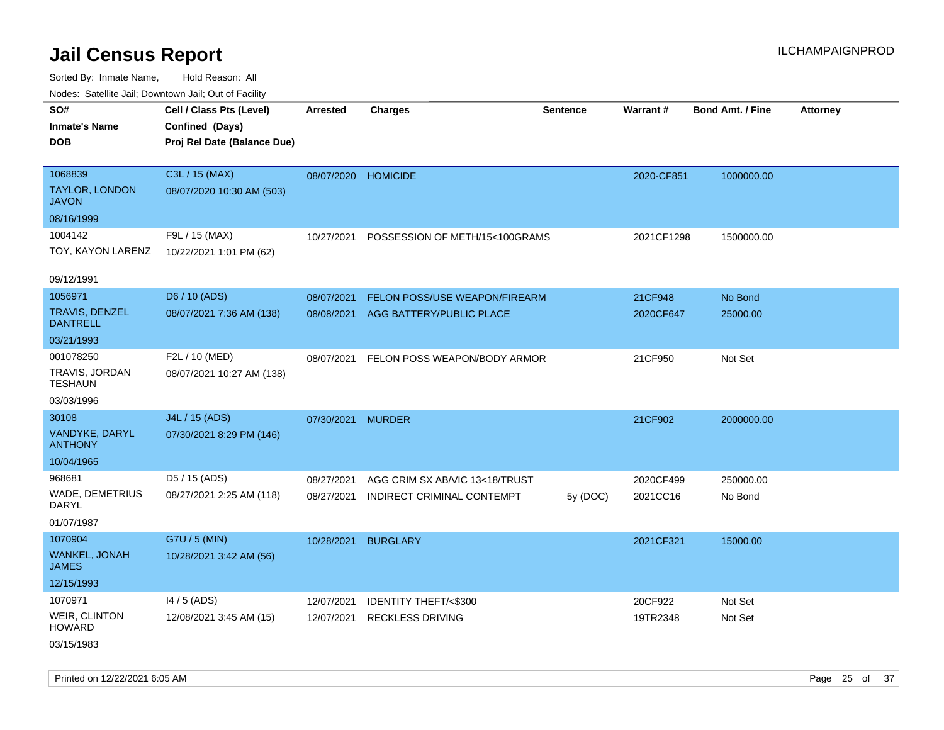Sorted By: Inmate Name, Hold Reason: All Nodes: Satellite Jail; Downtown Jail; Out of Facility

|                                                         | Cell / Class Pts (Level)                       |                          |                                                              |                 |                       |                         |                 |
|---------------------------------------------------------|------------------------------------------------|--------------------------|--------------------------------------------------------------|-----------------|-----------------------|-------------------------|-----------------|
| SO#<br><b>Inmate's Name</b><br><b>DOB</b>               | Confined (Days)<br>Proj Rel Date (Balance Due) | Arrested                 | <b>Charges</b>                                               | <b>Sentence</b> | Warrant#              | <b>Bond Amt. / Fine</b> | <b>Attorney</b> |
| 1068839<br><b>TAYLOR, LONDON</b><br><b>JAVON</b>        | C3L / 15 (MAX)<br>08/07/2020 10:30 AM (503)    | 08/07/2020 HOMICIDE      |                                                              |                 | 2020-CF851            | 1000000.00              |                 |
| 08/16/1999                                              |                                                |                          |                                                              |                 |                       |                         |                 |
| 1004142<br>TOY, KAYON LARENZ                            | F9L / 15 (MAX)<br>10/22/2021 1:01 PM (62)      | 10/27/2021               | POSSESSION OF METH/15<100GRAMS                               |                 | 2021CF1298            | 1500000.00              |                 |
| 09/12/1991                                              |                                                |                          |                                                              |                 |                       |                         |                 |
| 1056971                                                 | D6 / 10 (ADS)                                  | 08/07/2021               | FELON POSS/USE WEAPON/FIREARM                                |                 | 21CF948               | No Bond                 |                 |
| <b>TRAVIS, DENZEL</b><br><b>DANTRELL</b>                | 08/07/2021 7:36 AM (138)                       | 08/08/2021               | AGG BATTERY/PUBLIC PLACE                                     |                 | 2020CF647             | 25000.00                |                 |
| 03/21/1993                                              |                                                |                          |                                                              |                 |                       |                         |                 |
| 001078250<br>TRAVIS, JORDAN<br><b>TESHAUN</b>           | F2L / 10 (MED)<br>08/07/2021 10:27 AM (138)    | 08/07/2021               | FELON POSS WEAPON/BODY ARMOR                                 |                 | 21CF950               | Not Set                 |                 |
| 03/03/1996                                              |                                                |                          |                                                              |                 |                       |                         |                 |
| 30108<br>VANDYKE, DARYL<br><b>ANTHONY</b>               | J4L / 15 (ADS)<br>07/30/2021 8:29 PM (146)     | 07/30/2021               | <b>MURDER</b>                                                |                 | 21CF902               | 2000000.00              |                 |
| 10/04/1965                                              |                                                |                          |                                                              |                 |                       |                         |                 |
| 968681<br>WADE, DEMETRIUS<br><b>DARYL</b><br>01/07/1987 | D5 / 15 (ADS)<br>08/27/2021 2:25 AM (118)      | 08/27/2021<br>08/27/2021 | AGG CRIM SX AB/VIC 13<18/TRUST<br>INDIRECT CRIMINAL CONTEMPT | 5y (DOC)        | 2020CF499<br>2021CC16 | 250000.00<br>No Bond    |                 |
| 1070904<br>WANKEL, JONAH<br><b>JAMES</b><br>12/15/1993  | G7U / 5 (MIN)<br>10/28/2021 3:42 AM (56)       | 10/28/2021               | <b>BURGLARY</b>                                              |                 | 2021CF321             | 15000.00                |                 |
| 1070971                                                 | $14/5$ (ADS)                                   | 12/07/2021               | IDENTITY THEFT/<\$300                                        |                 | 20CF922               | Not Set                 |                 |
| <b>WEIR, CLINTON</b><br><b>HOWARD</b><br>03/15/1983     | 12/08/2021 3:45 AM (15)                        | 12/07/2021               | <b>RECKLESS DRIVING</b>                                      |                 | 19TR2348              | Not Set                 |                 |

Printed on 12/22/2021 6:05 AM Page 25 of 37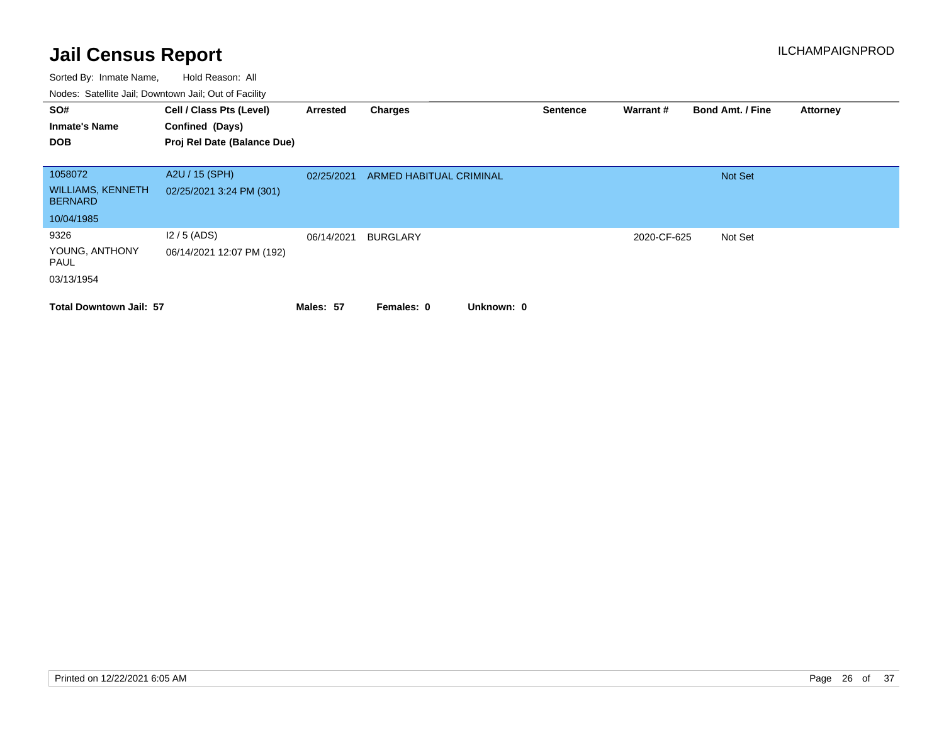| SO#<br><b>Inmate's Name</b>                | Cell / Class Pts (Level)<br>Confined (Days) | Arrested   | Charges                        | <b>Sentence</b> | Warrant#    | <b>Bond Amt. / Fine</b> | <b>Attorney</b> |
|--------------------------------------------|---------------------------------------------|------------|--------------------------------|-----------------|-------------|-------------------------|-----------------|
| <b>DOB</b>                                 | Proj Rel Date (Balance Due)                 |            |                                |                 |             |                         |                 |
|                                            |                                             |            |                                |                 |             |                         |                 |
| 1058072                                    | A2U / 15 (SPH)                              | 02/25/2021 | <b>ARMED HABITUAL CRIMINAL</b> |                 |             | <b>Not Set</b>          |                 |
| <b>WILLIAMS, KENNETH</b><br><b>BERNARD</b> | 02/25/2021 3:24 PM (301)                    |            |                                |                 |             |                         |                 |
| 10/04/1985                                 |                                             |            |                                |                 |             |                         |                 |
| 9326                                       | $12/5$ (ADS)                                | 06/14/2021 | <b>BURGLARY</b>                |                 | 2020-CF-625 | Not Set                 |                 |
| YOUNG, ANTHONY<br>PAUL                     | 06/14/2021 12:07 PM (192)                   |            |                                |                 |             |                         |                 |
| 03/13/1954                                 |                                             |            |                                |                 |             |                         |                 |
| <b>Total Downtown Jail: 57</b>             |                                             | Males: 57  | Unknown: 0<br>Females: 0       |                 |             |                         |                 |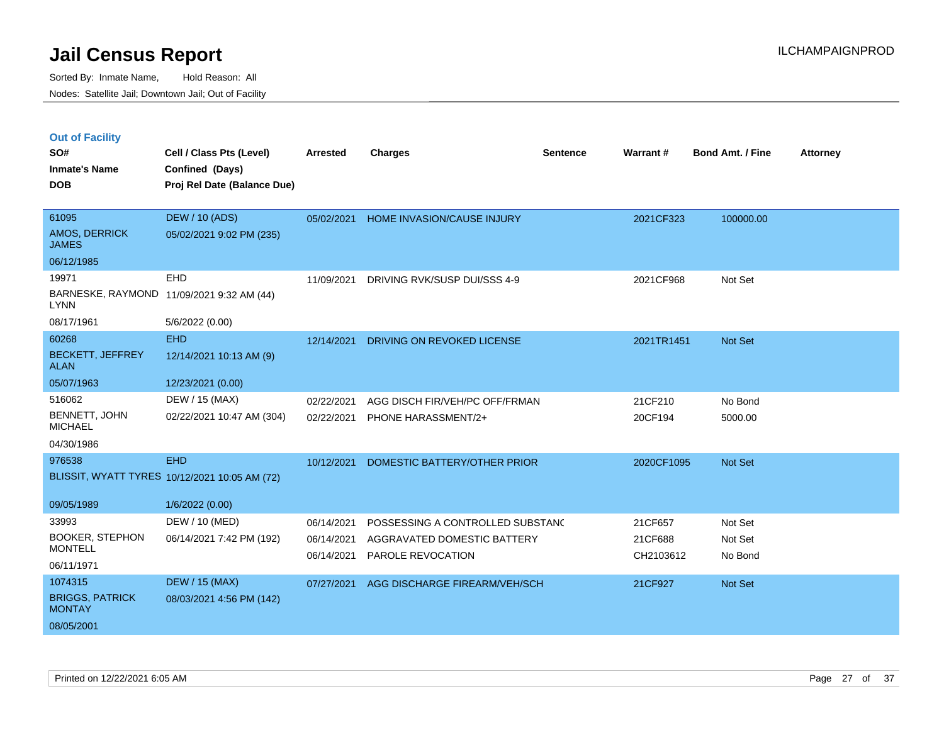|  | <b>Out of Facility</b> |  |
|--|------------------------|--|

| SO#<br><b>Inmate's Name</b>              | Cell / Class Pts (Level)<br>Confined (Days)   | <b>Arrested</b> | <b>Charges</b>                   | <b>Sentence</b> | <b>Warrant#</b> | Bond Amt. / Fine | <b>Attorney</b> |
|------------------------------------------|-----------------------------------------------|-----------------|----------------------------------|-----------------|-----------------|------------------|-----------------|
| <b>DOB</b>                               | Proj Rel Date (Balance Due)                   |                 |                                  |                 |                 |                  |                 |
| 61095                                    | <b>DEW / 10 (ADS)</b>                         | 05/02/2021      | HOME INVASION/CAUSE INJURY       |                 | 2021CF323       | 100000.00        |                 |
| AMOS, DERRICK<br><b>JAMES</b>            | 05/02/2021 9:02 PM (235)                      |                 |                                  |                 |                 |                  |                 |
| 06/12/1985                               |                                               |                 |                                  |                 |                 |                  |                 |
| 19971                                    | EHD                                           | 11/09/2021      | DRIVING RVK/SUSP DUI/SSS 4-9     |                 | 2021CF968       | Not Set          |                 |
| <b>LYNN</b>                              | BARNESKE, RAYMOND 11/09/2021 9:32 AM (44)     |                 |                                  |                 |                 |                  |                 |
| 08/17/1961                               | 5/6/2022 (0.00)                               |                 |                                  |                 |                 |                  |                 |
| 60268                                    | <b>EHD</b>                                    | 12/14/2021      | DRIVING ON REVOKED LICENSE       |                 | 2021TR1451      | Not Set          |                 |
| <b>BECKETT, JEFFREY</b><br><b>ALAN</b>   | 12/14/2021 10:13 AM (9)                       |                 |                                  |                 |                 |                  |                 |
| 05/07/1963                               | 12/23/2021 (0.00)                             |                 |                                  |                 |                 |                  |                 |
| 516062                                   | DEW / 15 (MAX)                                | 02/22/2021      | AGG DISCH FIR/VEH/PC OFF/FRMAN   |                 | 21CF210         | No Bond          |                 |
| BENNETT, JOHN<br><b>MICHAEL</b>          | 02/22/2021 10:47 AM (304)                     | 02/22/2021      | PHONE HARASSMENT/2+              |                 | 20CF194         | 5000.00          |                 |
| 04/30/1986                               |                                               |                 |                                  |                 |                 |                  |                 |
| 976538                                   | <b>EHD</b>                                    | 10/12/2021      | DOMESTIC BATTERY/OTHER PRIOR     |                 | 2020CF1095      | Not Set          |                 |
|                                          | BLISSIT, WYATT TYRES 10/12/2021 10:05 AM (72) |                 |                                  |                 |                 |                  |                 |
| 09/05/1989                               | 1/6/2022 (0.00)                               |                 |                                  |                 |                 |                  |                 |
| 33993                                    | DEW / 10 (MED)                                | 06/14/2021      | POSSESSING A CONTROLLED SUBSTANC |                 | 21CF657         | Not Set          |                 |
| <b>BOOKER, STEPHON</b><br><b>MONTELL</b> | 06/14/2021 7:42 PM (192)                      | 06/14/2021      | AGGRAVATED DOMESTIC BATTERY      |                 | 21CF688         | Not Set          |                 |
| 06/11/1971                               |                                               | 06/14/2021      | PAROLE REVOCATION                |                 | CH2103612       | No Bond          |                 |
| 1074315                                  | <b>DEW / 15 (MAX)</b>                         | 07/27/2021      | AGG DISCHARGE FIREARM/VEH/SCH    |                 | 21CF927         | Not Set          |                 |
| <b>BRIGGS, PATRICK</b><br><b>MONTAY</b>  | 08/03/2021 4:56 PM (142)                      |                 |                                  |                 |                 |                  |                 |
| 08/05/2001                               |                                               |                 |                                  |                 |                 |                  |                 |
|                                          |                                               |                 |                                  |                 |                 |                  |                 |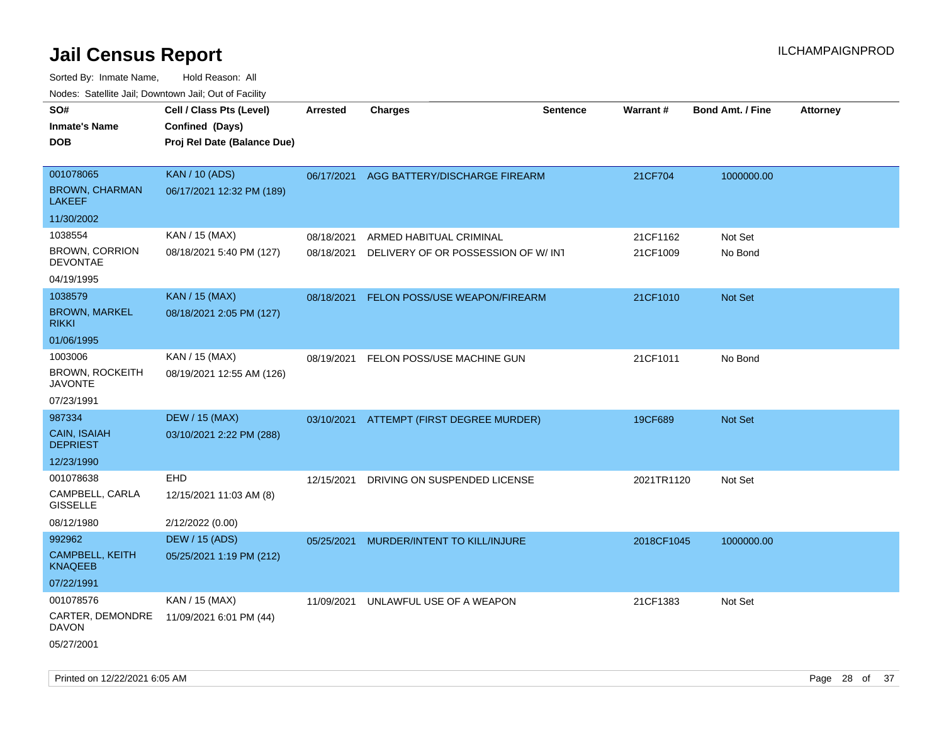Sorted By: Inmate Name, Hold Reason: All Nodes: Satellite Jail; Downtown Jail; Out of Facility

| roaco. Catolino dall, Downtown dall, Out of Fability |                             |            |                                          |                 |            |                         |                 |
|------------------------------------------------------|-----------------------------|------------|------------------------------------------|-----------------|------------|-------------------------|-----------------|
| SO#                                                  | Cell / Class Pts (Level)    | Arrested   | <b>Charges</b>                           | <b>Sentence</b> | Warrant#   | <b>Bond Amt. / Fine</b> | <b>Attorney</b> |
| <b>Inmate's Name</b>                                 | Confined (Days)             |            |                                          |                 |            |                         |                 |
| <b>DOB</b>                                           | Proj Rel Date (Balance Due) |            |                                          |                 |            |                         |                 |
|                                                      |                             |            |                                          |                 |            |                         |                 |
| 001078065                                            | <b>KAN / 10 (ADS)</b>       | 06/17/2021 | AGG BATTERY/DISCHARGE FIREARM            |                 | 21CF704    | 1000000.00              |                 |
| <b>BROWN, CHARMAN</b><br><b>LAKEEF</b>               | 06/17/2021 12:32 PM (189)   |            |                                          |                 |            |                         |                 |
| 11/30/2002                                           |                             |            |                                          |                 |            |                         |                 |
| 1038554                                              | KAN / 15 (MAX)              | 08/18/2021 | ARMED HABITUAL CRIMINAL                  |                 | 21CF1162   | Not Set                 |                 |
| <b>BROWN, CORRION</b><br><b>DEVONTAE</b>             | 08/18/2021 5:40 PM (127)    | 08/18/2021 | DELIVERY OF OR POSSESSION OF W/INT       |                 | 21CF1009   | No Bond                 |                 |
| 04/19/1995                                           |                             |            |                                          |                 |            |                         |                 |
| 1038579                                              | <b>KAN / 15 (MAX)</b>       | 08/18/2021 | FELON POSS/USE WEAPON/FIREARM            |                 | 21CF1010   | Not Set                 |                 |
| <b>BROWN, MARKEL</b><br><b>RIKKI</b>                 | 08/18/2021 2:05 PM (127)    |            |                                          |                 |            |                         |                 |
| 01/06/1995                                           |                             |            |                                          |                 |            |                         |                 |
| 1003006                                              | KAN / 15 (MAX)              | 08/19/2021 | FELON POSS/USE MACHINE GUN               |                 | 21CF1011   | No Bond                 |                 |
| <b>BROWN, ROCKEITH</b><br><b>JAVONTE</b>             | 08/19/2021 12:55 AM (126)   |            |                                          |                 |            |                         |                 |
| 07/23/1991                                           |                             |            |                                          |                 |            |                         |                 |
| 987334                                               | <b>DEW / 15 (MAX)</b>       |            | 03/10/2021 ATTEMPT (FIRST DEGREE MURDER) |                 | 19CF689    | Not Set                 |                 |
| CAIN, ISAIAH<br><b>DEPRIEST</b>                      | 03/10/2021 2:22 PM (288)    |            |                                          |                 |            |                         |                 |
| 12/23/1990                                           |                             |            |                                          |                 |            |                         |                 |
| 001078638                                            | <b>EHD</b>                  | 12/15/2021 | DRIVING ON SUSPENDED LICENSE             |                 | 2021TR1120 | Not Set                 |                 |
| CAMPBELL, CARLA<br><b>GISSELLE</b>                   | 12/15/2021 11:03 AM (8)     |            |                                          |                 |            |                         |                 |
| 08/12/1980                                           | 2/12/2022 (0.00)            |            |                                          |                 |            |                         |                 |
| 992962                                               | <b>DEW / 15 (ADS)</b>       | 05/25/2021 | MURDER/INTENT TO KILL/INJURE             |                 | 2018CF1045 | 1000000.00              |                 |
| <b>CAMPBELL, KEITH</b><br><b>KNAQEEB</b>             | 05/25/2021 1:19 PM (212)    |            |                                          |                 |            |                         |                 |
| 07/22/1991                                           |                             |            |                                          |                 |            |                         |                 |
| 001078576                                            | KAN / 15 (MAX)              | 11/09/2021 | UNLAWFUL USE OF A WEAPON                 |                 | 21CF1383   | Not Set                 |                 |
| CARTER, DEMONDRE<br><b>DAVON</b>                     | 11/09/2021 6:01 PM (44)     |            |                                          |                 |            |                         |                 |
| 05/27/2001                                           |                             |            |                                          |                 |            |                         |                 |

Printed on 12/22/2021 6:05 AM Page 28 of 37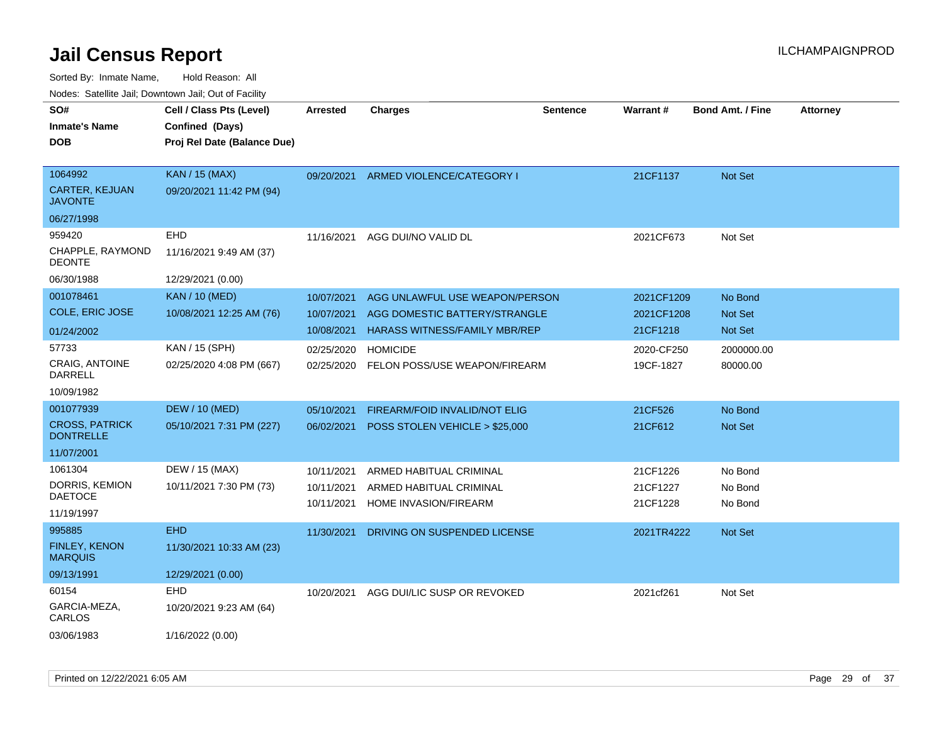| ivouss. Satellite Jali, Downtown Jali, Out of Facility |                             |                 |                                |                 |            |                         |                 |
|--------------------------------------------------------|-----------------------------|-----------------|--------------------------------|-----------------|------------|-------------------------|-----------------|
| SO#                                                    | Cell / Class Pts (Level)    | <b>Arrested</b> | <b>Charges</b>                 | <b>Sentence</b> | Warrant#   | <b>Bond Amt. / Fine</b> | <b>Attorney</b> |
| <b>Inmate's Name</b>                                   | Confined (Days)             |                 |                                |                 |            |                         |                 |
| <b>DOB</b>                                             | Proj Rel Date (Balance Due) |                 |                                |                 |            |                         |                 |
|                                                        |                             |                 |                                |                 |            |                         |                 |
| 1064992                                                | <b>KAN / 15 (MAX)</b>       | 09/20/2021      | ARMED VIOLENCE/CATEGORY I      |                 | 21CF1137   | <b>Not Set</b>          |                 |
| CARTER, KEJUAN<br>JAVONTE                              | 09/20/2021 11:42 PM (94)    |                 |                                |                 |            |                         |                 |
| 06/27/1998                                             |                             |                 |                                |                 |            |                         |                 |
| 959420                                                 | <b>EHD</b>                  | 11/16/2021      | AGG DUI/NO VALID DL            |                 | 2021CF673  | Not Set                 |                 |
| CHAPPLE, RAYMOND<br>DEONTE                             | 11/16/2021 9:49 AM (37)     |                 |                                |                 |            |                         |                 |
| 06/30/1988                                             | 12/29/2021 (0.00)           |                 |                                |                 |            |                         |                 |
| 001078461                                              | <b>KAN / 10 (MED)</b>       | 10/07/2021      | AGG UNLAWFUL USE WEAPON/PERSON |                 | 2021CF1209 | No Bond                 |                 |
| COLE, ERIC JOSE                                        | 10/08/2021 12:25 AM (76)    | 10/07/2021      | AGG DOMESTIC BATTERY/STRANGLE  |                 | 2021CF1208 | <b>Not Set</b>          |                 |
| 01/24/2002                                             |                             | 10/08/2021      | HARASS WITNESS/FAMILY MBR/REP  |                 | 21CF1218   | <b>Not Set</b>          |                 |
| 57733                                                  | KAN / 15 (SPH)              | 02/25/2020      | <b>HOMICIDE</b>                |                 | 2020-CF250 | 2000000.00              |                 |
| CRAIG, ANTOINE<br>DARRELL                              | 02/25/2020 4:08 PM (667)    | 02/25/2020      | FELON POSS/USE WEAPON/FIREARM  |                 | 19CF-1827  | 80000.00                |                 |
| 10/09/1982                                             |                             |                 |                                |                 |            |                         |                 |
| 001077939                                              | <b>DEW / 10 (MED)</b>       | 05/10/2021      | FIREARM/FOID INVALID/NOT ELIG  |                 | 21CF526    | No Bond                 |                 |
| <b>CROSS, PATRICK</b><br><b>DONTRELLE</b>              | 05/10/2021 7:31 PM (227)    | 06/02/2021      | POSS STOLEN VEHICLE > \$25,000 |                 | 21CF612    | <b>Not Set</b>          |                 |
| 11/07/2001                                             |                             |                 |                                |                 |            |                         |                 |
| 1061304                                                | DEW / 15 (MAX)              | 10/11/2021      | ARMED HABITUAL CRIMINAL        |                 | 21CF1226   | No Bond                 |                 |
| DORRIS, KEMION                                         | 10/11/2021 7:30 PM (73)     | 10/11/2021      | ARMED HABITUAL CRIMINAL        |                 | 21CF1227   | No Bond                 |                 |
| DAETOCE                                                |                             | 10/11/2021      | HOME INVASION/FIREARM          |                 | 21CF1228   | No Bond                 |                 |
| 11/19/1997                                             |                             |                 |                                |                 |            |                         |                 |
| 995885                                                 | <b>EHD</b>                  | 11/30/2021      | DRIVING ON SUSPENDED LICENSE   |                 | 2021TR4222 | <b>Not Set</b>          |                 |
| <b>FINLEY, KENON</b><br>MARQUIS                        | 11/30/2021 10:33 AM (23)    |                 |                                |                 |            |                         |                 |
| 09/13/1991                                             | 12/29/2021 (0.00)           |                 |                                |                 |            |                         |                 |
| 60154                                                  | <b>EHD</b>                  | 10/20/2021      | AGG DUI/LIC SUSP OR REVOKED    |                 | 2021cf261  | Not Set                 |                 |
| GARCIA-MEZA,<br>CARLOS                                 | 10/20/2021 9:23 AM (64)     |                 |                                |                 |            |                         |                 |
| 03/06/1983                                             | 1/16/2022 (0.00)            |                 |                                |                 |            |                         |                 |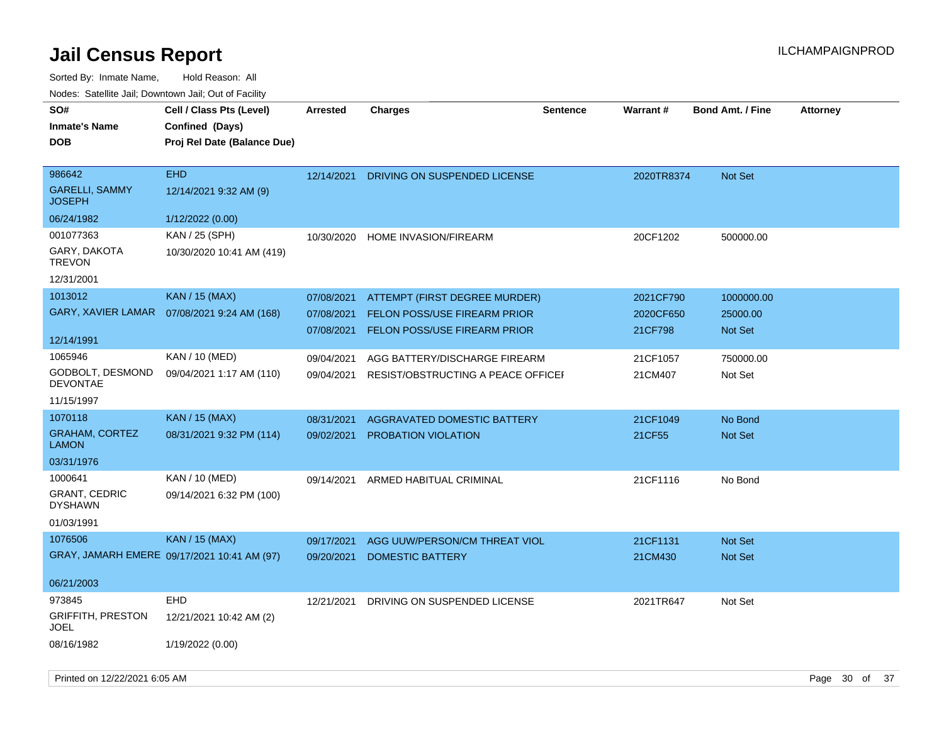| SO#<br><b>Inmate's Name</b><br><b>DOB</b> | Cell / Class Pts (Level)<br>Confined (Days)<br>Proj Rel Date (Balance Due) | <b>Arrested</b> | <b>Charges</b>                      | <b>Sentence</b> | <b>Warrant#</b> | <b>Bond Amt. / Fine</b> | <b>Attorney</b> |
|-------------------------------------------|----------------------------------------------------------------------------|-----------------|-------------------------------------|-----------------|-----------------|-------------------------|-----------------|
| 986642                                    | <b>EHD</b>                                                                 | 12/14/2021      | DRIVING ON SUSPENDED LICENSE        |                 | 2020TR8374      | Not Set                 |                 |
| <b>GARELLI, SAMMY</b><br><b>JOSEPH</b>    | 12/14/2021 9:32 AM (9)                                                     |                 |                                     |                 |                 |                         |                 |
| 06/24/1982                                | 1/12/2022 (0.00)                                                           |                 |                                     |                 |                 |                         |                 |
| 001077363                                 | KAN / 25 (SPH)                                                             |                 | 10/30/2020 HOME INVASION/FIREARM    |                 | 20CF1202        | 500000.00               |                 |
| GARY, DAKOTA<br><b>TREVON</b>             | 10/30/2020 10:41 AM (419)                                                  |                 |                                     |                 |                 |                         |                 |
| 12/31/2001                                |                                                                            |                 |                                     |                 |                 |                         |                 |
| 1013012                                   | <b>KAN / 15 (MAX)</b>                                                      | 07/08/2021      | ATTEMPT (FIRST DEGREE MURDER)       |                 | 2021CF790       | 1000000.00              |                 |
| <b>GARY, XAVIER LAMAR</b>                 | 07/08/2021 9:24 AM (168)                                                   | 07/08/2021      | <b>FELON POSS/USE FIREARM PRIOR</b> |                 | 2020CF650       | 25000.00                |                 |
|                                           |                                                                            | 07/08/2021      | FELON POSS/USE FIREARM PRIOR        |                 | 21CF798         | Not Set                 |                 |
| 12/14/1991                                |                                                                            |                 |                                     |                 |                 |                         |                 |
| 1065946                                   | KAN / 10 (MED)                                                             | 09/04/2021      | AGG BATTERY/DISCHARGE FIREARM       |                 | 21CF1057        | 750000.00               |                 |
| GODBOLT, DESMOND<br><b>DEVONTAE</b>       | 09/04/2021 1:17 AM (110)                                                   | 09/04/2021      | RESIST/OBSTRUCTING A PEACE OFFICEF  |                 | 21CM407         | Not Set                 |                 |
| 11/15/1997                                |                                                                            |                 |                                     |                 |                 |                         |                 |
| 1070118                                   | <b>KAN / 15 (MAX)</b>                                                      | 08/31/2021      | <b>AGGRAVATED DOMESTIC BATTERY</b>  |                 | 21CF1049        | No Bond                 |                 |
| <b>GRAHAM, CORTEZ</b><br><b>LAMON</b>     | 08/31/2021 9:32 PM (114)                                                   | 09/02/2021      | PROBATION VIOLATION                 |                 | 21CF55          | Not Set                 |                 |
| 03/31/1976                                |                                                                            |                 |                                     |                 |                 |                         |                 |
| 1000641                                   | KAN / 10 (MED)                                                             | 09/14/2021      | ARMED HABITUAL CRIMINAL             |                 | 21CF1116        | No Bond                 |                 |
| <b>GRANT, CEDRIC</b><br><b>DYSHAWN</b>    | 09/14/2021 6:32 PM (100)                                                   |                 |                                     |                 |                 |                         |                 |
| 01/03/1991                                |                                                                            |                 |                                     |                 |                 |                         |                 |
| 1076506                                   | <b>KAN / 15 (MAX)</b>                                                      | 09/17/2021      | AGG UUW/PERSON/CM THREAT VIOL       |                 | 21CF1131        | <b>Not Set</b>          |                 |
|                                           | GRAY, JAMARH EMERE 09/17/2021 10:41 AM (97)                                | 09/20/2021      | <b>DOMESTIC BATTERY</b>             |                 | 21CM430         | Not Set                 |                 |
| 06/21/2003                                |                                                                            |                 |                                     |                 |                 |                         |                 |
| 973845                                    | <b>EHD</b>                                                                 | 12/21/2021      | DRIVING ON SUSPENDED LICENSE        |                 | 2021TR647       | Not Set                 |                 |
| <b>GRIFFITH, PRESTON</b><br><b>JOEL</b>   | 12/21/2021 10:42 AM (2)                                                    |                 |                                     |                 |                 |                         |                 |
| 08/16/1982                                | 1/19/2022 (0.00)                                                           |                 |                                     |                 |                 |                         |                 |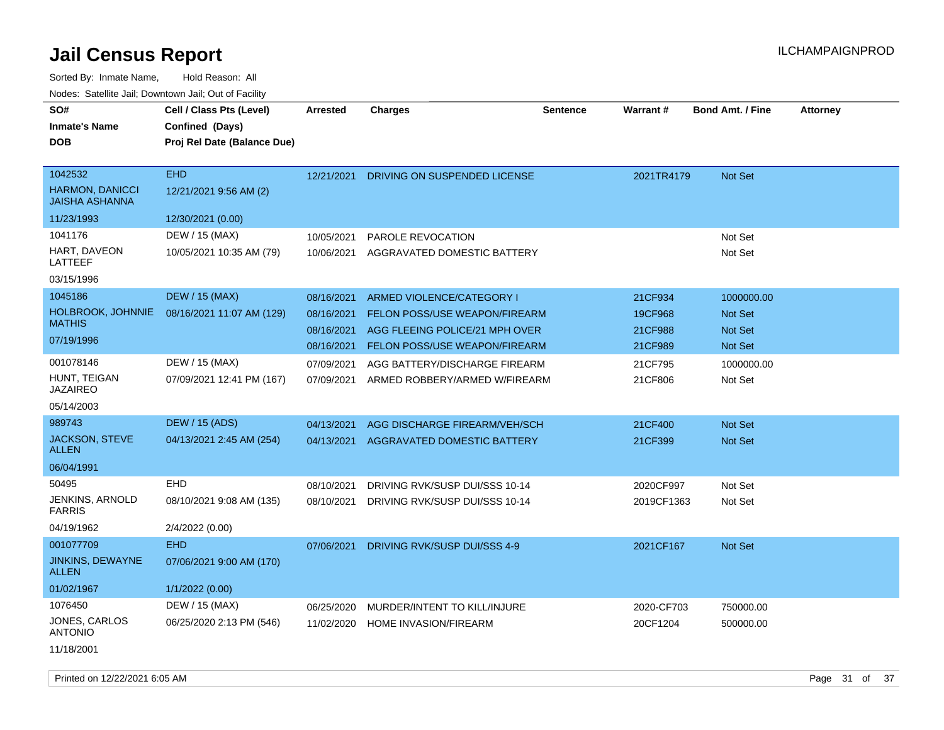| SO#<br><b>Inmate's Name</b><br><b>DOB</b>                  | Cell / Class Pts (Level)<br>Confined (Days)<br>Proj Rel Date (Balance Due) | Arrested                               | <b>Charges</b>                                                                               | <b>Sentence</b> | Warrant#           | <b>Bond Amt. / Fine</b>                 | <b>Attorney</b> |
|------------------------------------------------------------|----------------------------------------------------------------------------|----------------------------------------|----------------------------------------------------------------------------------------------|-----------------|--------------------|-----------------------------------------|-----------------|
| 1042532<br><b>HARMON, DANICCI</b><br><b>JAISHA ASHANNA</b> | <b>EHD</b><br>12/21/2021 9:56 AM (2)                                       | 12/21/2021                             | DRIVING ON SUSPENDED LICENSE                                                                 |                 | 2021TR4179         | <b>Not Set</b>                          |                 |
| 11/23/1993                                                 | 12/30/2021 (0.00)                                                          |                                        |                                                                                              |                 |                    |                                         |                 |
| 1041176<br>HART, DAVEON<br>LATTEEF<br>03/15/1996           | DEW / 15 (MAX)<br>10/05/2021 10:35 AM (79)                                 | 10/05/2021<br>10/06/2021               | PAROLE REVOCATION<br>AGGRAVATED DOMESTIC BATTERY                                             |                 |                    | Not Set<br>Not Set                      |                 |
| 1045186                                                    | <b>DEW / 15 (MAX)</b>                                                      |                                        |                                                                                              |                 |                    |                                         |                 |
| HOLBROOK, JOHNNIE<br><b>MATHIS</b>                         | 08/16/2021 11:07 AM (129)                                                  | 08/16/2021<br>08/16/2021<br>08/16/2021 | ARMED VIOLENCE/CATEGORY I<br>FELON POSS/USE WEAPON/FIREARM<br>AGG FLEEING POLICE/21 MPH OVER |                 | 21CF934<br>19CF968 | 1000000.00<br>Not Set<br><b>Not Set</b> |                 |
| 07/19/1996                                                 |                                                                            | 08/16/2021                             | <b>FELON POSS/USE WEAPON/FIREARM</b>                                                         |                 | 21CF988<br>21CF989 | <b>Not Set</b>                          |                 |
| 001078146                                                  | DEW / 15 (MAX)                                                             | 07/09/2021                             | AGG BATTERY/DISCHARGE FIREARM                                                                |                 | 21CF795            | 1000000.00                              |                 |
| HUNT, TEIGAN<br><b>JAZAIREO</b>                            | 07/09/2021 12:41 PM (167)                                                  | 07/09/2021                             | ARMED ROBBERY/ARMED W/FIREARM                                                                |                 | 21CF806            | Not Set                                 |                 |
| 05/14/2003                                                 |                                                                            |                                        |                                                                                              |                 |                    |                                         |                 |
| 989743                                                     | <b>DEW / 15 (ADS)</b>                                                      | 04/13/2021                             | AGG DISCHARGE FIREARM/VEH/SCH                                                                |                 | 21CF400            | <b>Not Set</b>                          |                 |
| JACKSON, STEVE<br><b>ALLEN</b>                             | 04/13/2021 2:45 AM (254)                                                   | 04/13/2021                             | AGGRAVATED DOMESTIC BATTERY                                                                  |                 | 21CF399            | <b>Not Set</b>                          |                 |
| 06/04/1991                                                 |                                                                            |                                        |                                                                                              |                 |                    |                                         |                 |
| 50495                                                      | EHD                                                                        | 08/10/2021                             | DRIVING RVK/SUSP DUI/SSS 10-14                                                               |                 | 2020CF997          | Not Set                                 |                 |
| JENKINS, ARNOLD<br><b>FARRIS</b>                           | 08/10/2021 9:08 AM (135)                                                   | 08/10/2021                             | DRIVING RVK/SUSP DUI/SSS 10-14                                                               |                 | 2019CF1363         | Not Set                                 |                 |
| 04/19/1962                                                 | 2/4/2022 (0.00)                                                            |                                        |                                                                                              |                 |                    |                                         |                 |
| 001077709                                                  | <b>EHD</b>                                                                 | 07/06/2021                             | DRIVING RVK/SUSP DUI/SSS 4-9                                                                 |                 | 2021CF167          | <b>Not Set</b>                          |                 |
| <b>JINKINS, DEWAYNE</b><br><b>ALLEN</b>                    | 07/06/2021 9:00 AM (170)                                                   |                                        |                                                                                              |                 |                    |                                         |                 |
| 01/02/1967                                                 | 1/1/2022 (0.00)                                                            |                                        |                                                                                              |                 |                    |                                         |                 |
| 1076450                                                    | DEW / 15 (MAX)                                                             | 06/25/2020                             | MURDER/INTENT TO KILL/INJURE                                                                 |                 | 2020-CF703         | 750000.00                               |                 |
| JONES, CARLOS<br><b>ANTONIO</b>                            | 06/25/2020 2:13 PM (546)                                                   | 11/02/2020                             | HOME INVASION/FIREARM                                                                        |                 | 20CF1204           | 500000.00                               |                 |
| 11/18/2001                                                 |                                                                            |                                        |                                                                                              |                 |                    |                                         |                 |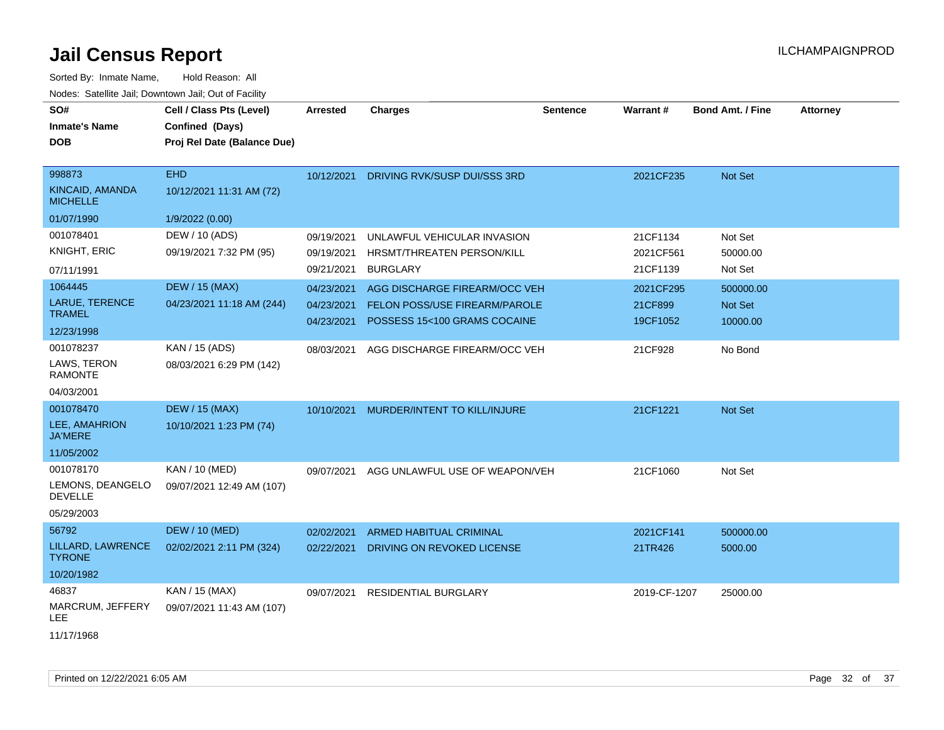| SO#                                | Cell / Class Pts (Level)    | <b>Arrested</b> | <b>Charges</b>                 | <b>Sentence</b> | <b>Warrant#</b> | <b>Bond Amt. / Fine</b> | <b>Attorney</b> |
|------------------------------------|-----------------------------|-----------------|--------------------------------|-----------------|-----------------|-------------------------|-----------------|
| <b>Inmate's Name</b>               | Confined (Days)             |                 |                                |                 |                 |                         |                 |
| <b>DOB</b>                         | Proj Rel Date (Balance Due) |                 |                                |                 |                 |                         |                 |
|                                    |                             |                 |                                |                 |                 |                         |                 |
| 998873                             | <b>EHD</b>                  | 10/12/2021      | DRIVING RVK/SUSP DUI/SSS 3RD   |                 | 2021CF235       | Not Set                 |                 |
| KINCAID, AMANDA<br><b>MICHELLE</b> | 10/12/2021 11:31 AM (72)    |                 |                                |                 |                 |                         |                 |
| 01/07/1990                         | 1/9/2022 (0.00)             |                 |                                |                 |                 |                         |                 |
| 001078401                          | DEW / 10 (ADS)              | 09/19/2021      | UNLAWFUL VEHICULAR INVASION    |                 | 21CF1134        | Not Set                 |                 |
| KNIGHT, ERIC                       | 09/19/2021 7:32 PM (95)     | 09/19/2021      | HRSMT/THREATEN PERSON/KILL     |                 | 2021CF561       | 50000.00                |                 |
| 07/11/1991                         |                             | 09/21/2021      | <b>BURGLARY</b>                |                 | 21CF1139        | Not Set                 |                 |
| 1064445                            | <b>DEW / 15 (MAX)</b>       | 04/23/2021      | AGG DISCHARGE FIREARM/OCC VEH  |                 | 2021CF295       | 500000.00               |                 |
| LARUE, TERENCE                     | 04/23/2021 11:18 AM (244)   | 04/23/2021      | FELON POSS/USE FIREARM/PAROLE  |                 | 21CF899         | Not Set                 |                 |
| <b>TRAMEL</b>                      |                             | 04/23/2021      | POSSESS 15<100 GRAMS COCAINE   |                 | 19CF1052        | 10000.00                |                 |
| 12/23/1998                         |                             |                 |                                |                 |                 |                         |                 |
| 001078237                          | KAN / 15 (ADS)              | 08/03/2021      | AGG DISCHARGE FIREARM/OCC VEH  |                 | 21CF928         | No Bond                 |                 |
| LAWS, TERON<br><b>RAMONTE</b>      | 08/03/2021 6:29 PM (142)    |                 |                                |                 |                 |                         |                 |
| 04/03/2001                         |                             |                 |                                |                 |                 |                         |                 |
| 001078470                          | <b>DEW / 15 (MAX)</b>       | 10/10/2021      | MURDER/INTENT TO KILL/INJURE   |                 | 21CF1221        | <b>Not Set</b>          |                 |
| LEE, AMAHRION<br><b>JA'MERE</b>    | 10/10/2021 1:23 PM (74)     |                 |                                |                 |                 |                         |                 |
| 11/05/2002                         |                             |                 |                                |                 |                 |                         |                 |
| 001078170                          | KAN / 10 (MED)              | 09/07/2021      | AGG UNLAWFUL USE OF WEAPON/VEH |                 | 21CF1060        | Not Set                 |                 |
| LEMONS, DEANGELO<br><b>DEVELLE</b> | 09/07/2021 12:49 AM (107)   |                 |                                |                 |                 |                         |                 |
| 05/29/2003                         |                             |                 |                                |                 |                 |                         |                 |
| 56792                              | <b>DEW / 10 (MED)</b>       | 02/02/2021      | ARMED HABITUAL CRIMINAL        |                 | 2021CF141       | 500000.00               |                 |
| LILLARD, LAWRENCE<br><b>TYRONE</b> | 02/02/2021 2:11 PM (324)    | 02/22/2021      | DRIVING ON REVOKED LICENSE     |                 | 21TR426         | 5000.00                 |                 |
| 10/20/1982                         |                             |                 |                                |                 |                 |                         |                 |
| 46837                              | KAN / 15 (MAX)              | 09/07/2021      | <b>RESIDENTIAL BURGLARY</b>    |                 | 2019-CF-1207    | 25000.00                |                 |
| MARCRUM, JEFFERY<br>LEE.           | 09/07/2021 11:43 AM (107)   |                 |                                |                 |                 |                         |                 |
| 11/17/1968                         |                             |                 |                                |                 |                 |                         |                 |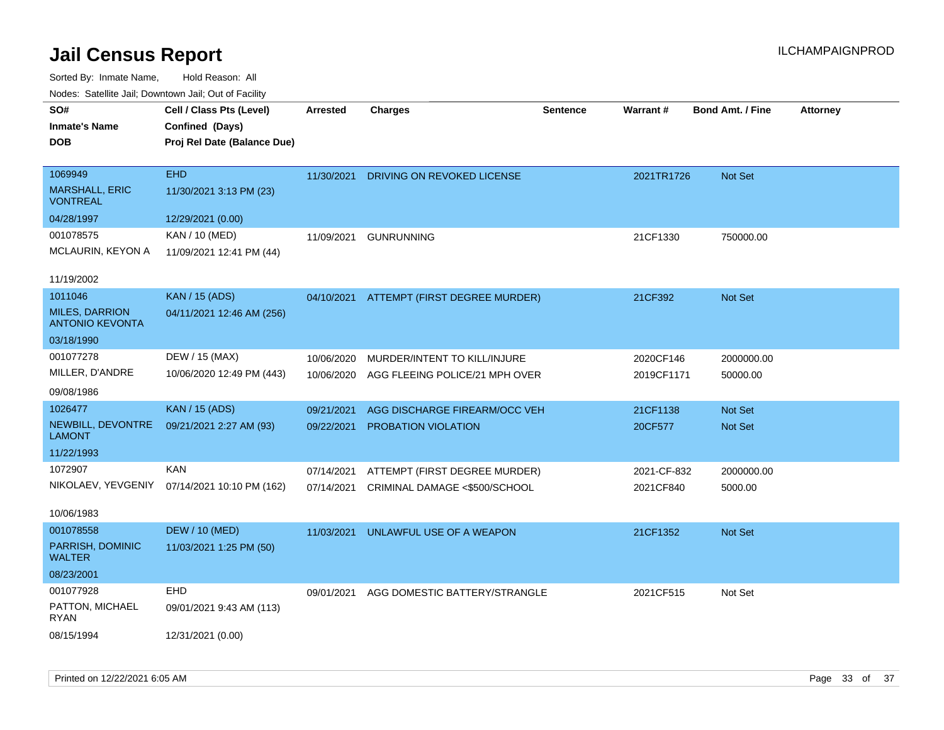| noaco. Catomto can, Domntonn can, Cat or I domt |                             |                 |                                          |                 |             |                         |                 |
|-------------------------------------------------|-----------------------------|-----------------|------------------------------------------|-----------------|-------------|-------------------------|-----------------|
| SO#                                             | Cell / Class Pts (Level)    | <b>Arrested</b> | <b>Charges</b>                           | <b>Sentence</b> | Warrant#    | <b>Bond Amt. / Fine</b> | <b>Attorney</b> |
| <b>Inmate's Name</b>                            | Confined (Days)             |                 |                                          |                 |             |                         |                 |
| <b>DOB</b>                                      | Proj Rel Date (Balance Due) |                 |                                          |                 |             |                         |                 |
|                                                 |                             |                 |                                          |                 |             |                         |                 |
| 1069949                                         | <b>EHD</b>                  | 11/30/2021      | DRIVING ON REVOKED LICENSE               |                 | 2021TR1726  | <b>Not Set</b>          |                 |
| <b>MARSHALL, ERIC</b><br><b>VONTREAL</b>        | 11/30/2021 3:13 PM (23)     |                 |                                          |                 |             |                         |                 |
| 04/28/1997                                      | 12/29/2021 (0.00)           |                 |                                          |                 |             |                         |                 |
| 001078575                                       | <b>KAN / 10 (MED)</b>       | 11/09/2021      | <b>GUNRUNNING</b>                        |                 | 21CF1330    | 750000.00               |                 |
| MCLAURIN, KEYON A                               | 11/09/2021 12:41 PM (44)    |                 |                                          |                 |             |                         |                 |
| 11/19/2002                                      |                             |                 |                                          |                 |             |                         |                 |
| 1011046                                         | <b>KAN / 15 (ADS)</b>       |                 | 04/10/2021 ATTEMPT (FIRST DEGREE MURDER) |                 | 21CF392     | <b>Not Set</b>          |                 |
| <b>MILES, DARRION</b><br><b>ANTONIO KEVONTA</b> | 04/11/2021 12:46 AM (256)   |                 |                                          |                 |             |                         |                 |
| 03/18/1990                                      |                             |                 |                                          |                 |             |                         |                 |
| 001077278                                       | DEW / 15 (MAX)              | 10/06/2020      | MURDER/INTENT TO KILL/INJURE             |                 | 2020CF146   | 2000000.00              |                 |
| MILLER, D'ANDRE                                 | 10/06/2020 12:49 PM (443)   | 10/06/2020      | AGG FLEEING POLICE/21 MPH OVER           |                 | 2019CF1171  | 50000.00                |                 |
| 09/08/1986                                      |                             |                 |                                          |                 |             |                         |                 |
| 1026477                                         | <b>KAN / 15 (ADS)</b>       | 09/21/2021      | AGG DISCHARGE FIREARM/OCC VEH            |                 | 21CF1138    | <b>Not Set</b>          |                 |
| NEWBILL, DEVONTRE                               | 09/21/2021 2:27 AM (93)     | 09/22/2021      | PROBATION VIOLATION                      |                 | 20CF577     | <b>Not Set</b>          |                 |
| LAMONT                                          |                             |                 |                                          |                 |             |                         |                 |
| 11/22/1993                                      |                             |                 |                                          |                 |             |                         |                 |
| 1072907                                         | <b>KAN</b>                  | 07/14/2021      | ATTEMPT (FIRST DEGREE MURDER)            |                 | 2021-CF-832 | 2000000.00              |                 |
| NIKOLAEV, YEVGENIY                              | 07/14/2021 10:10 PM (162)   | 07/14/2021      | CRIMINAL DAMAGE <\$500/SCHOOL            |                 | 2021CF840   | 5000.00                 |                 |
|                                                 |                             |                 |                                          |                 |             |                         |                 |
| 10/06/1983                                      |                             |                 |                                          |                 |             |                         |                 |
| 001078558                                       | <b>DEW / 10 (MED)</b>       | 11/03/2021      | UNLAWFUL USE OF A WEAPON                 |                 | 21CF1352    | <b>Not Set</b>          |                 |
| PARRISH, DOMINIC<br>WALTER                      | 11/03/2021 1:25 PM (50)     |                 |                                          |                 |             |                         |                 |
| 08/23/2001                                      |                             |                 |                                          |                 |             |                         |                 |
| 001077928                                       | <b>EHD</b>                  | 09/01/2021      | AGG DOMESTIC BATTERY/STRANGLE            |                 | 2021CF515   | Not Set                 |                 |
| PATTON, MICHAEL<br>RYAN                         | 09/01/2021 9:43 AM (113)    |                 |                                          |                 |             |                         |                 |
| 08/15/1994                                      | 12/31/2021 (0.00)           |                 |                                          |                 |             |                         |                 |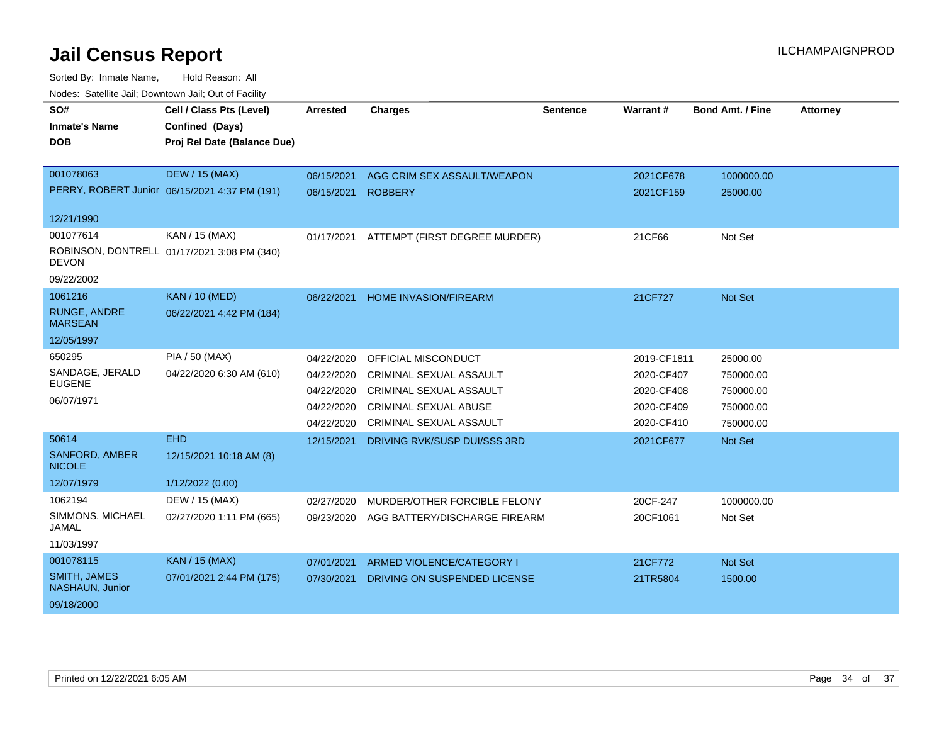| SO#                                    | Cell / Class Pts (Level)                      | <b>Arrested</b> | <b>Charges</b>                 | <b>Sentence</b> | Warrant#    | <b>Bond Amt. / Fine</b> | <b>Attorney</b> |
|----------------------------------------|-----------------------------------------------|-----------------|--------------------------------|-----------------|-------------|-------------------------|-----------------|
| <b>Inmate's Name</b>                   | Confined (Days)                               |                 |                                |                 |             |                         |                 |
| <b>DOB</b>                             | Proj Rel Date (Balance Due)                   |                 |                                |                 |             |                         |                 |
|                                        |                                               |                 |                                |                 |             |                         |                 |
| 001078063                              | <b>DEW / 15 (MAX)</b>                         | 06/15/2021      | AGG CRIM SEX ASSAULT/WEAPON    |                 | 2021CF678   | 1000000.00              |                 |
|                                        | PERRY, ROBERT Junior 06/15/2021 4:37 PM (191) | 06/15/2021      | <b>ROBBERY</b>                 |                 | 2021CF159   | 25000.00                |                 |
| 12/21/1990                             |                                               |                 |                                |                 |             |                         |                 |
| 001077614                              | KAN / 15 (MAX)                                | 01/17/2021      | ATTEMPT (FIRST DEGREE MURDER)  |                 | 21CF66      | Not Set                 |                 |
| <b>DEVON</b>                           | ROBINSON, DONTRELL 01/17/2021 3:08 PM (340)   |                 |                                |                 |             |                         |                 |
| 09/22/2002                             |                                               |                 |                                |                 |             |                         |                 |
| 1061216                                | <b>KAN / 10 (MED)</b>                         | 06/22/2021      | <b>HOME INVASION/FIREARM</b>   |                 | 21CF727     | Not Set                 |                 |
| <b>RUNGE, ANDRE</b><br><b>MARSEAN</b>  | 06/22/2021 4:42 PM (184)                      |                 |                                |                 |             |                         |                 |
| 12/05/1997                             |                                               |                 |                                |                 |             |                         |                 |
| 650295                                 | PIA / 50 (MAX)                                | 04/22/2020      | OFFICIAL MISCONDUCT            |                 | 2019-CF1811 | 25000.00                |                 |
| SANDAGE, JERALD                        | 04/22/2020 6:30 AM (610)                      | 04/22/2020      | CRIMINAL SEXUAL ASSAULT        |                 | 2020-CF407  | 750000.00               |                 |
| <b>EUGENE</b>                          |                                               | 04/22/2020      | <b>CRIMINAL SEXUAL ASSAULT</b> |                 | 2020-CF408  | 750000.00               |                 |
| 06/07/1971                             |                                               | 04/22/2020      | <b>CRIMINAL SEXUAL ABUSE</b>   |                 | 2020-CF409  | 750000.00               |                 |
|                                        |                                               | 04/22/2020      | <b>CRIMINAL SEXUAL ASSAULT</b> |                 | 2020-CF410  | 750000.00               |                 |
| 50614                                  | <b>EHD</b>                                    | 12/15/2021      | DRIVING RVK/SUSP DUI/SSS 3RD   |                 | 2021CF677   | Not Set                 |                 |
| <b>SANFORD, AMBER</b><br><b>NICOLE</b> | 12/15/2021 10:18 AM (8)                       |                 |                                |                 |             |                         |                 |
| 12/07/1979                             | 1/12/2022 (0.00)                              |                 |                                |                 |             |                         |                 |
| 1062194                                | DEW / 15 (MAX)                                | 02/27/2020      | MURDER/OTHER FORCIBLE FELONY   |                 | 20CF-247    | 1000000.00              |                 |
| SIMMONS, MICHAEL<br><b>JAMAL</b>       | 02/27/2020 1:11 PM (665)                      | 09/23/2020      | AGG BATTERY/DISCHARGE FIREARM  |                 | 20CF1061    | Not Set                 |                 |
| 11/03/1997                             |                                               |                 |                                |                 |             |                         |                 |
| 001078115                              | KAN / 15 (MAX)                                | 07/01/2021      | ARMED VIOLENCE/CATEGORY I      |                 | 21CF772     | Not Set                 |                 |
| <b>SMITH, JAMES</b><br>NASHAUN, Junior | 07/01/2021 2:44 PM (175)                      | 07/30/2021      | DRIVING ON SUSPENDED LICENSE   |                 | 21TR5804    | 1500.00                 |                 |
| 09/18/2000                             |                                               |                 |                                |                 |             |                         |                 |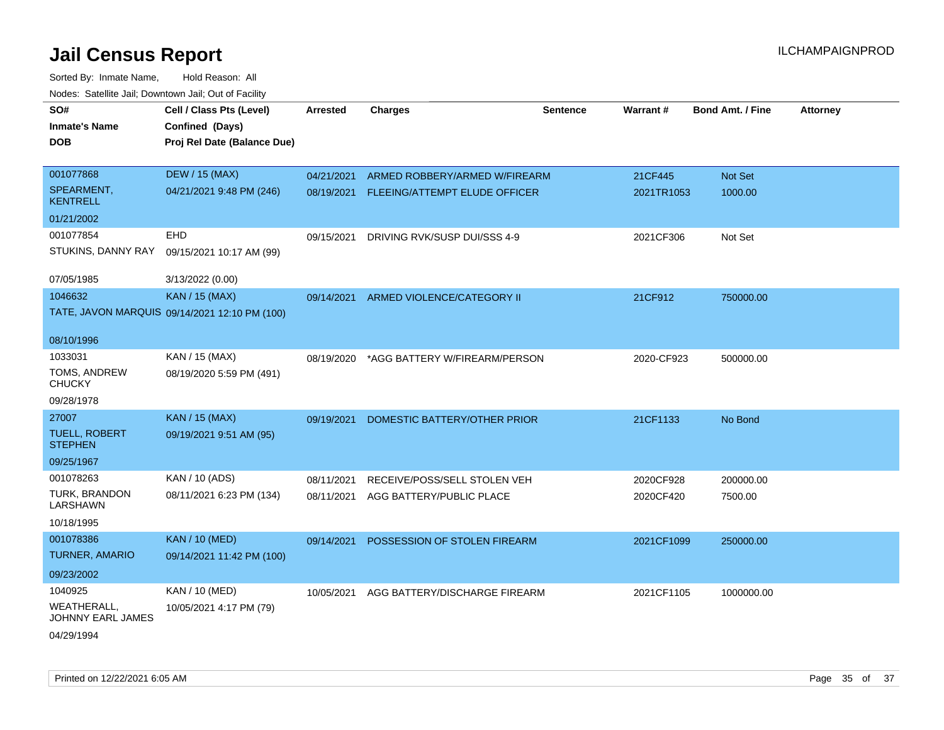| SO#                                    | Cell / Class Pts (Level)                      | Arrested   | <b>Charges</b>                           | <b>Sentence</b> | Warrant#   | <b>Bond Amt. / Fine</b> | <b>Attorney</b> |
|----------------------------------------|-----------------------------------------------|------------|------------------------------------------|-----------------|------------|-------------------------|-----------------|
| <b>Inmate's Name</b>                   | Confined (Days)                               |            |                                          |                 |            |                         |                 |
| <b>DOB</b>                             | Proj Rel Date (Balance Due)                   |            |                                          |                 |            |                         |                 |
|                                        |                                               |            |                                          |                 |            |                         |                 |
| 001077868                              | <b>DEW / 15 (MAX)</b>                         | 04/21/2021 | ARMED ROBBERY/ARMED W/FIREARM            |                 | 21CF445    | Not Set                 |                 |
| SPEARMENT,<br><b>KENTRELL</b>          | 04/21/2021 9:48 PM (246)                      |            | 08/19/2021 FLEEING/ATTEMPT ELUDE OFFICER |                 | 2021TR1053 | 1000.00                 |                 |
| 01/21/2002                             |                                               |            |                                          |                 |            |                         |                 |
| 001077854                              | EHD                                           | 09/15/2021 | DRIVING RVK/SUSP DUI/SSS 4-9             |                 | 2021CF306  | Not Set                 |                 |
| STUKINS, DANNY RAY                     | 09/15/2021 10:17 AM (99)                      |            |                                          |                 |            |                         |                 |
| 07/05/1985                             | 3/13/2022 (0.00)                              |            |                                          |                 |            |                         |                 |
| 1046632                                | <b>KAN / 15 (MAX)</b>                         | 09/14/2021 | ARMED VIOLENCE/CATEGORY II               |                 | 21CF912    | 750000.00               |                 |
|                                        | TATE, JAVON MARQUIS 09/14/2021 12:10 PM (100) |            |                                          |                 |            |                         |                 |
| 08/10/1996                             |                                               |            |                                          |                 |            |                         |                 |
| 1033031                                | KAN / 15 (MAX)                                | 08/19/2020 | *AGG BATTERY W/FIREARM/PERSON            |                 | 2020-CF923 | 500000.00               |                 |
| TOMS, ANDREW<br><b>CHUCKY</b>          | 08/19/2020 5:59 PM (491)                      |            |                                          |                 |            |                         |                 |
| 09/28/1978                             |                                               |            |                                          |                 |            |                         |                 |
| 27007                                  | <b>KAN / 15 (MAX)</b>                         | 09/19/2021 | DOMESTIC BATTERY/OTHER PRIOR             |                 | 21CF1133   | No Bond                 |                 |
| <b>TUELL, ROBERT</b><br><b>STEPHEN</b> | 09/19/2021 9:51 AM (95)                       |            |                                          |                 |            |                         |                 |
| 09/25/1967                             |                                               |            |                                          |                 |            |                         |                 |
| 001078263                              | KAN / 10 (ADS)                                | 08/11/2021 | RECEIVE/POSS/SELL STOLEN VEH             |                 | 2020CF928  | 200000.00               |                 |
| TURK, BRANDON<br>LARSHAWN              | 08/11/2021 6:23 PM (134)                      | 08/11/2021 | AGG BATTERY/PUBLIC PLACE                 |                 | 2020CF420  | 7500.00                 |                 |
| 10/18/1995                             |                                               |            |                                          |                 |            |                         |                 |
| 001078386                              | <b>KAN / 10 (MED)</b>                         | 09/14/2021 | POSSESSION OF STOLEN FIREARM             |                 | 2021CF1099 | 250000.00               |                 |
| TURNER, AMARIO                         | 09/14/2021 11:42 PM (100)                     |            |                                          |                 |            |                         |                 |
| 09/23/2002                             |                                               |            |                                          |                 |            |                         |                 |
| 1040925                                | KAN / 10 (MED)                                | 10/05/2021 | AGG BATTERY/DISCHARGE FIREARM            |                 | 2021CF1105 | 1000000.00              |                 |
| WEATHERALL,<br>JOHNNY EARL JAMES       | 10/05/2021 4:17 PM (79)                       |            |                                          |                 |            |                         |                 |
| 04/29/1994                             |                                               |            |                                          |                 |            |                         |                 |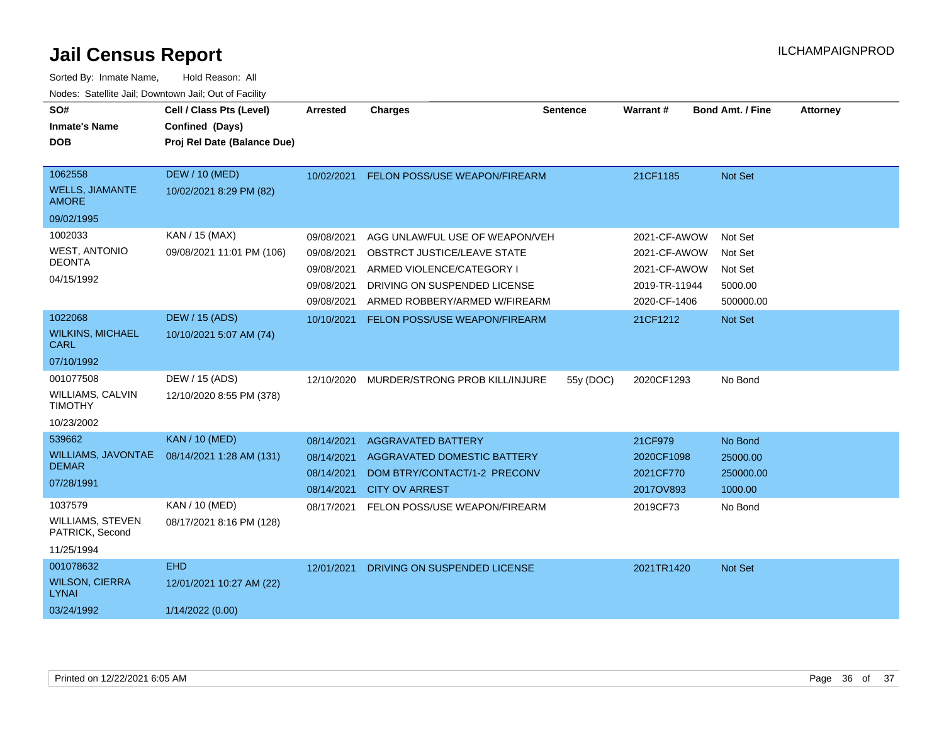| SO#<br><b>Inmate's Name</b><br><b>DOB</b>                            | Cell / Class Pts (Level)<br>Confined (Days)<br>Proj Rel Date (Balance Due) | <b>Arrested</b>                                                    | <b>Charges</b>                                                                                                                                              | <b>Sentence</b> | Warrant#                                                                      | <b>Bond Amt. / Fine</b>                               | <b>Attorney</b> |
|----------------------------------------------------------------------|----------------------------------------------------------------------------|--------------------------------------------------------------------|-------------------------------------------------------------------------------------------------------------------------------------------------------------|-----------------|-------------------------------------------------------------------------------|-------------------------------------------------------|-----------------|
| 1062558<br><b>WELLS, JIAMANTE</b><br><b>AMORE</b>                    | <b>DEW / 10 (MED)</b><br>10/02/2021 8:29 PM (82)                           | 10/02/2021                                                         | FELON POSS/USE WEAPON/FIREARM                                                                                                                               |                 | 21CF1185                                                                      | Not Set                                               |                 |
| 09/02/1995                                                           |                                                                            |                                                                    |                                                                                                                                                             |                 |                                                                               |                                                       |                 |
| 1002033<br><b>WEST, ANTONIO</b><br><b>DEONTA</b><br>04/15/1992       | KAN / 15 (MAX)<br>09/08/2021 11:01 PM (106)                                | 09/08/2021<br>09/08/2021<br>09/08/2021<br>09/08/2021<br>09/08/2021 | AGG UNLAWFUL USE OF WEAPON/VEH<br>OBSTRCT JUSTICE/LEAVE STATE<br>ARMED VIOLENCE/CATEGORY I<br>DRIVING ON SUSPENDED LICENSE<br>ARMED ROBBERY/ARMED W/FIREARM |                 | 2021-CF-AWOW<br>2021-CF-AWOW<br>2021-CF-AWOW<br>2019-TR-11944<br>2020-CF-1406 | Not Set<br>Not Set<br>Not Set<br>5000.00<br>500000.00 |                 |
| 1022068                                                              | <b>DEW / 15 (ADS)</b>                                                      | 10/10/2021                                                         | FELON POSS/USE WEAPON/FIREARM                                                                                                                               |                 | 21CF1212                                                                      | Not Set                                               |                 |
| <b>WILKINS, MICHAEL</b><br><b>CARL</b>                               | 10/10/2021 5:07 AM (74)                                                    |                                                                    |                                                                                                                                                             |                 |                                                                               |                                                       |                 |
| 07/10/1992                                                           |                                                                            |                                                                    |                                                                                                                                                             |                 |                                                                               |                                                       |                 |
| 001077508<br><b>WILLIAMS, CALVIN</b><br><b>TIMOTHY</b><br>10/23/2002 | DEW / 15 (ADS)<br>12/10/2020 8:55 PM (378)                                 | 12/10/2020                                                         | MURDER/STRONG PROB KILL/INJURE                                                                                                                              | 55y (DOC)       | 2020CF1293                                                                    | No Bond                                               |                 |
| 539662                                                               | <b>KAN / 10 (MED)</b>                                                      | 08/14/2021                                                         | AGGRAVATED BATTERY                                                                                                                                          |                 | 21CF979                                                                       | No Bond                                               |                 |
| <b>WILLIAMS, JAVONTAE</b><br><b>DEMAR</b><br>07/28/1991              | 08/14/2021 1:28 AM (131)                                                   | 08/14/2021<br>08/14/2021<br>08/14/2021                             | AGGRAVATED DOMESTIC BATTERY<br>DOM BTRY/CONTACT/1-2 PRECONV<br><b>CITY OV ARREST</b>                                                                        |                 | 2020CF1098<br>2021CF770<br>2017OV893                                          | 25000.00<br>250000.00<br>1000.00                      |                 |
| 1037579<br><b>WILLIAMS, STEVEN</b><br>PATRICK, Second<br>11/25/1994  | <b>KAN / 10 (MED)</b><br>08/17/2021 8:16 PM (128)                          | 08/17/2021                                                         | FELON POSS/USE WEAPON/FIREARM                                                                                                                               |                 | 2019CF73                                                                      | No Bond                                               |                 |
| 001078632                                                            | <b>EHD</b>                                                                 | 12/01/2021                                                         | DRIVING ON SUSPENDED LICENSE                                                                                                                                |                 | 2021TR1420                                                                    | <b>Not Set</b>                                        |                 |
| <b>WILSON, CIERRA</b><br><b>LYNAI</b>                                | 12/01/2021 10:27 AM (22)                                                   |                                                                    |                                                                                                                                                             |                 |                                                                               |                                                       |                 |
| 03/24/1992                                                           | 1/14/2022 (0.00)                                                           |                                                                    |                                                                                                                                                             |                 |                                                                               |                                                       |                 |